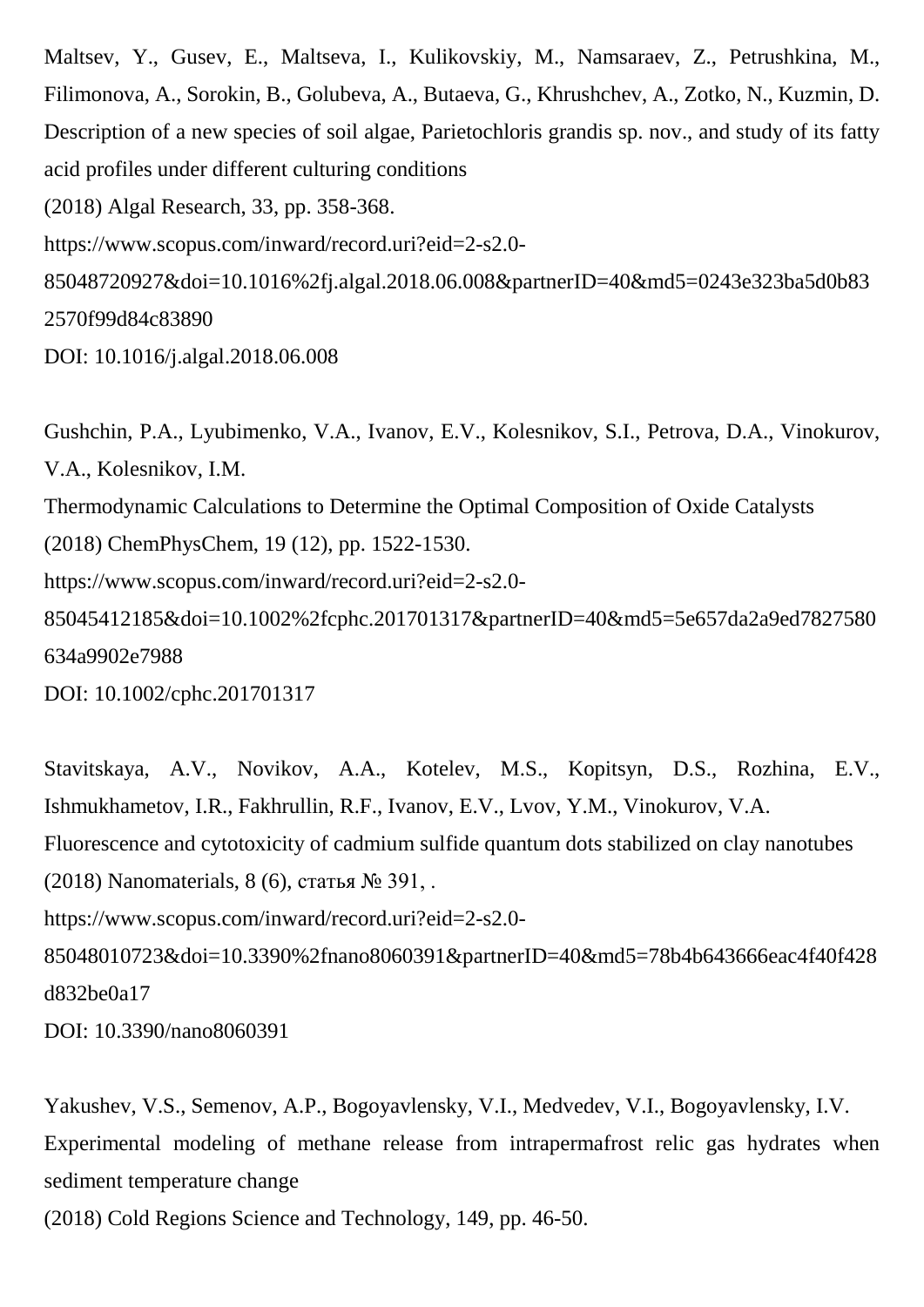Maltsev, Y., Gusev, E., Maltseva, I., Kulikovskiy, M., Namsaraev, Z., Petrushkina, M., Filimonova, A., Sorokin, B., Golubeva, A., Butaeva, G., Khrushchev, A., Zotko, N., Kuzmin, D. Description of a new species of soil algae, Parietochloris grandis sp. nov., and study of its fatty acid profiles under different culturing conditions

(2018) Algal Research, 33, pp. 358-368.

https://www.scopus.com/inward/record.uri?eid=2-s2.0-

85048720927&doi=10.1016%2fj.algal.2018.06.008&partnerID=40&md5=0243e323ba5d0b83 2570f99d84c83890

DOI: 10.1016/j.algal.2018.06.008

Gushchin, P.A., Lyubimenko, V.A., Ivanov, E.V., Kolesnikov, S.I., Petrova, D.A., Vinokurov, V.A., Kolesnikov, I.M. Thermodynamic Calculations to Determine the Optimal Composition of Oxide Catalysts (2018) ChemPhysChem, 19 (12), pp. 1522-1530. https://www.scopus.com/inward/record.uri?eid=2-s2.0- 85045412185&doi=10.1002%2fcphc.201701317&partnerID=40&md5=5e657da2a9ed7827580 634a9902e7988 DOI: 10.1002/cphc.201701317

Stavitskaya, A.V., Novikov, A.A., Kotelev, M.S., Kopitsyn, D.S., Rozhina, E.V., Ishmukhametov, I.R., Fakhrullin, R.F., Ivanov, E.V., Lvov, Y.M., Vinokurov, V.A. Fluorescence and cytotoxicity of cadmium sulfide quantum dots stabilized on clay nanotubes (2018) Nanomaterials, 8 (6), статья № 391, . https://www.scopus.com/inward/record.uri?eid=2-s2.0- 85048010723&doi=10.3390%2fnano8060391&partnerID=40&md5=78b4b643666eac4f40f428 d832be0a17

DOI: 10.3390/nano8060391

Yakushev, V.S., Semenov, A.P., Bogoyavlensky, V.I., Medvedev, V.I., Bogoyavlensky, I.V. Experimental modeling of methane release from intrapermafrost relic gas hydrates when sediment temperature change

(2018) Cold Regions Science and Technology, 149, pp. 46-50.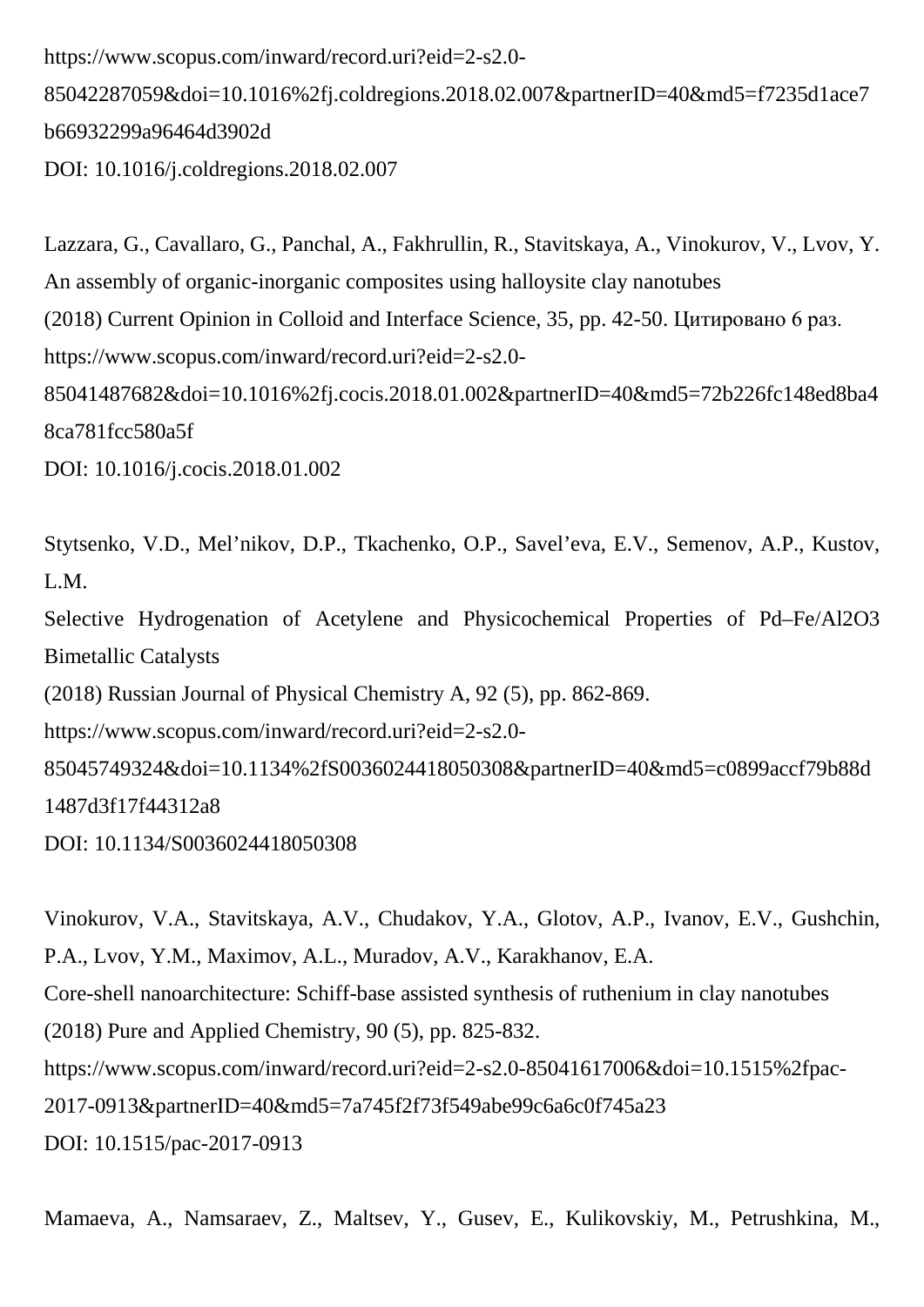```
https://www.scopus.com/inward/record.uri?eid=2-s2.0-
85042287059&doi=10.1016%2fj.coldregions.2018.02.007&partnerID=40&md5=f7235d1ace7
b66932299a96464d3902d
DOI: 10.1016/j.coldregions.2018.02.007
```
Lazzara, G., Cavallaro, G., Panchal, A., Fakhrullin, R., Stavitskaya, A., Vinokurov, V., Lvov, Y. An assembly of organic-inorganic composites using halloysite clay nanotubes (2018) Current Opinion in Colloid and Interface Science, 35, pp. 42-50. Цитировано 6 раз. https://www.scopus.com/inward/record.uri?eid=2-s2.0- 85041487682&doi=10.1016%2fj.cocis.2018.01.002&partnerID=40&md5=72b226fc148ed8ba4 8ca781fcc580a5f

DOI: 10.1016/j.cocis.2018.01.002

Stytsenko, V.D., Mel'nikov, D.P., Tkachenko, O.P., Savel'eva, E.V., Semenov, A.P., Kustov, L.M. Selective Hydrogenation of Acetylene and Physicochemical Properties of Pd–Fe/Al2O3 Bimetallic Catalysts (2018) Russian Journal of Physical Chemistry A, 92 (5), pp. 862-869. https://www.scopus.com/inward/record.uri?eid=2-s2.0- 85045749324&doi=10.1134%2fS0036024418050308&partnerID=40&md5=c0899accf79b88d 1487d3f17f44312a8 DOI: 10.1134/S0036024418050308

Vinokurov, V.A., Stavitskaya, A.V., Chudakov, Y.A., Glotov, A.P., Ivanov, E.V., Gushchin, P.A., Lvov, Y.M., Maximov, A.L., Muradov, A.V., Karakhanov, E.A. Core-shell nanoarchitecture: Schiff-base assisted synthesis of ruthenium in clay nanotubes (2018) Pure and Applied Chemistry, 90 (5), pp. 825-832. https://www.scopus.com/inward/record.uri?eid=2-s2.0-85041617006&doi=10.1515%2fpac-2017-0913&partnerID=40&md5=7a745f2f73f549abe99c6a6c0f745a23 DOI: 10.1515/pac-2017-0913

Mamaeva, A., Namsaraev, Z., Maltsev, Y., Gusev, E., Kulikovskiy, M., Petrushkina, M.,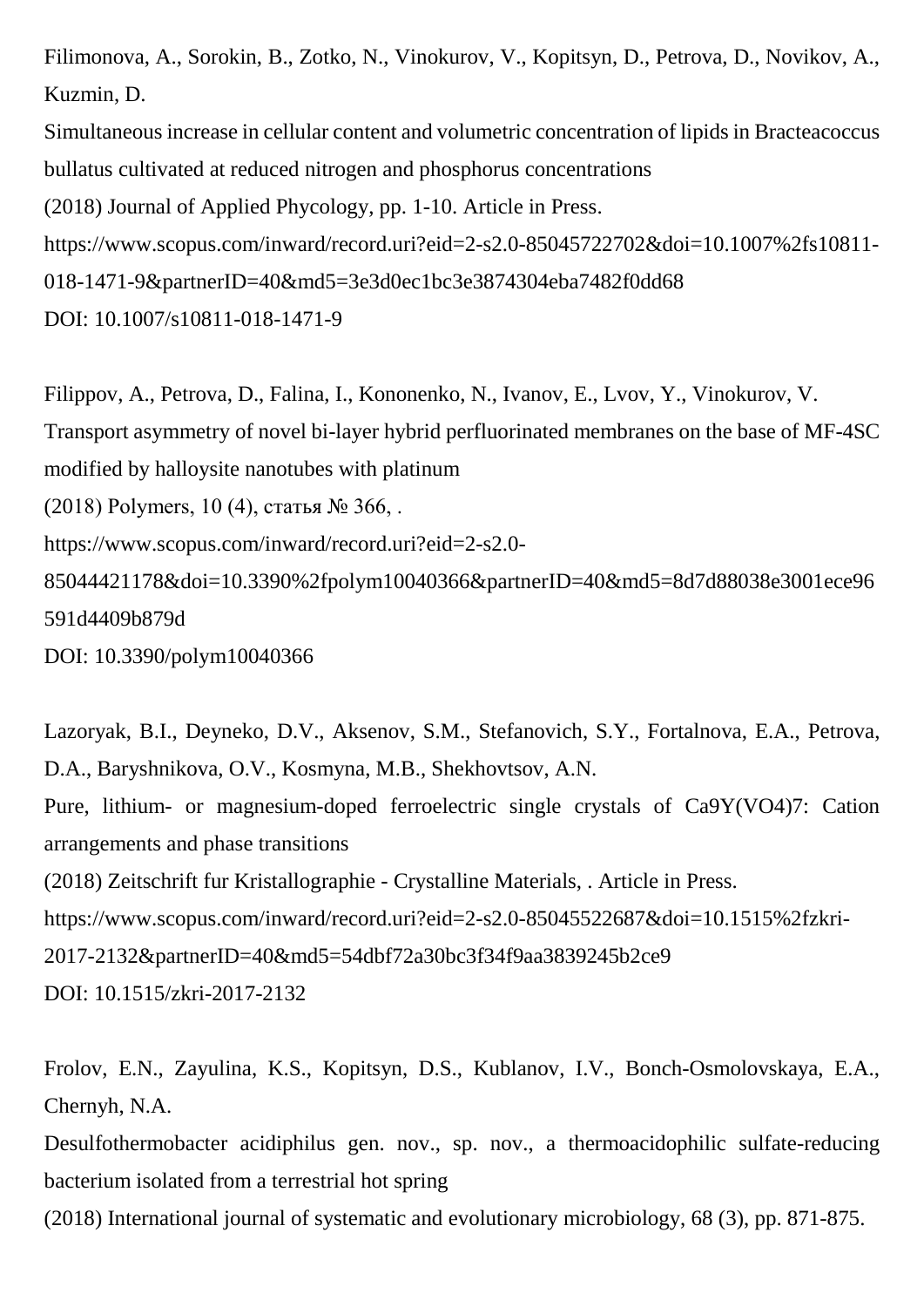Filimonova, A., Sorokin, B., Zotko, N., Vinokurov, V., Kopitsyn, D., Petrova, D., Novikov, A., Kuzmin, D.

Simultaneous increase in cellular content and volumetric concentration of lipids in Bracteacoccus bullatus cultivated at reduced nitrogen and phosphorus concentrations

(2018) Journal of Applied Phycology, pp. 1-10. Article in Press.

https://www.scopus.com/inward/record.uri?eid=2-s2.0-85045722702&doi=10.1007%2fs10811-

018-1471-9&partnerID=40&md5=3e3d0ec1bc3e3874304eba7482f0dd68

DOI: 10.1007/s10811-018-1471-9

Filippov, A., Petrova, D., Falina, I., Kononenko, N., Ivanov, E., Lvov, Y., Vinokurov, V. Transport asymmetry of novel bi-layer hybrid perfluorinated membranes on the base of MF-4SC modified by halloysite nanotubes with platinum (2018) Polymers, 10 (4), статья № 366, . https://www.scopus.com/inward/record.uri?eid=2-s2.0- 85044421178&doi=10.3390%2fpolym10040366&partnerID=40&md5=8d7d88038e3001ece96 591d4409b879d

DOI: 10.3390/polym10040366

Lazoryak, B.I., Deyneko, D.V., Aksenov, S.M., Stefanovich, S.Y., Fortalnova, E.A., Petrova, D.A., Baryshnikova, O.V., Kosmyna, M.B., Shekhovtsov, A.N. Pure, lithium- or magnesium-doped ferroelectric single crystals of Ca9Y(VO4)7: Cation arrangements and phase transitions (2018) Zeitschrift fur Kristallographie - Crystalline Materials, . Article in Press.

https://www.scopus.com/inward/record.uri?eid=2-s2.0-85045522687&doi=10.1515%2fzkri-

2017-2132&partnerID=40&md5=54dbf72a30bc3f34f9aa3839245b2ce9

DOI: 10.1515/zkri-2017-2132

Frolov, E.N., Zayulina, K.S., Kopitsyn, D.S., Kublanov, I.V., Bonch-Osmolovskaya, E.A., Chernyh, N.A.

Desulfothermobacter acidiphilus gen. nov., sp. nov., a thermoacidophilic sulfate-reducing bacterium isolated from a terrestrial hot spring

(2018) International journal of systematic and evolutionary microbiology, 68 (3), pp. 871-875.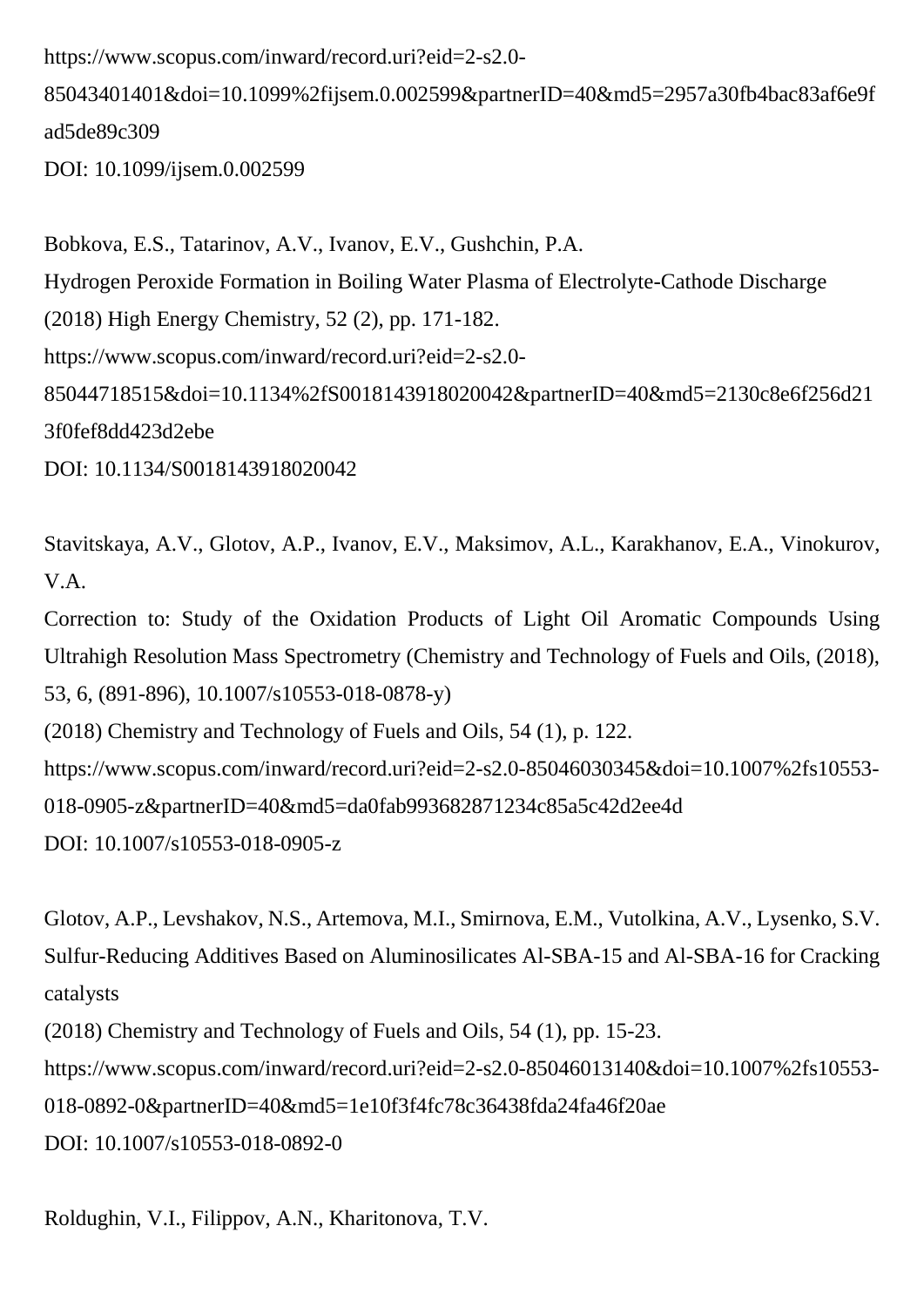https://www.scopus.com/inward/record.uri?eid=2-s2.0-

85043401401&doi=10.1099%2fijsem.0.002599&partnerID=40&md5=2957a30fb4bac83af6e9f ad5de89c309

DOI: 10.1099/ijsem.0.002599

Bobkova, E.S., Tatarinov, A.V., Ivanov, E.V., Gushchin, P.A. Hydrogen Peroxide Formation in Boiling Water Plasma of Electrolyte-Cathode Discharge (2018) High Energy Chemistry, 52 (2), pp. 171-182. https://www.scopus.com/inward/record.uri?eid=2-s2.0- 85044718515&doi=10.1134%2fS0018143918020042&partnerID=40&md5=2130c8e6f256d21 3f0fef8dd423d2ebe DOI: 10.1134/S0018143918020042

Stavitskaya, A.V., Glotov, A.P., Ivanov, E.V., Maksimov, A.L., Karakhanov, E.A., Vinokurov, V.A.

Correction to: Study of the Oxidation Products of Light Oil Aromatic Compounds Using Ultrahigh Resolution Mass Spectrometry (Chemistry and Technology of Fuels and Oils, (2018), 53, 6, (891-896), 10.1007/s10553-018-0878-y)

(2018) Chemistry and Technology of Fuels and Oils, 54 (1), p. 122.

https://www.scopus.com/inward/record.uri?eid=2-s2.0-85046030345&doi=10.1007%2fs10553-

018-0905-z&partnerID=40&md5=da0fab993682871234c85a5c42d2ee4d

DOI: 10.1007/s10553-018-0905-z

Glotov, A.P., Levshakov, N.S., Artemova, M.I., Smirnova, E.M., Vutolkina, A.V., Lysenko, S.V. Sulfur-Reducing Additives Based on Aluminosilicates Al-SBA-15 and Al-SBA-16 for Cracking catalysts

(2018) Chemistry and Technology of Fuels and Oils, 54 (1), pp. 15-23.

https://www.scopus.com/inward/record.uri?eid=2-s2.0-85046013140&doi=10.1007%2fs10553-

018-0892-0&partnerID=40&md5=1e10f3f4fc78c36438fda24fa46f20ae

DOI: 10.1007/s10553-018-0892-0

Roldughin, V.I., Filippov, A.N., Kharitonova, T.V.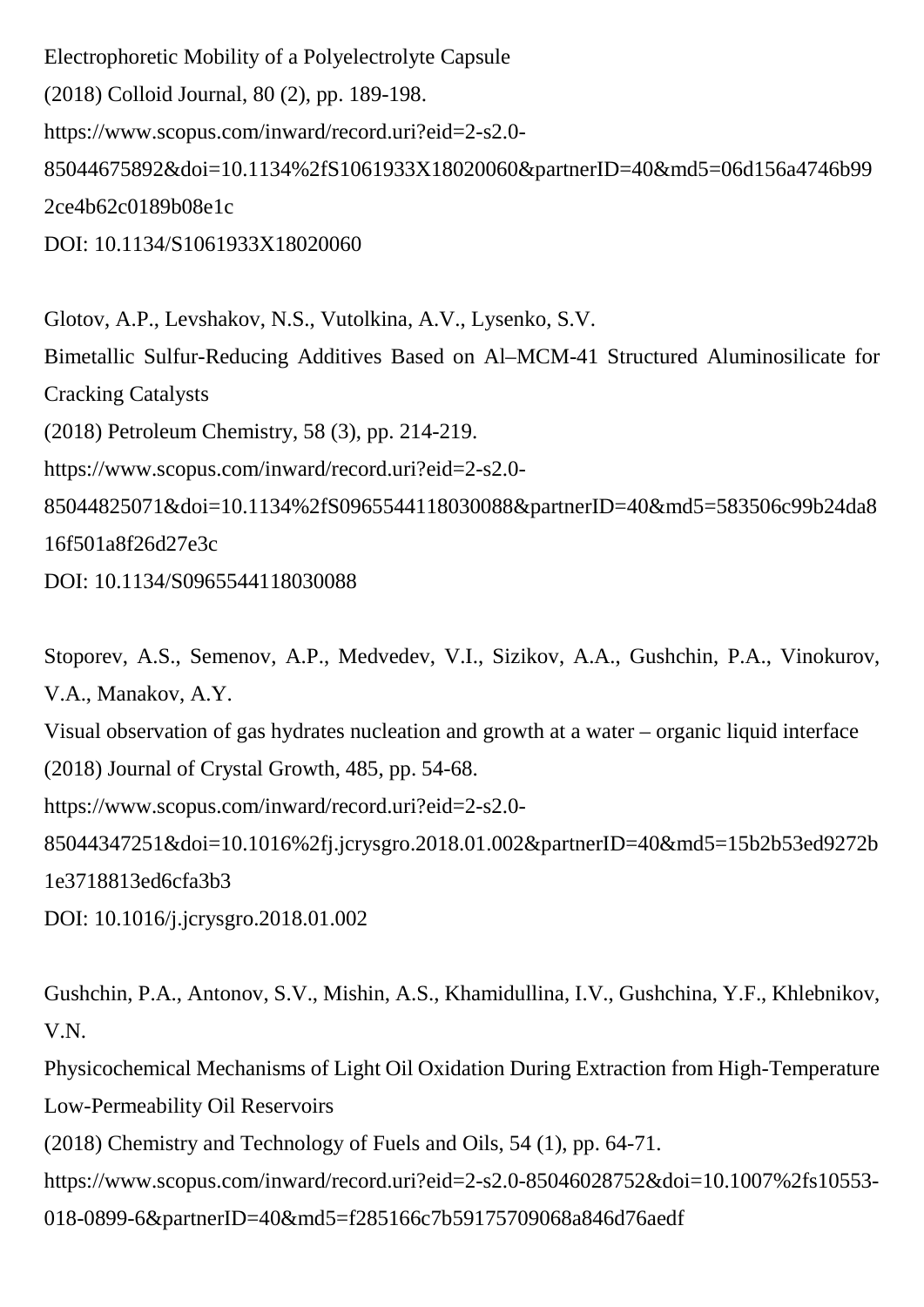Electrophoretic Mobility of a Polyelectrolyte Capsule (2018) Colloid Journal, 80 (2), pp. 189-198. https://www.scopus.com/inward/record.uri?eid=2-s2.0- 85044675892&doi=10.1134%2fS1061933X18020060&partnerID=40&md5=06d156a4746b99 2ce4b62c0189b08e1c DOI: 10.1134/S1061933X18020060

Glotov, A.P., Levshakov, N.S., Vutolkina, A.V., Lysenko, S.V. Bimetallic Sulfur-Reducing Additives Based on Al–MCM-41 Structured Aluminosilicate for Cracking Catalysts (2018) Petroleum Chemistry, 58 (3), pp. 214-219. https://www.scopus.com/inward/record.uri?eid=2-s2.0- 85044825071&doi=10.1134%2fS0965544118030088&partnerID=40&md5=583506c99b24da8 16f501a8f26d27e3c

DOI: 10.1134/S0965544118030088

Stoporev, A.S., Semenov, A.P., Medvedev, V.I., Sizikov, A.A., Gushchin, P.A., Vinokurov, V.A., Manakov, A.Y.

Visual observation of gas hydrates nucleation and growth at a water – organic liquid interface (2018) Journal of Crystal Growth, 485, pp. 54-68.

https://www.scopus.com/inward/record.uri?eid=2-s2.0-

85044347251&doi=10.1016%2fj.jcrysgro.2018.01.002&partnerID=40&md5=15b2b53ed9272b 1e3718813ed6cfa3b3

DOI: 10.1016/j.jcrysgro.2018.01.002

Gushchin, P.A., Antonov, S.V., Mishin, A.S., Khamidullina, I.V., Gushchina, Y.F., Khlebnikov, V.N.

Physicochemical Mechanisms of Light Oil Oxidation During Extraction from High-Temperature Low-Permeability Oil Reservoirs

(2018) Chemistry and Technology of Fuels and Oils, 54 (1), pp. 64-71.

https://www.scopus.com/inward/record.uri?eid=2-s2.0-85046028752&doi=10.1007%2fs10553-

018-0899-6&partnerID=40&md5=f285166c7b59175709068a846d76aedf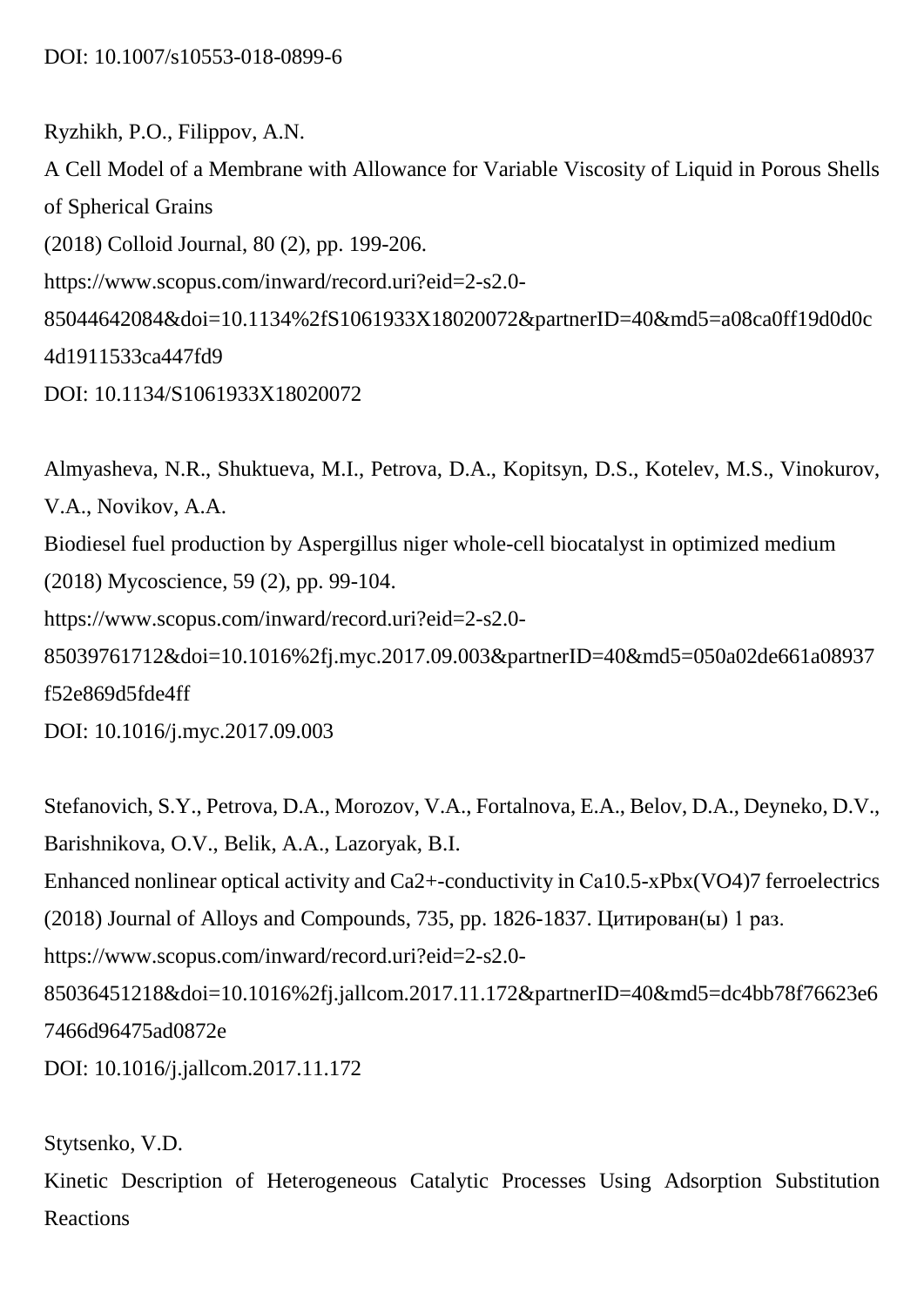Ryzhikh, P.O., Filippov, A.N. A Cell Model of a Membrane with Allowance for Variable Viscosity of Liquid in Porous Shells of Spherical Grains (2018) Colloid Journal, 80 (2), pp. 199-206. https://www.scopus.com/inward/record.uri?eid=2-s2.0- 85044642084&doi=10.1134%2fS1061933X18020072&partnerID=40&md5=a08ca0ff19d0d0c 4d1911533ca447fd9 DOI: 10.1134/S1061933X18020072

Almyasheva, N.R., Shuktueva, M.I., Petrova, D.A., Kopitsyn, D.S., Kotelev, M.S., Vinokurov, V.A., Novikov, A.A. Biodiesel fuel production by Aspergillus niger whole-cell biocatalyst in optimized medium (2018) Mycoscience, 59 (2), pp. 99-104. https://www.scopus.com/inward/record.uri?eid=2-s2.0- 85039761712&doi=10.1016%2fj.myc.2017.09.003&partnerID=40&md5=050a02de661a08937 f52e869d5fde4ff DOI: 10.1016/j.myc.2017.09.003

Stefanovich, S.Y., Petrova, D.A., Morozov, V.A., Fortalnova, E.A., Belov, D.A., Deyneko, D.V., Barishnikova, O.V., Belik, A.A., Lazoryak, B.I. Enhanced nonlinear optical activity and Ca2+-conductivity in Са10.5-xPbx(VO4)7 ferroelectrics (2018) Journal of Alloys and Compounds, 735, pp. 1826-1837. Цитирован(ы) 1 раз. https://www.scopus.com/inward/record.uri?eid=2-s2.0- 85036451218&doi=10.1016%2fj.jallcom.2017.11.172&partnerID=40&md5=dc4bb78f76623e6 7466d96475ad0872e DOI: 10.1016/j.jallcom.2017.11.172

Stytsenko, V.D.

Kinetic Description of Heterogeneous Catalytic Processes Using Adsorption Substitution Reactions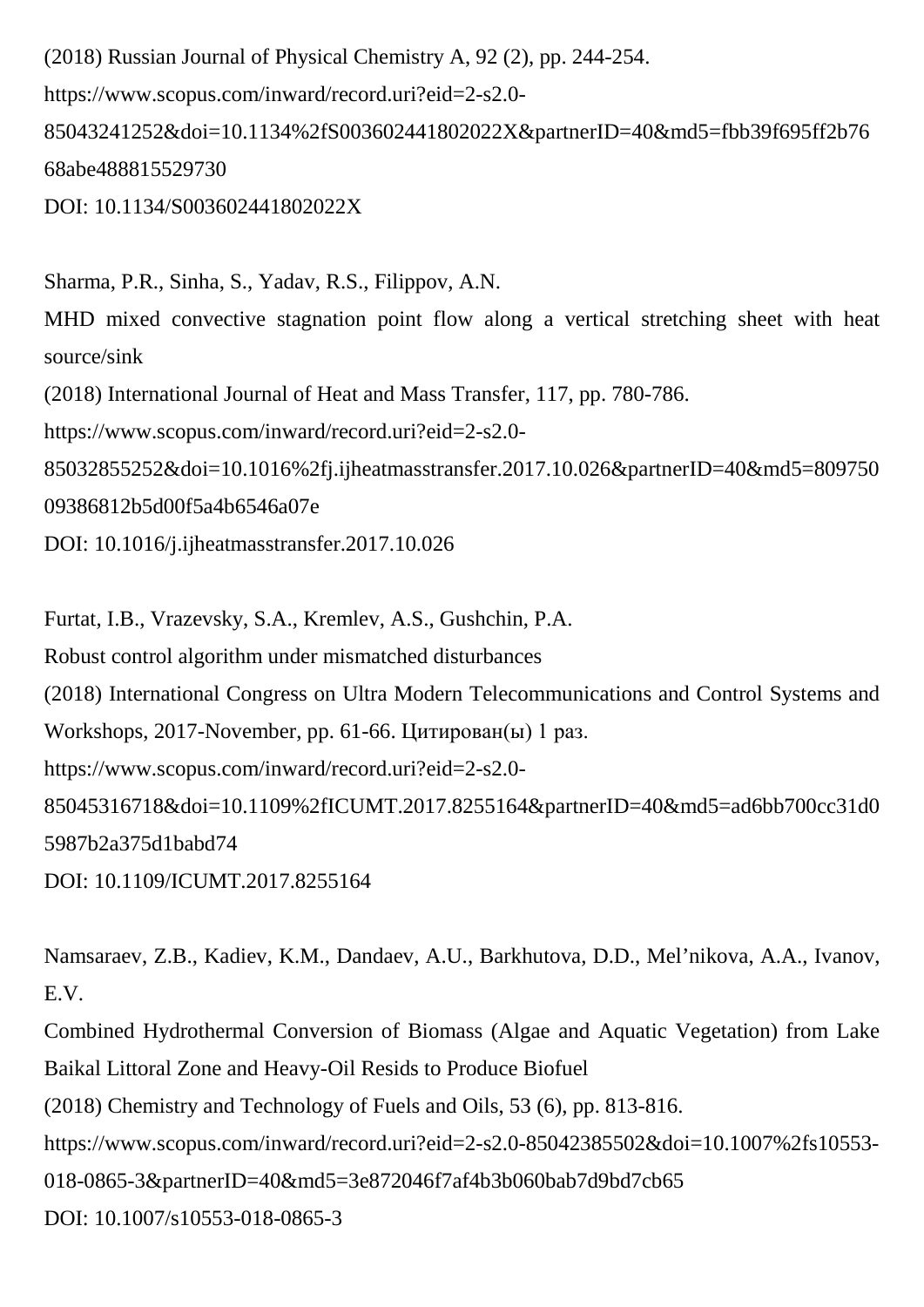(2018) Russian Journal of Physical Chemistry A, 92 (2), pp. 244-254. https://www.scopus.com/inward/record.uri?eid=2-s2.0- 85043241252&doi=10.1134%2fS003602441802022X&partnerID=40&md5=fbb39f695ff2b76 68abe488815529730 DOI: 10.1134/S003602441802022X

Sharma, P.R., Sinha, S., Yadav, R.S., Filippov, A.N. MHD mixed convective stagnation point flow along a vertical stretching sheet with heat source/sink (2018) International Journal of Heat and Mass Transfer, 117, pp. 780-786. https://www.scopus.com/inward/record.uri?eid=2-s2.0- 85032855252&doi=10.1016%2fj.ijheatmasstransfer.2017.10.026&partnerID=40&md5=809750 09386812b5d00f5a4b6546a07e DOI: 10.1016/j.ijheatmasstransfer.2017.10.026

Furtat, I.B., Vrazevsky, S.A., Kremlev, A.S., Gushchin, P.A. Robust control algorithm under mismatched disturbances (2018) International Congress on Ultra Modern Telecommunications and Control Systems and Workshops, 2017-November, pp. 61-66. Цитирован(ы) 1 раз. https://www.scopus.com/inward/record.uri?eid=2-s2.0- 85045316718&doi=10.1109%2fICUMT.2017.8255164&partnerID=40&md5=ad6bb700cc31d0 5987b2a375d1babd74 DOI: 10.1109/ICUMT.2017.8255164

Namsaraev, Z.B., Kadiev, K.M., Dandaev, A.U., Barkhutova, D.D., Mel'nikova, A.A., Ivanov, E.V.

Combined Hydrothermal Conversion of Biomass (Algae and Aquatic Vegetation) from Lake Baikal Littoral Zone and Heavy-Oil Resids to Produce Biofuel

(2018) Chemistry and Technology of Fuels and Oils, 53 (6), pp. 813-816.

https://www.scopus.com/inward/record.uri?eid=2-s2.0-85042385502&doi=10.1007%2fs10553-

018-0865-3&partnerID=40&md5=3e872046f7af4b3b060bab7d9bd7cb65

DOI: 10.1007/s10553-018-0865-3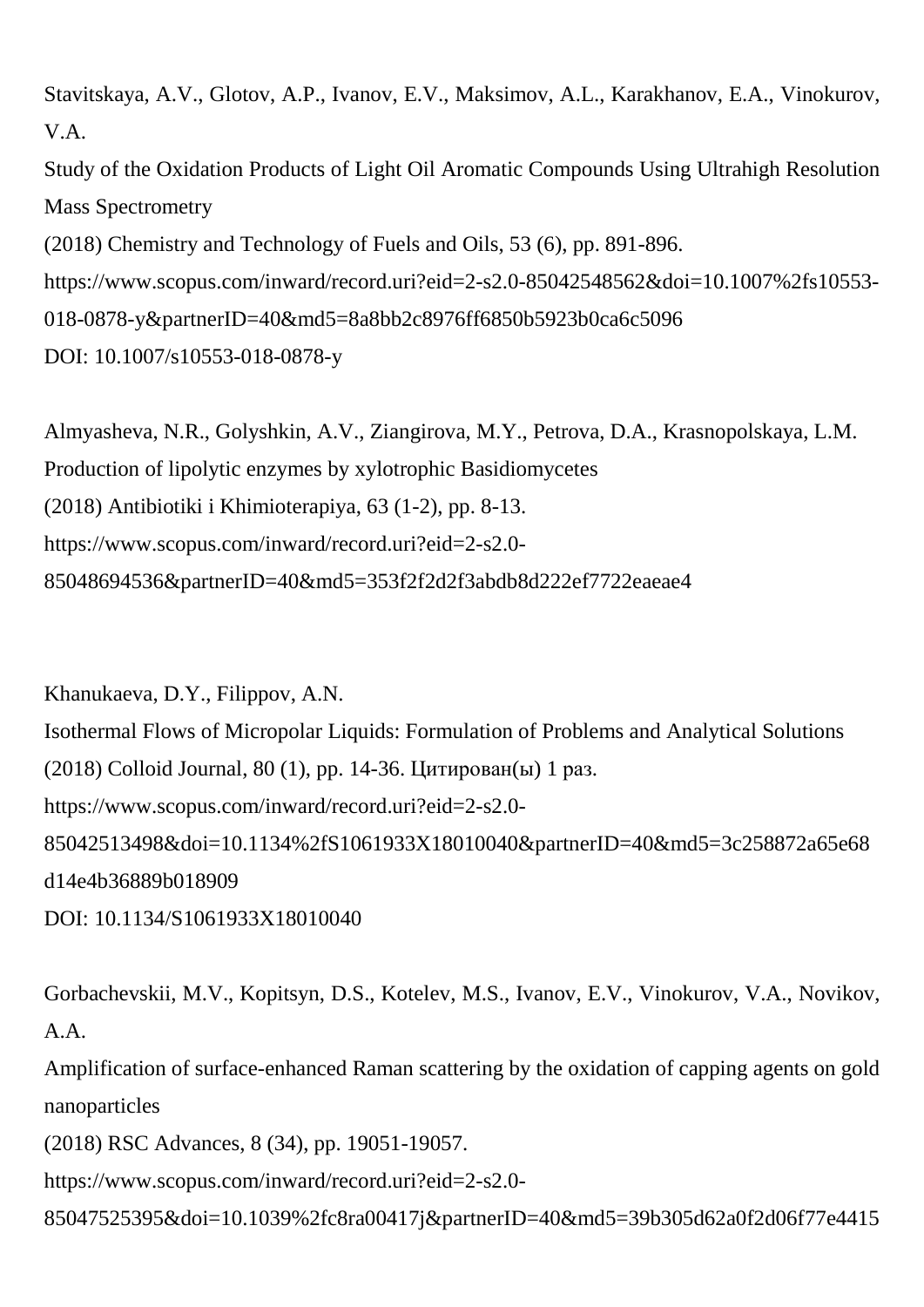Stavitskaya, A.V., Glotov, A.P., Ivanov, E.V., Maksimov, A.L., Karakhanov, E.A., Vinokurov, V.A.

Study of the Oxidation Products of Light Oil Aromatic Compounds Using Ultrahigh Resolution Mass Spectrometry

(2018) Chemistry and Technology of Fuels and Oils, 53 (6), pp. 891-896.

https://www.scopus.com/inward/record.uri?eid=2-s2.0-85042548562&doi=10.1007%2fs10553-

018-0878-y&partnerID=40&md5=8a8bb2c8976ff6850b5923b0ca6c5096

DOI: 10.1007/s10553-018-0878-y

Almyasheva, N.R., Golyshkin, A.V., Ziangirova, M.Y., Petrova, D.A., Krasnopolskaya, L.M. Production of lipolytic enzymes by xylotrophic Basidiomycetes (2018) Antibiotiki i Khimioterapiya, 63 (1-2), pp. 8-13. https://www.scopus.com/inward/record.uri?eid=2-s2.0- 85048694536&partnerID=40&md5=353f2f2d2f3abdb8d222ef7722eaeae4

Khanukaeva, D.Y., Filippov, A.N. Isothermal Flows of Micropolar Liquids: Formulation of Problems and Analytical Solutions (2018) Colloid Journal, 80 (1), pp. 14-36. Цитирован(ы) 1 раз. https://www.scopus.com/inward/record.uri?eid=2-s2.0- 85042513498&doi=10.1134%2fS1061933X18010040&partnerID=40&md5=3c258872a65e68 d14e4b36889b018909

DOI: 10.1134/S1061933X18010040

Gorbachevskii, M.V., Kopitsyn, D.S., Kotelev, M.S., Ivanov, E.V., Vinokurov, V.A., Novikov, A.A.

Amplification of surface-enhanced Raman scattering by the oxidation of capping agents on gold nanoparticles

(2018) RSC Advances, 8 (34), pp. 19051-19057.

https://www.scopus.com/inward/record.uri?eid=2-s2.0-

85047525395&doi=10.1039%2fc8ra00417j&partnerID=40&md5=39b305d62a0f2d06f77e4415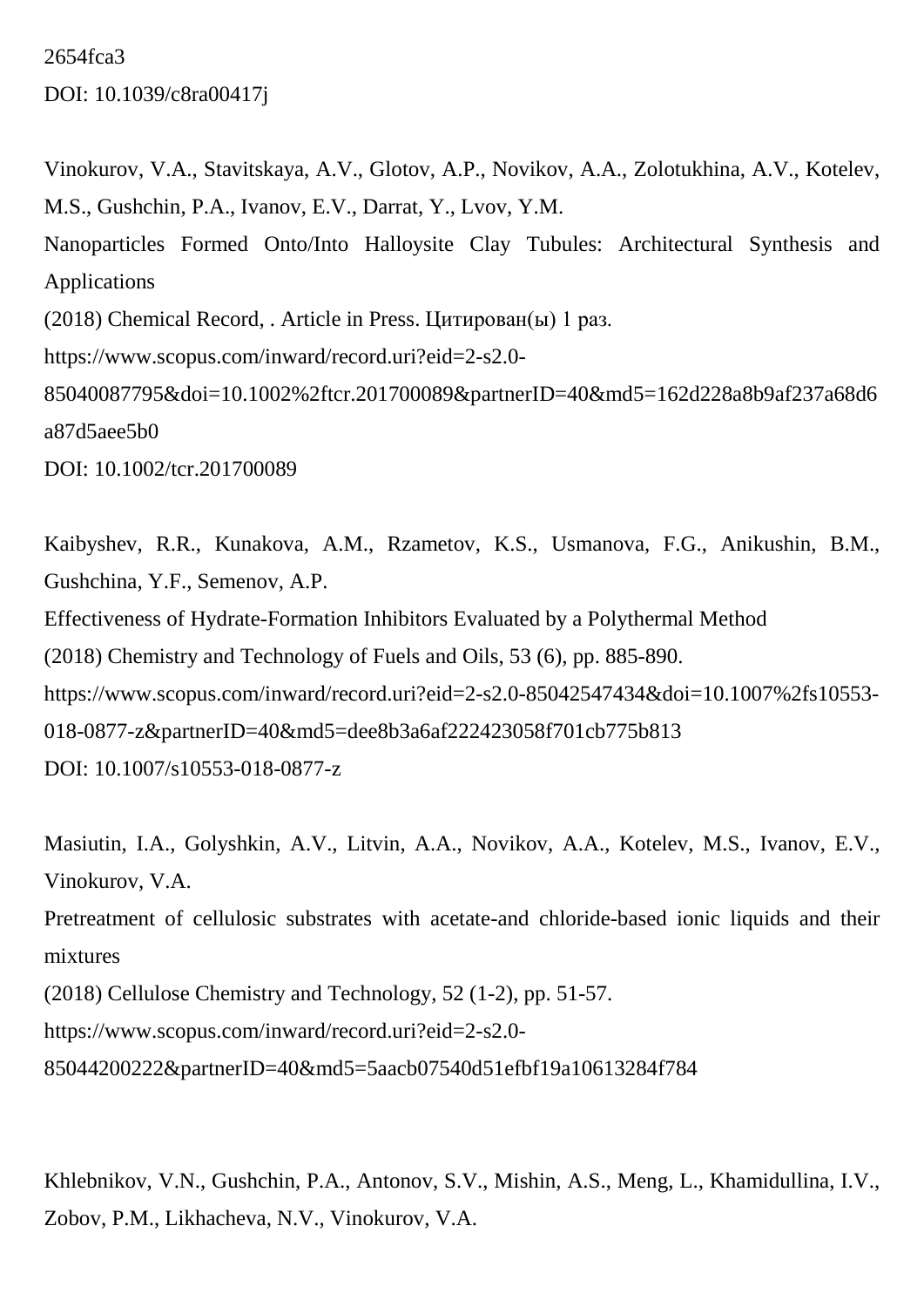2654fca3 DOI: 10.1039/c8ra00417j

Vinokurov, V.A., Stavitskaya, A.V., Glotov, A.P., Novikov, A.A., Zolotukhina, A.V., Kotelev, M.S., Gushchin, P.A., Ivanov, E.V., Darrat, Y., Lvov, Y.M. Nanoparticles Formed Onto/Into Halloysite Clay Tubules: Architectural Synthesis and Applications (2018) Chemical Record, . Article in Press. Цитирован(ы) 1 раз. https://www.scopus.com/inward/record.uri?eid=2-s2.0- 85040087795&doi=10.1002%2ftcr.201700089&partnerID=40&md5=162d228a8b9af237a68d6 a87d5aee5b0 DOI: 10.1002/tcr.201700089

Kaibyshev, R.R., Kunakova, A.M., Rzametov, K.S., Usmanova, F.G., Anikushin, B.M., Gushchina, Y.F., Semenov, A.P. Effectiveness of Hydrate-Formation Inhibitors Evaluated by a Polythermal Method (2018) Chemistry and Technology of Fuels and Oils, 53 (6), pp. 885-890. https://www.scopus.com/inward/record.uri?eid=2-s2.0-85042547434&doi=10.1007%2fs10553- 018-0877-z&partnerID=40&md5=dee8b3a6af222423058f701cb775b813 DOI: 10.1007/s10553-018-0877-z

Masiutin, I.A., Golyshkin, A.V., Litvin, A.A., Novikov, A.A., Kotelev, M.S., Ivanov, E.V., Vinokurov, V.A.

Pretreatment of cellulosic substrates with acetate-and chloride-based ionic liquids and their mixtures

(2018) Cellulose Chemistry and Technology, 52 (1-2), pp. 51-57.

https://www.scopus.com/inward/record.uri?eid=2-s2.0-

85044200222&partnerID=40&md5=5aacb07540d51efbf19a10613284f784

Khlebnikov, V.N., Gushchin, P.A., Antonov, S.V., Mishin, A.S., Meng, L., Khamidullina, I.V., Zobov, P.M., Likhacheva, N.V., Vinokurov, V.A.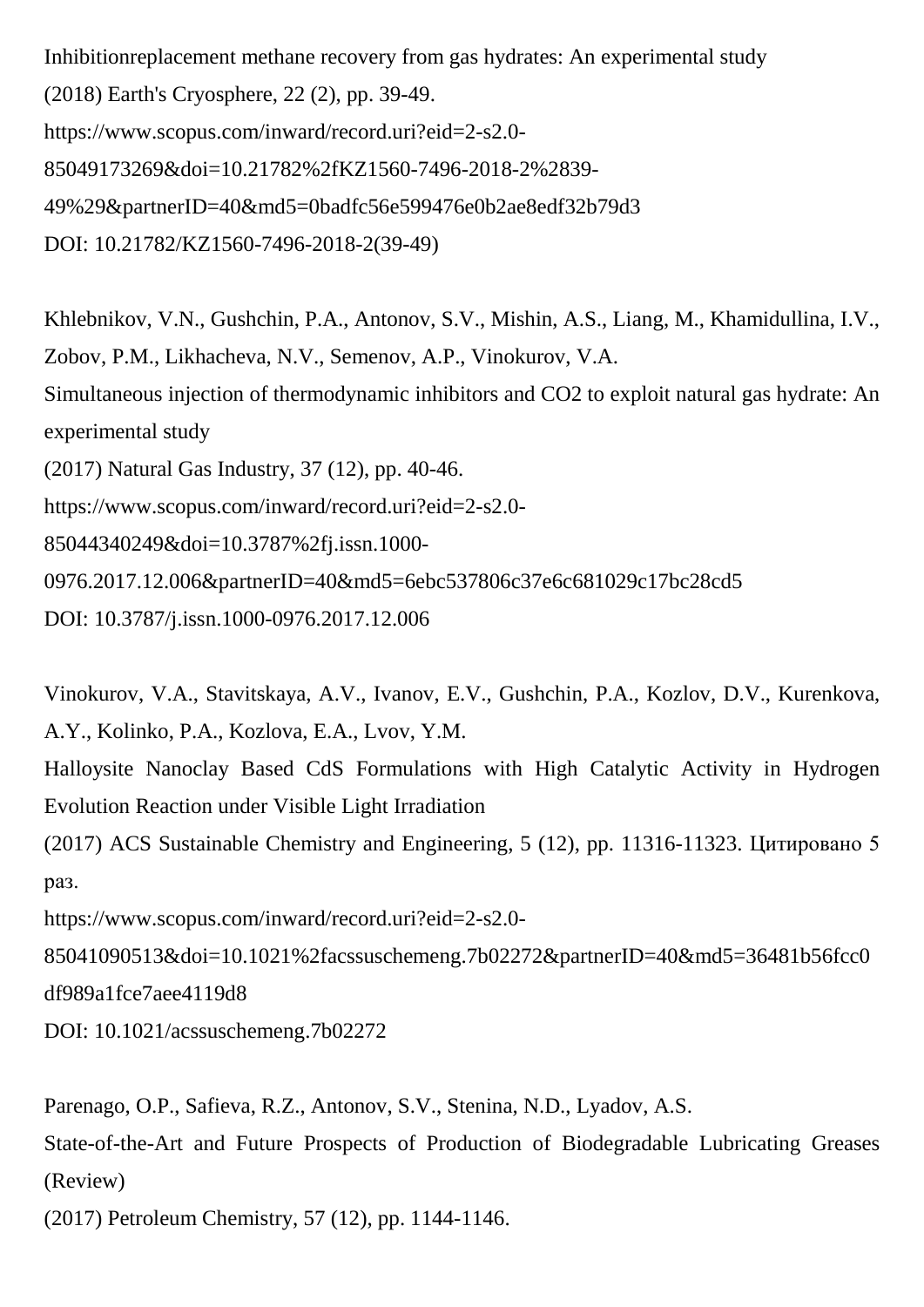Inhibitionreplacement methane recovery from gas hydrates: An experimental study (2018) Earth's Cryosphere, 22 (2), pp. 39-49. https://www.scopus.com/inward/record.uri?eid=2-s2.0- 85049173269&doi=10.21782%2fKZ1560-7496-2018-2%2839- 49%29&partnerID=40&md5=0badfc56e599476e0b2ae8edf32b79d3 DOI: 10.21782/KZ1560-7496-2018-2(39-49)

Khlebnikov, V.N., Gushchin, P.A., Antonov, S.V., Mishin, A.S., Liang, M., Khamidullina, I.V., Zobov, P.M., Likhacheva, N.V., Semenov, A.P., Vinokurov, V.A. Simultaneous injection of thermodynamic inhibitors and CO2 to exploit natural gas hydrate: An experimental study (2017) Natural Gas Industry, 37 (12), pp. 40-46. https://www.scopus.com/inward/record.uri?eid=2-s2.0- 85044340249&doi=10.3787%2fj.issn.1000- 0976.2017.12.006&partnerID=40&md5=6ebc537806c37e6c681029c17bc28cd5 DOI: 10.3787/j.issn.1000-0976.2017.12.006

Vinokurov, V.A., Stavitskaya, A.V., Ivanov, E.V., Gushchin, P.A., Kozlov, D.V., Kurenkova, A.Y., Kolinko, P.A., Kozlova, E.A., Lvov, Y.M.

Halloysite Nanoclay Based CdS Formulations with High Catalytic Activity in Hydrogen Evolution Reaction under Visible Light Irradiation

(2017) ACS Sustainable Chemistry and Engineering, 5 (12), pp. 11316-11323. Цитировано 5 раз.

https://www.scopus.com/inward/record.uri?eid=2-s2.0-

85041090513&doi=10.1021%2facssuschemeng.7b02272&partnerID=40&md5=36481b56fcc0 df989a1fce7aee4119d8

DOI: 10.1021/acssuschemeng.7b02272

Parenago, O.P., Safieva, R.Z., Antonov, S.V., Stenina, N.D., Lyadov, A.S.

State-of-the-Art and Future Prospects of Production of Biodegradable Lubricating Greases (Review)

(2017) Petroleum Chemistry, 57 (12), pp. 1144-1146.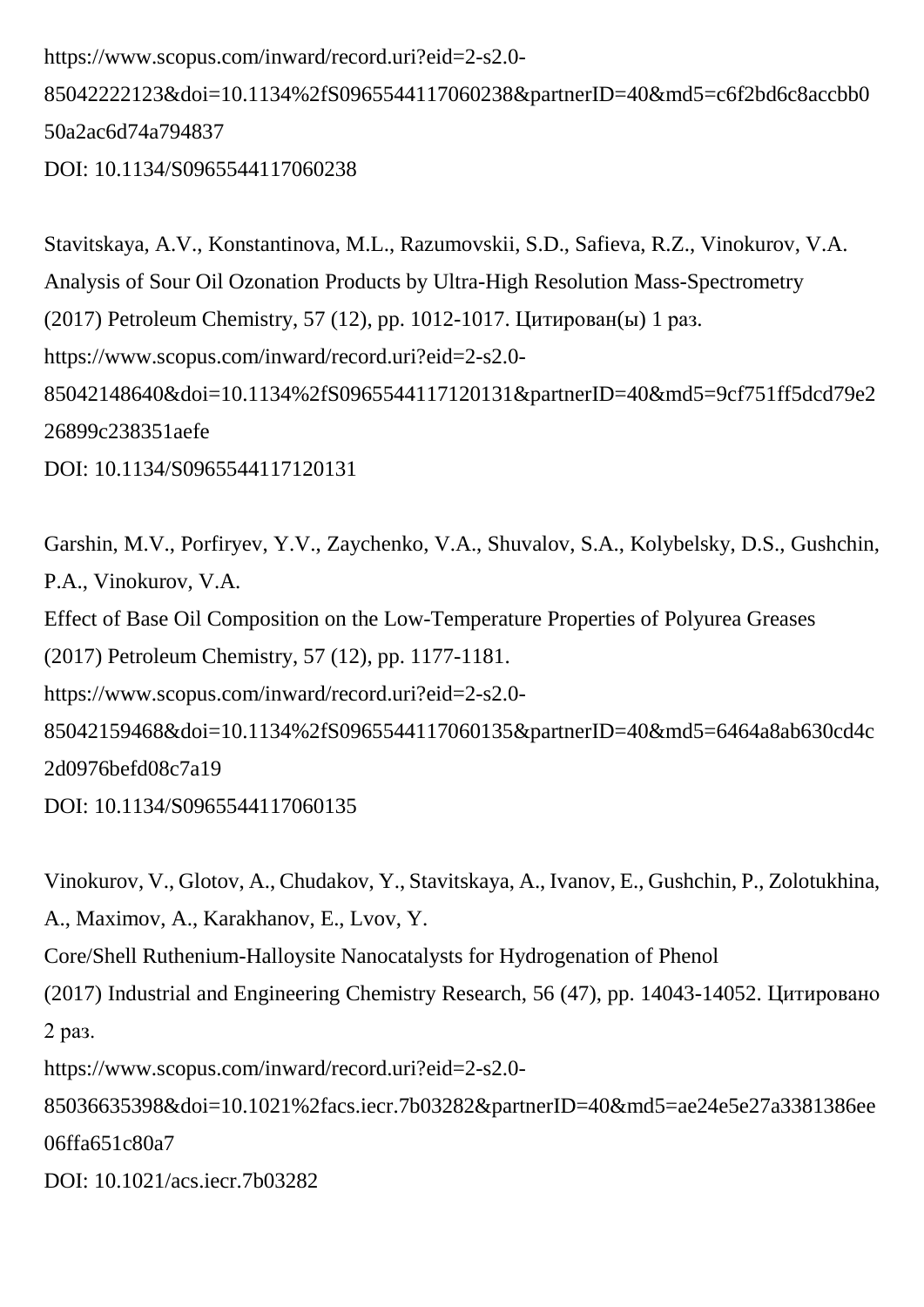https://www.scopus.com/inward/record.uri?eid=2-s2.0- 85042222123&doi=10.1134%2fS0965544117060238&partnerID=40&md5=c6f2bd6c8accbb0 50a2ac6d74a794837 DOI: 10.1134/S0965544117060238

Stavitskaya, A.V., Konstantinova, M.L., Razumovskii, S.D., Safieva, R.Z., Vinokurov, V.A. Analysis of Sour Oil Ozonation Products by Ultra-High Resolution Mass-Spectrometry (2017) Petroleum Chemistry, 57 (12), pp. 1012-1017. Цитирован(ы) 1 раз. https://www.scopus.com/inward/record.uri?eid=2-s2.0- 85042148640&doi=10.1134%2fS0965544117120131&partnerID=40&md5=9cf751ff5dcd79e2 26899c238351aefe DOI: 10.1134/S0965544117120131

Garshin, M.V., Porfiryev, Y.V., Zaychenko, V.A., Shuvalov, S.A., Kolybelsky, D.S., Gushchin, P.A., Vinokurov, V.A. Effect of Base Oil Composition on the Low-Temperature Properties of Polyurea Greases (2017) Petroleum Chemistry, 57 (12), pp. 1177-1181. https://www.scopus.com/inward/record.uri?eid=2-s2.0- 85042159468&doi=10.1134%2fS0965544117060135&partnerID=40&md5=6464a8ab630cd4c 2d0976befd08c7a19

DOI: 10.1134/S0965544117060135

Vinokurov, V., Glotov, A., Chudakov, Y., Stavitskaya, A., Ivanov, E., Gushchin, P., Zolotukhina,

A., Maximov, A., Karakhanov, E., Lvov, Y.

Core/Shell Ruthenium-Halloysite Nanocatalysts for Hydrogenation of Phenol

(2017) Industrial and Engineering Chemistry Research, 56 (47), pp. 14043-14052. Цитировано 2 раз.

https://www.scopus.com/inward/record.uri?eid=2-s2.0-

85036635398&doi=10.1021%2facs.iecr.7b03282&partnerID=40&md5=ae24e5e27a3381386ee 06ffa651c80a7

DOI: 10.1021/acs.iecr.7b03282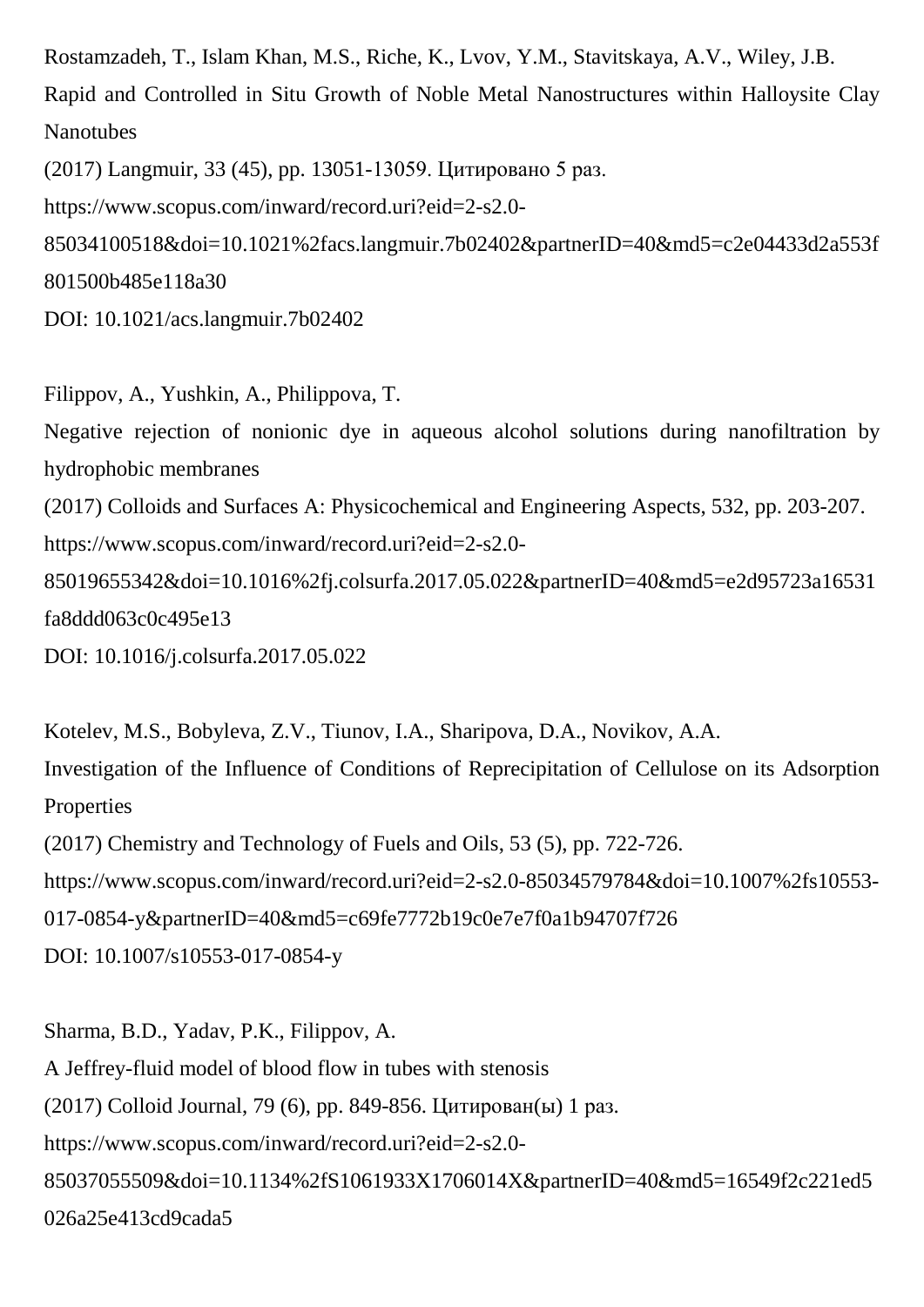Rostamzadeh, T., Islam Khan, M.S., Riche, K., Lvov, Y.M., Stavitskaya, A.V., Wiley, J.B. Rapid and Controlled in Situ Growth of Noble Metal Nanostructures within Halloysite Clay Nanotubes

(2017) Langmuir, 33 (45), pp. 13051-13059. Цитировано 5 раз.

https://www.scopus.com/inward/record.uri?eid=2-s2.0-

85034100518&doi=10.1021%2facs.langmuir.7b02402&partnerID=40&md5=c2e04433d2a553f 801500b485e118a30

DOI: 10.1021/acs.langmuir.7b02402

Filippov, A., Yushkin, A., Philippova, T. Negative rejection of nonionic dye in aqueous alcohol solutions during nanofiltration by hydrophobic membranes (2017) Colloids and Surfaces A: Physicochemical and Engineering Aspects, 532, pp. 203-207. https://www.scopus.com/inward/record.uri?eid=2-s2.0- 85019655342&doi=10.1016%2fj.colsurfa.2017.05.022&partnerID=40&md5=e2d95723a16531 fa8ddd063c0c495e13 DOI: 10.1016/j.colsurfa.2017.05.022

Kotelev, M.S., Bobyleva, Z.V., Tiunov, I.A., Sharipova, D.A., Novikov, A.A. Investigation of the Influence of Conditions of Reprecipitation of Cellulose on its Adsorption Properties (2017) Chemistry and Technology of Fuels and Oils, 53 (5), pp. 722-726. https://www.scopus.com/inward/record.uri?eid=2-s2.0-85034579784&doi=10.1007%2fs10553- 017-0854-y&partnerID=40&md5=c69fe7772b19c0e7e7f0a1b94707f726 DOI: 10.1007/s10553-017-0854-y

Sharma, B.D., Yadav, P.K., Filippov, A. A Jeffrey-fluid model of blood flow in tubes with stenosis (2017) Colloid Journal, 79 (6), pp. 849-856. Цитирован(ы) 1 раз. https://www.scopus.com/inward/record.uri?eid=2-s2.0- 85037055509&doi=10.1134%2fS1061933X1706014X&partnerID=40&md5=16549f2c221ed5 026a25e413cd9cada5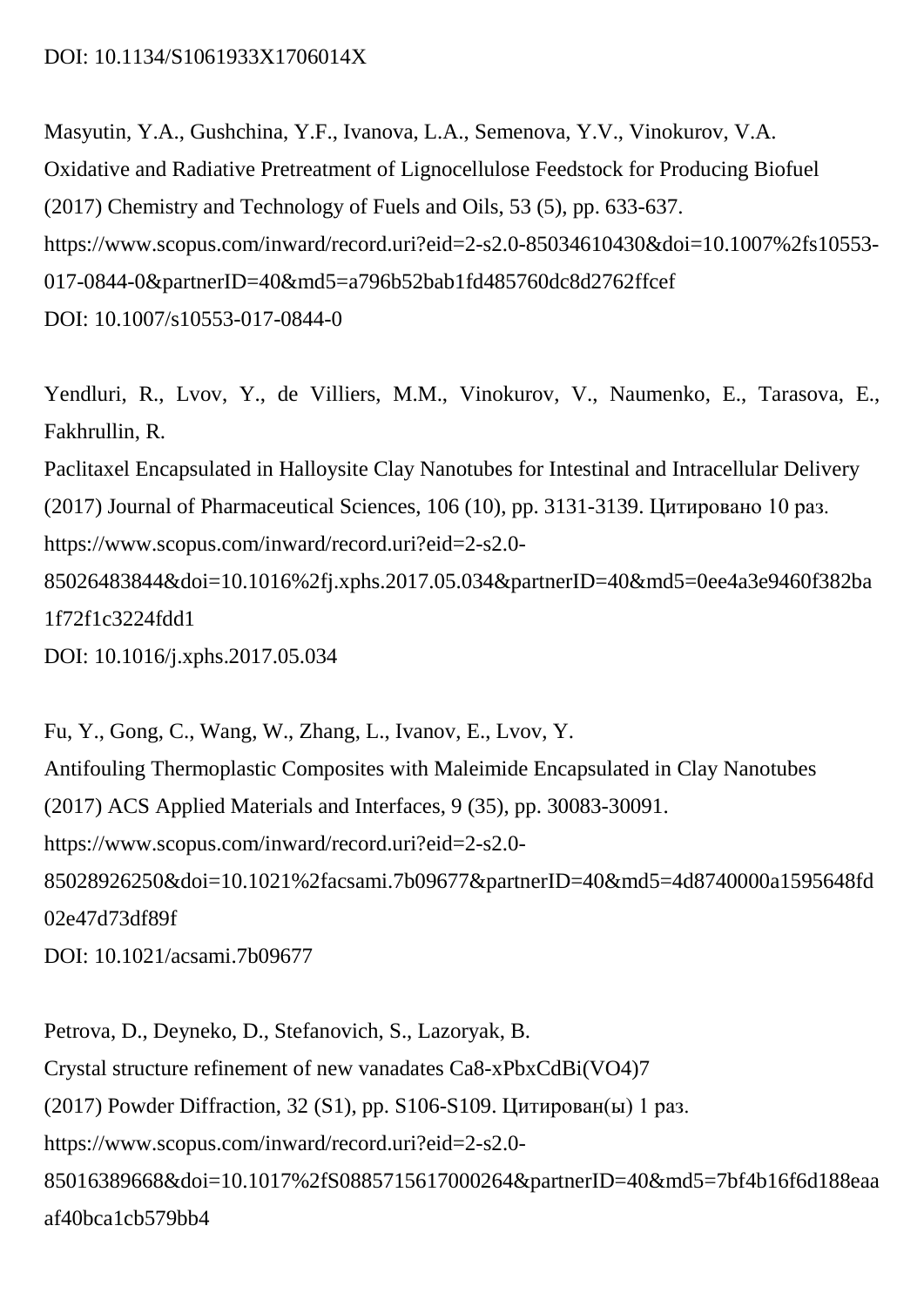### DOI: 10.1134/S1061933X1706014X

Masyutin, Y.A., Gushchina, Y.F., Ivanova, L.A., Semenova, Y.V., Vinokurov, V.A. Oxidative and Radiative Pretreatment of Lignocellulose Feedstock for Producing Biofuel (2017) Chemistry and Technology of Fuels and Oils, 53 (5), pp. 633-637. https://www.scopus.com/inward/record.uri?eid=2-s2.0-85034610430&doi=10.1007%2fs10553- 017-0844-0&partnerID=40&md5=a796b52bab1fd485760dc8d2762ffcef DOI: 10.1007/s10553-017-0844-0

Yendluri, R., Lvov, Y., de Villiers, M.M., Vinokurov, V., Naumenko, E., Tarasova, E., Fakhrullin, R. Paclitaxel Encapsulated in Halloysite Clay Nanotubes for Intestinal and Intracellular Delivery (2017) Journal of Pharmaceutical Sciences, 106 (10), pp. 3131-3139. Цитировано 10 раз.

https://www.scopus.com/inward/record.uri?eid=2-s2.0-

85026483844&doi=10.1016%2fj.xphs.2017.05.034&partnerID=40&md5=0ee4a3e9460f382ba 1f72f1c3224fdd1

DOI: 10.1016/j.xphs.2017.05.034

Fu, Y., Gong, C., Wang, W., Zhang, L., Ivanov, E., Lvov, Y. Antifouling Thermoplastic Composites with Maleimide Encapsulated in Clay Nanotubes (2017) ACS Applied Materials and Interfaces, 9 (35), pp. 30083-30091. https://www.scopus.com/inward/record.uri?eid=2-s2.0- 85028926250&doi=10.1021%2facsami.7b09677&partnerID=40&md5=4d8740000a1595648fd 02e47d73df89f DOI: 10.1021/acsami.7b09677

Petrova, D., Deyneko, D., Stefanovich, S., Lazoryak, B. Crystal structure refinement of new vanadates Ca8-xPbxCdBi(VO4)7 (2017) Powder Diffraction, 32 (S1), pp. S106-S109. Цитирован(ы) 1 раз. https://www.scopus.com/inward/record.uri?eid=2-s2.0- 85016389668&doi=10.1017%2fS0885715617000264&partnerID=40&md5=7bf4b16f6d188eaa af40bca1cb579bb4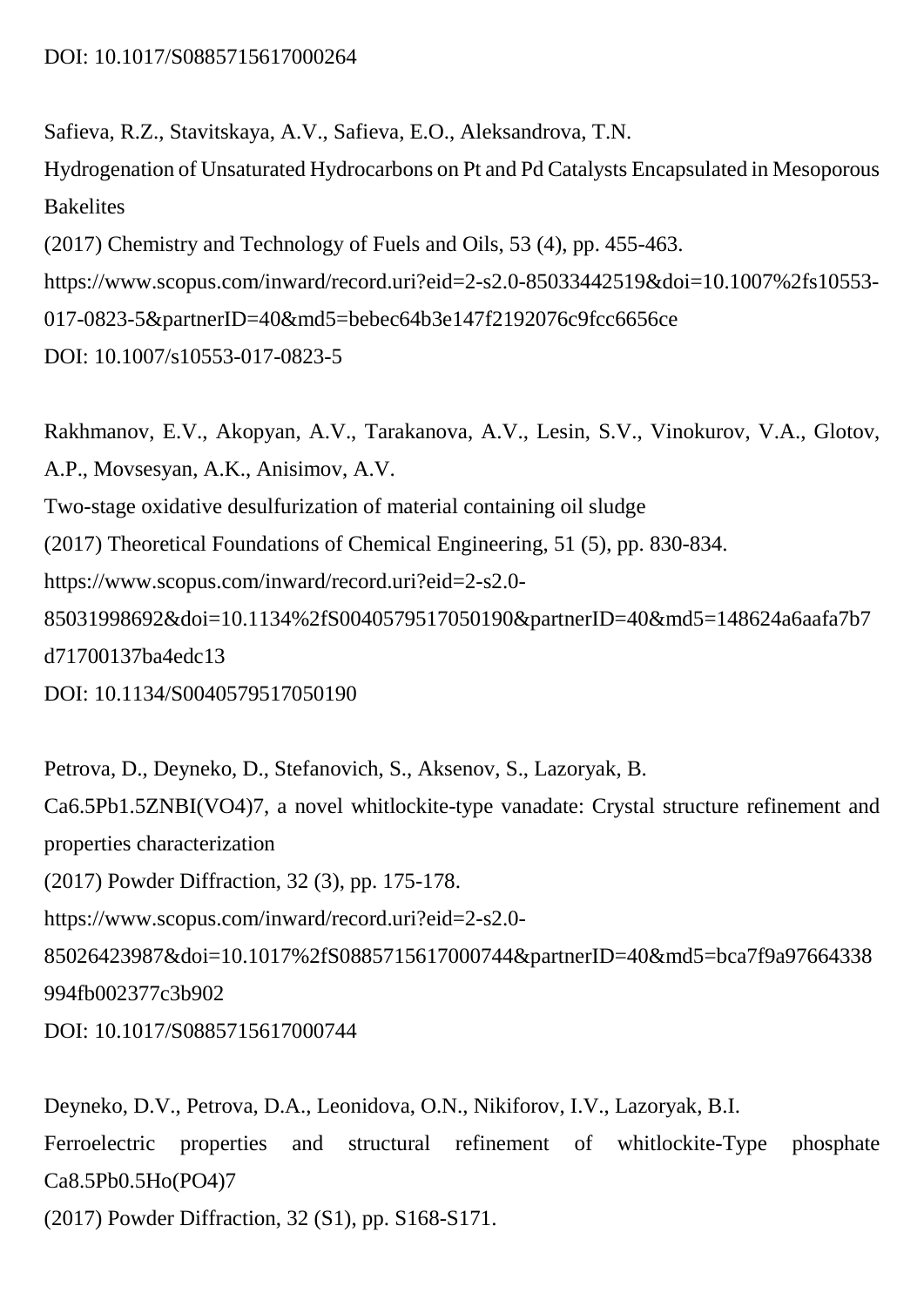Safieva, R.Z., Stavitskaya, A.V., Safieva, E.O., Aleksandrova, T.N.

Hydrogenation of Unsaturated Hydrocarbons on Pt and Pd Catalysts Encapsulated in Mesoporous **Bakelites** 

(2017) Chemistry and Technology of Fuels and Oils, 53 (4), pp. 455-463.

https://www.scopus.com/inward/record.uri?eid=2-s2.0-85033442519&doi=10.1007%2fs10553-

017-0823-5&partnerID=40&md5=bebec64b3e147f2192076c9fcc6656ce

DOI: 10.1007/s10553-017-0823-5

Rakhmanov, E.V., Akopyan, A.V., Tarakanova, A.V., Lesin, S.V., Vinokurov, V.A., Glotov, A.P., Movsesyan, A.K., Anisimov, A.V. Two-stage oxidative desulfurization of material containing oil sludge (2017) Theoretical Foundations of Chemical Engineering, 51 (5), pp. 830-834. https://www.scopus.com/inward/record.uri?eid=2-s2.0- 85031998692&doi=10.1134%2fS0040579517050190&partnerID=40&md5=148624a6aafa7b7 d71700137ba4edc13 DOI: 10.1134/S0040579517050190

Petrova, D., Deyneko, D., Stefanovich, S., Aksenov, S., Lazoryak, B. Ca6.5Pb1.5ZNBI(VO4)7, a novel whitlockite-type vanadate: Crystal structure refinement and properties characterization (2017) Powder Diffraction, 32 (3), pp. 175-178. https://www.scopus.com/inward/record.uri?eid=2-s2.0- 85026423987&doi=10.1017%2fS0885715617000744&partnerID=40&md5=bca7f9a97664338 994fb002377c3b902 DOI: 10.1017/S0885715617000744

Deyneko, D.V., Petrova, D.A., Leonidova, O.N., Nikiforov, I.V., Lazoryak, B.I. Ferroelectric properties and structural refinement of whitlockite-Type phosphate Ca8.5Pb0.5Ho(PO4)7 (2017) Powder Diffraction, 32 (S1), pp. S168-S171.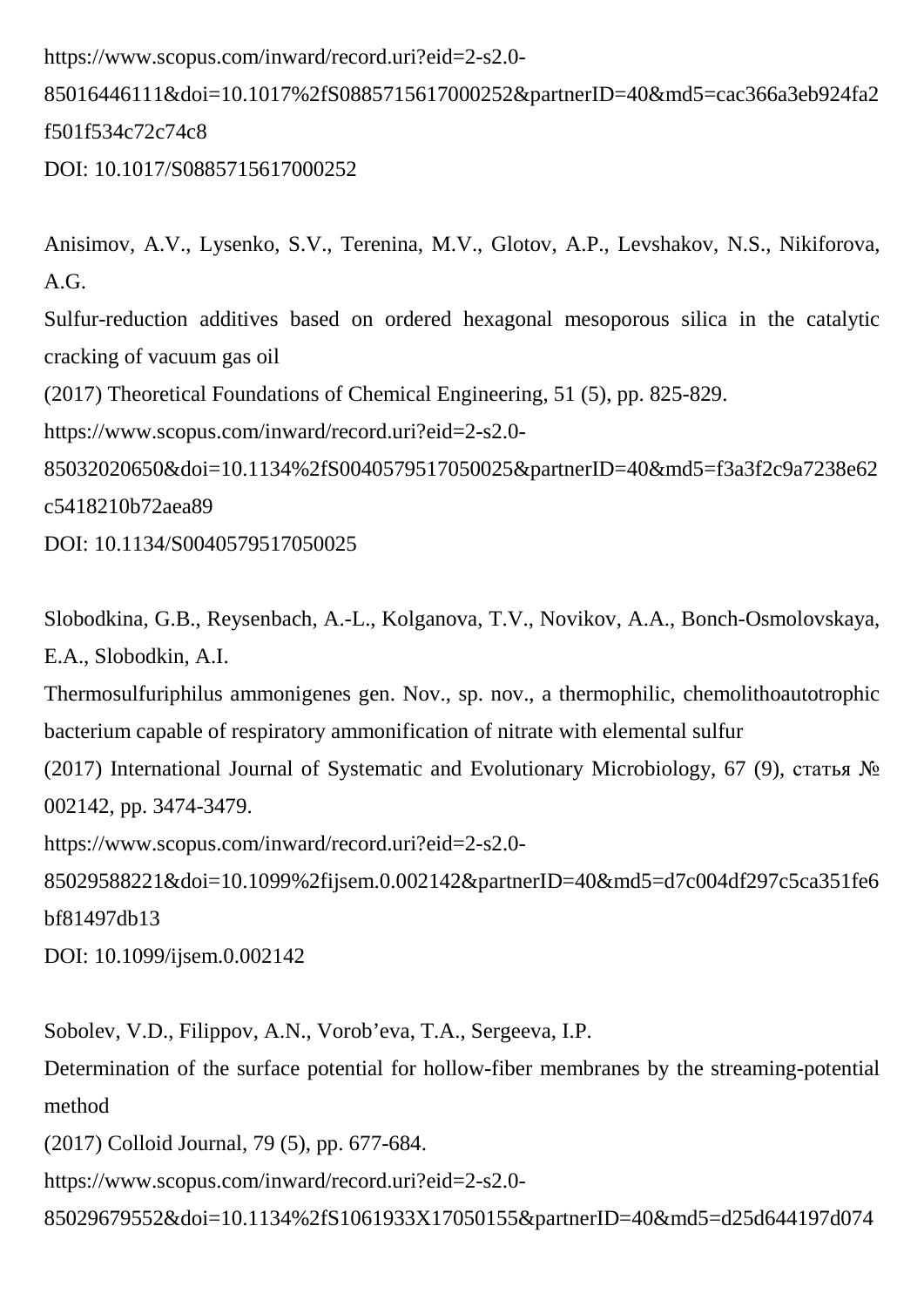https://www.scopus.com/inward/record.uri?eid=2-s2.0-

85016446111&doi=10.1017%2fS0885715617000252&partnerID=40&md5=cac366a3eb924fa2 f501f534c72c74c8

DOI: 10.1017/S0885715617000252

Anisimov, A.V., Lysenko, S.V., Terenina, M.V., Glotov, A.P., Levshakov, N.S., Nikiforova, A.G. Sulfur-reduction additives based on ordered hexagonal mesoporous silica in the catalytic cracking of vacuum gas oil (2017) Theoretical Foundations of Chemical Engineering, 51 (5), pp. 825-829. https://www.scopus.com/inward/record.uri?eid=2-s2.0- 85032020650&doi=10.1134%2fS0040579517050025&partnerID=40&md5=f3a3f2c9a7238e62 c5418210b72aea89 DOI: 10.1134/S0040579517050025

Slobodkina, G.B., Reysenbach, A.-L., Kolganova, T.V., Novikov, A.A., Bonch-Osmolovskaya, E.A., Slobodkin, A.I.

Thermosulfuriphilus ammonigenes gen. Nov., sp. nov., a thermophilic, chemolithoautotrophic bacterium capable of respiratory ammonification of nitrate with elemental sulfur

(2017) International Journal of Systematic and Evolutionary Microbiology, 67 (9), статья № 002142, pp. 3474-3479.

https://www.scopus.com/inward/record.uri?eid=2-s2.0-

85029588221&doi=10.1099%2fijsem.0.002142&partnerID=40&md5=d7c004df297c5ca351fe6 bf81497db13

DOI: 10.1099/ijsem.0.002142

Sobolev, V.D., Filippov, A.N., Vorob'eva, T.A., Sergeeva, I.P.

Determination of the surface potential for hollow-fiber membranes by the streaming-potential method

(2017) Colloid Journal, 79 (5), pp. 677-684.

https://www.scopus.com/inward/record.uri?eid=2-s2.0-

85029679552&doi=10.1134%2fS1061933X17050155&partnerID=40&md5=d25d644197d074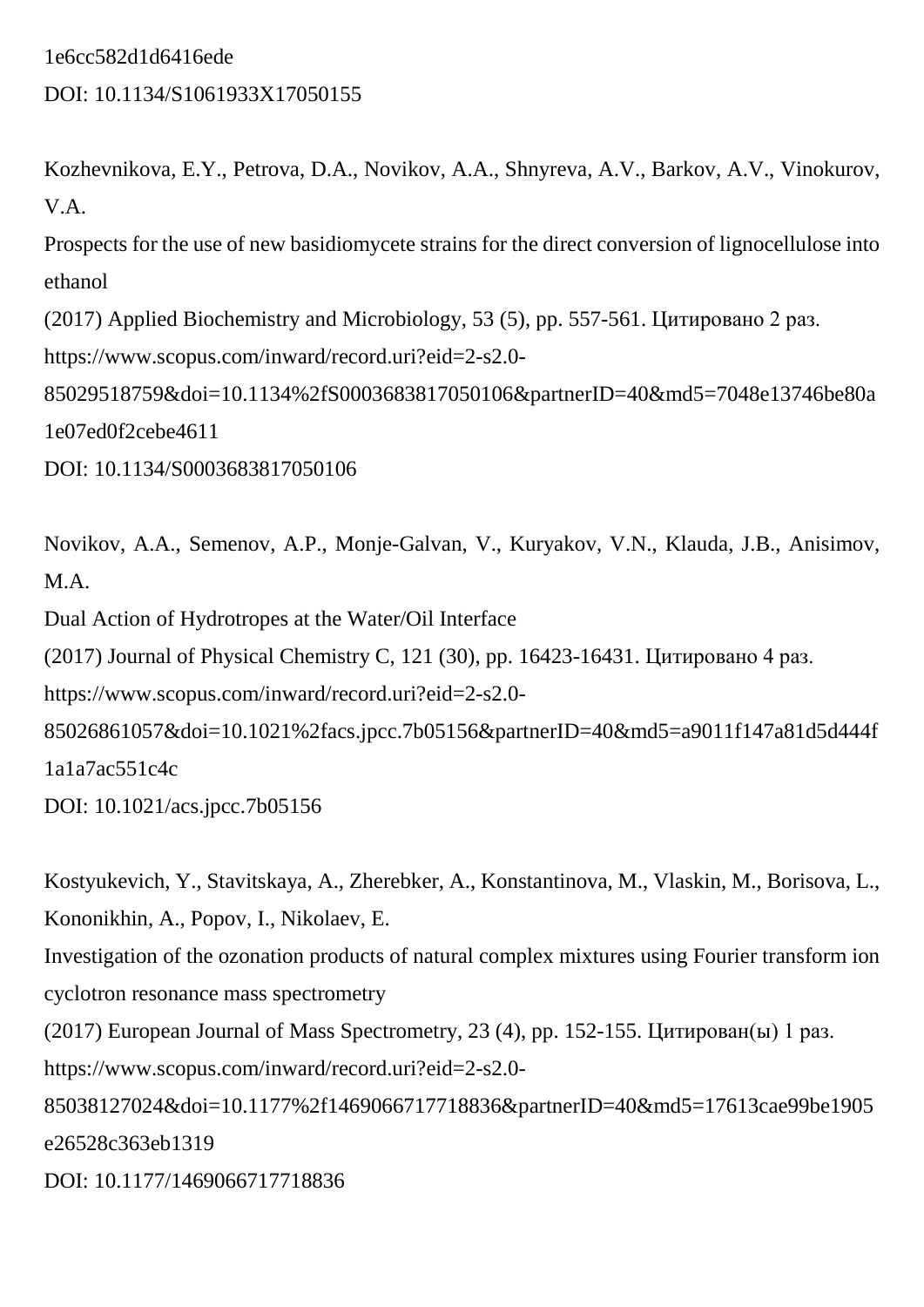### 1e6cc582d1d6416ede

### DOI: 10.1134/S1061933X17050155

Kozhevnikova, E.Y., Petrova, D.A., Novikov, A.A., Shnyreva, A.V., Barkov, A.V., Vinokurov, V.A.

Prospects for the use of new basidiomycete strains for the direct conversion of lignocellulose into ethanol

(2017) Applied Biochemistry and Microbiology, 53 (5), pp. 557-561. Цитировано 2 раз.

https://www.scopus.com/inward/record.uri?eid=2-s2.0-

85029518759&doi=10.1134%2fS0003683817050106&partnerID=40&md5=7048e13746be80a 1e07ed0f2cebe4611

DOI: 10.1134/S0003683817050106

Novikov, A.A., Semenov, A.P., Monje-Galvan, V., Kuryakov, V.N., Klauda, J.B., Anisimov, M.A.

Dual Action of Hydrotropes at the Water/Oil Interface

(2017) Journal of Physical Chemistry C, 121 (30), pp. 16423-16431. Цитировано 4 раз.

https://www.scopus.com/inward/record.uri?eid=2-s2.0-

85026861057&doi=10.1021%2facs.jpcc.7b05156&partnerID=40&md5=a9011f147a81d5d444f 1a1a7ac551c4c

DOI: 10.1021/acs.jpcc.7b05156

Kostyukevich, Y., Stavitskaya, A., Zherebker, A., Konstantinova, M., Vlaskin, M., Borisova, L., Kononikhin, A., Popov, I., Nikolaev, E.

Investigation of the ozonation products of natural complex mixtures using Fourier transform ion cyclotron resonance mass spectrometry

(2017) European Journal of Mass Spectrometry, 23 (4), pp. 152-155. Цитирован(ы) 1 раз.

https://www.scopus.com/inward/record.uri?eid=2-s2.0-

85038127024&doi=10.1177%2f1469066717718836&partnerID=40&md5=17613cae99be1905 e26528c363eb1319

DOI: 10.1177/1469066717718836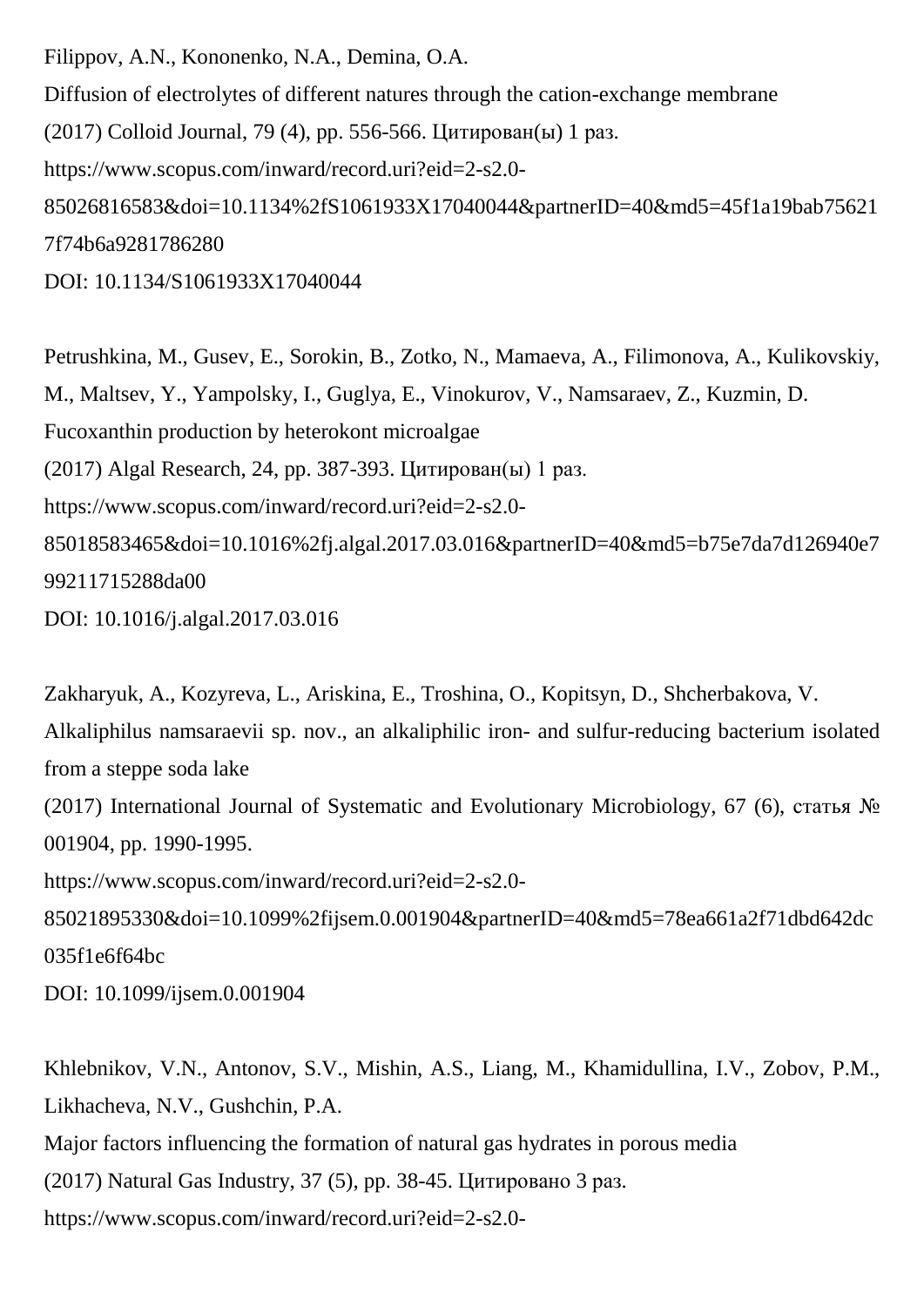Filippov, A.N., Kononenko, N.A., Demina, O.A. Diffusion of electrolytes of different natures through the cation-exchange membrane (2017) Colloid Journal, 79 (4), pp. 556-566. Цитирован(ы) 1 раз. https://www.scopus.com/inward/record.uri?eid=2-s2.0- 85026816583&doi=10.1134%2fS1061933X17040044&partnerID=40&md5=45f1a19bab75621 7f74b6a9281786280 DOI: 10.1134/S1061933X17040044

Petrushkina, M., Gusev, E., Sorokin, B., Zotko, N., Mamaeva, A., Filimonova, A., Kulikovskiy, M., Maltsev, Y., Yampolsky, I., Guglya, E., Vinokurov, V., Namsaraev, Z., Kuzmin, D. Fucoxanthin production by heterokont microalgae (2017) Algal Research, 24, pp. 387-393. Цитирован(ы) 1 раз. https://www.scopus.com/inward/record.uri?eid=2-s2.0- 85018583465&doi=10.1016%2fj.algal.2017.03.016&partnerID=40&md5=b75e7da7d126940e7 99211715288da00 DOI: 10.1016/j.algal.2017.03.016

Zakharyuk, A., Kozyreva, L., Ariskina, E., Troshina, O., Kopitsyn, D., Shcherbakova, V. Alkaliphilus namsaraevii sp. nov., an alkaliphilic iron- and sulfur-reducing bacterium isolated from a steppe soda lake (2017) International Journal of Systematic and Evolutionary Microbiology, 67 (6), статья № 001904, pp. 1990-1995. https://www.scopus.com/inward/record.uri?eid=2-s2.0- 85021895330&doi=10.1099%2fijsem.0.001904&partnerID=40&md5=78ea661a2f71dbd642dc 035f1e6f64bc DOI: 10.1099/ijsem.0.001904

Khlebnikov, V.N., Antonov, S.V., Mishin, A.S., Liang, M., Khamidullina, I.V., Zobov, P.M., Likhacheva, N.V., Gushchin, P.A. Major factors influencing the formation of natural gas hydrates in porous media (2017) Natural Gas Industry, 37 (5), pp. 38-45. Цитировано 3 раз. https://www.scopus.com/inward/record.uri?eid=2-s2.0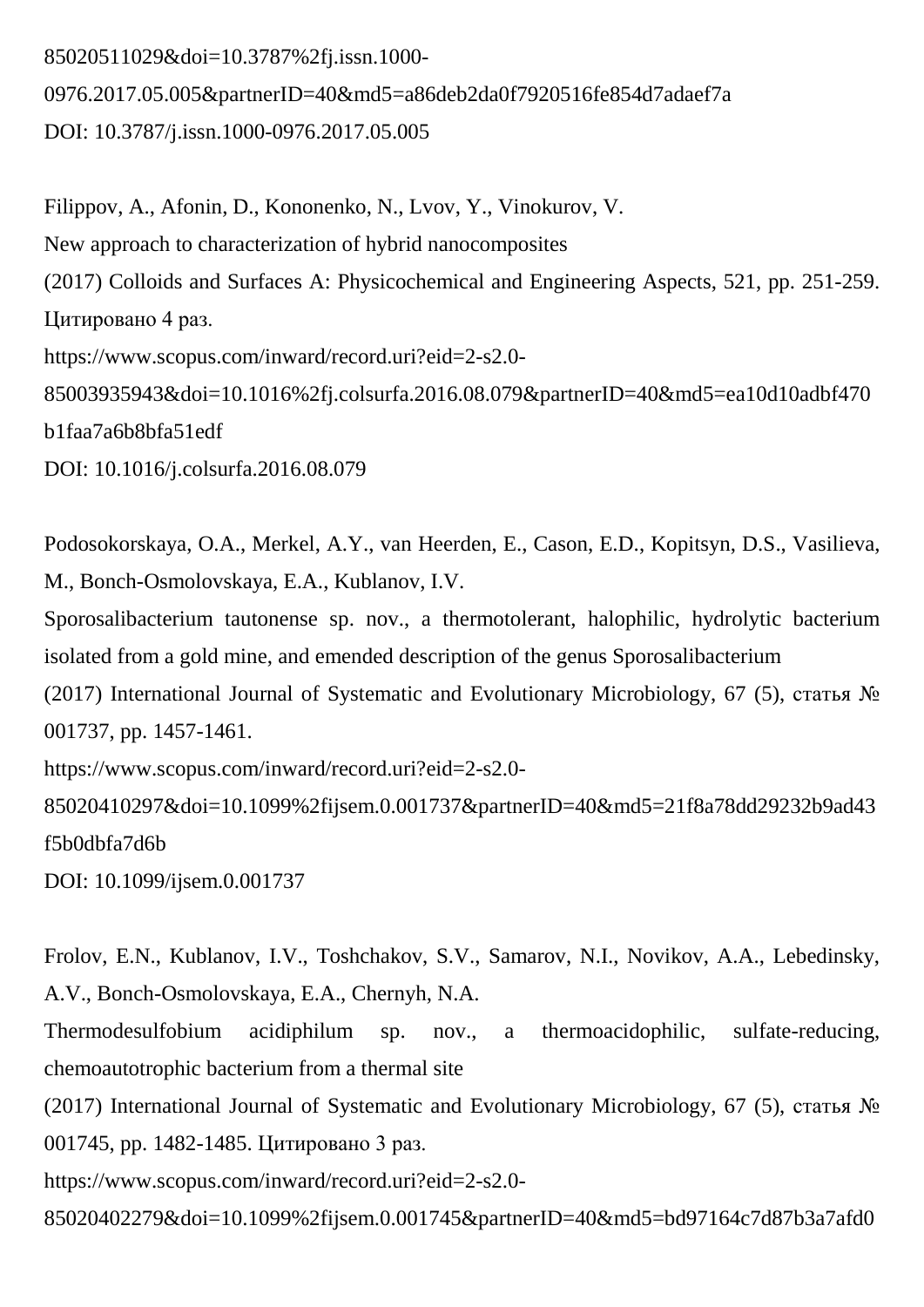85020511029&doi=10.3787%2fj.issn.1000- 0976.2017.05.005&partnerID=40&md5=a86deb2da0f7920516fe854d7adaef7a DOI: 10.3787/j.issn.1000-0976.2017.05.005

Filippov, A., Afonin, D., Kononenko, N., Lvov, Y., Vinokurov, V. New approach to characterization of hybrid nanocomposites (2017) Colloids and Surfaces A: Physicochemical and Engineering Aspects, 521, pp. 251-259. Цитировано 4 раз. https://www.scopus.com/inward/record.uri?eid=2-s2.0- 85003935943&doi=10.1016%2fj.colsurfa.2016.08.079&partnerID=40&md5=ea10d10adbf470 b1faa7a6b8bfa51edf DOI: 10.1016/j.colsurfa.2016.08.079

Podosokorskaya, O.A., Merkel, A.Y., van Heerden, E., Cason, E.D., Kopitsyn, D.S., Vasilieva, M., Bonch-Osmolovskaya, E.A., Kublanov, I.V. Sporosalibacterium tautonense sp. nov., a thermotolerant, halophilic, hydrolytic bacterium isolated from a gold mine, and emended description of the genus Sporosalibacterium (2017) International Journal of Systematic and Evolutionary Microbiology, 67 (5), статья № 001737, pp. 1457-1461. https://www.scopus.com/inward/record.uri?eid=2-s2.0- 85020410297&doi=10.1099%2fijsem.0.001737&partnerID=40&md5=21f8a78dd29232b9ad43 f5b0dbfa7d6b

DOI: 10.1099/ijsem.0.001737

Frolov, E.N., Kublanov, I.V., Toshchakov, S.V., Samarov, N.I., Novikov, A.A., Lebedinsky, A.V., Bonch-Osmolovskaya, E.A., Chernyh, N.A.

Thermodesulfobium acidiphilum sp. nov., a thermoacidophilic, sulfate-reducing, chemoautotrophic bacterium from a thermal site

(2017) International Journal of Systematic and Evolutionary Microbiology, 67 (5), статья № 001745, pp. 1482-1485. Цитировано 3 раз.

https://www.scopus.com/inward/record.uri?eid=2-s2.0-

85020402279&doi=10.1099%2fijsem.0.001745&partnerID=40&md5=bd97164c7d87b3a7afd0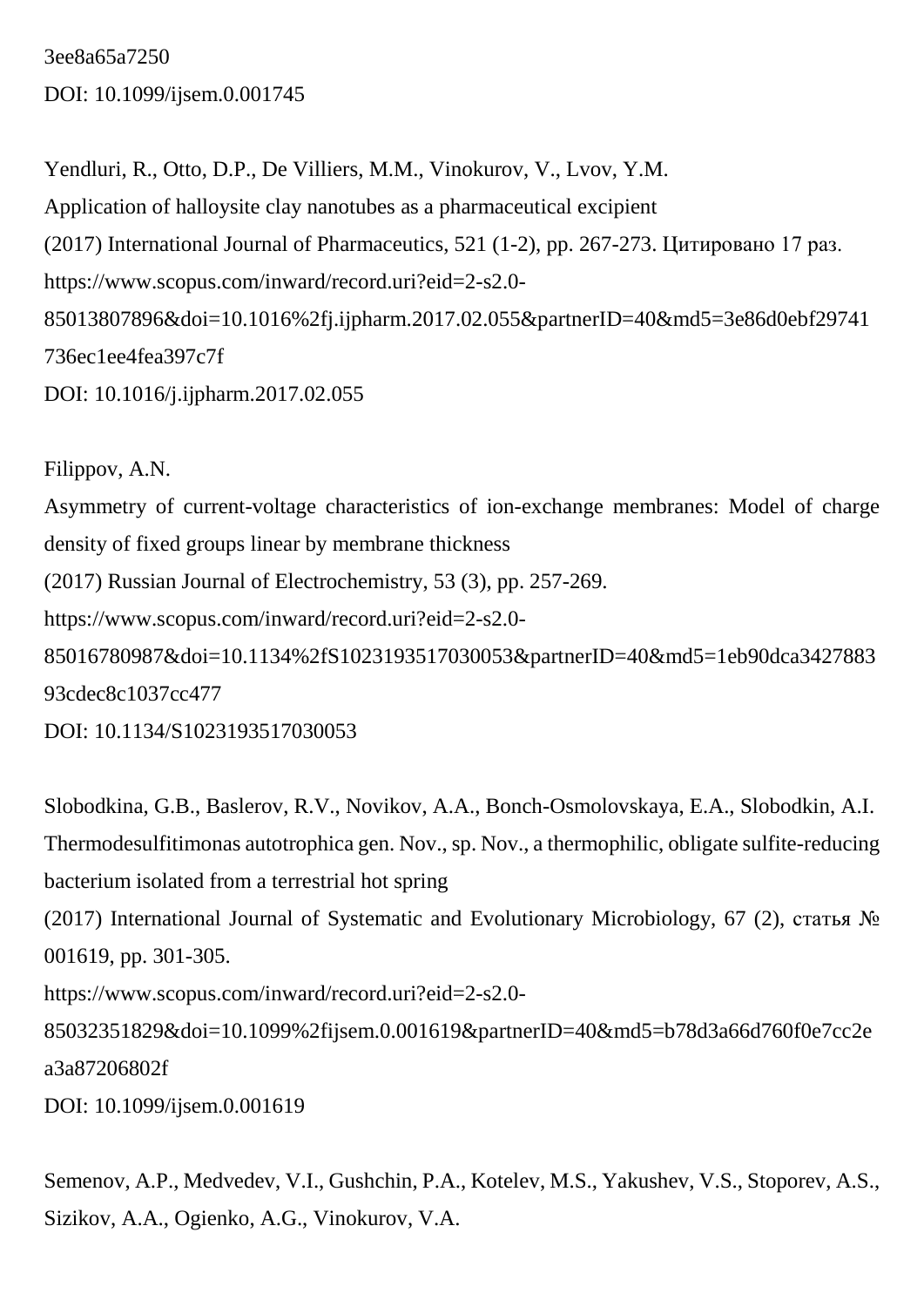3ee8a65a7250 DOI: 10.1099/ijsem.0.001745

Yendluri, R., Otto, D.P., De Villiers, M.M., Vinokurov, V., Lvov, Y.M. Application of halloysite clay nanotubes as a pharmaceutical excipient (2017) International Journal of Pharmaceutics, 521 (1-2), pp. 267-273. Цитировано 17 раз. https://www.scopus.com/inward/record.uri?eid=2-s2.0- 85013807896&doi=10.1016%2fj.ijpharm.2017.02.055&partnerID=40&md5=3e86d0ebf29741 736ec1ee4fea397c7f DOI: 10.1016/j.ijpharm.2017.02.055

Filippov, A.N. Asymmetry of current-voltage characteristics of ion-exchange membranes: Model of charge density of fixed groups linear by membrane thickness (2017) Russian Journal of Electrochemistry, 53 (3), pp. 257-269. https://www.scopus.com/inward/record.uri?eid=2-s2.0- 85016780987&doi=10.1134%2fS1023193517030053&partnerID=40&md5=1eb90dca3427883 93cdec8c1037cc477 DOI: 10.1134/S1023193517030053

Slobodkina, G.B., Baslerov, R.V., Novikov, A.A., Bonch-Osmolovskaya, E.A., Slobodkin, A.I. Thermodesulfitimonas autotrophica gen. Nov., sp. Nov., a thermophilic, obligate sulfite-reducing bacterium isolated from a terrestrial hot spring (2017) International Journal of Systematic and Evolutionary Microbiology, 67 (2), статья № 001619, pp. 301-305. https://www.scopus.com/inward/record.uri?eid=2-s2.0- 85032351829&doi=10.1099%2fijsem.0.001619&partnerID=40&md5=b78d3a66d760f0e7cc2e a3a87206802f DOI: 10.1099/ijsem.0.001619

Semenov, A.P., Medvedev, V.I., Gushchin, P.A., Kotelev, M.S., Yakushev, V.S., Stoporev, A.S., Sizikov, A.A., Ogienko, A.G., Vinokurov, V.A.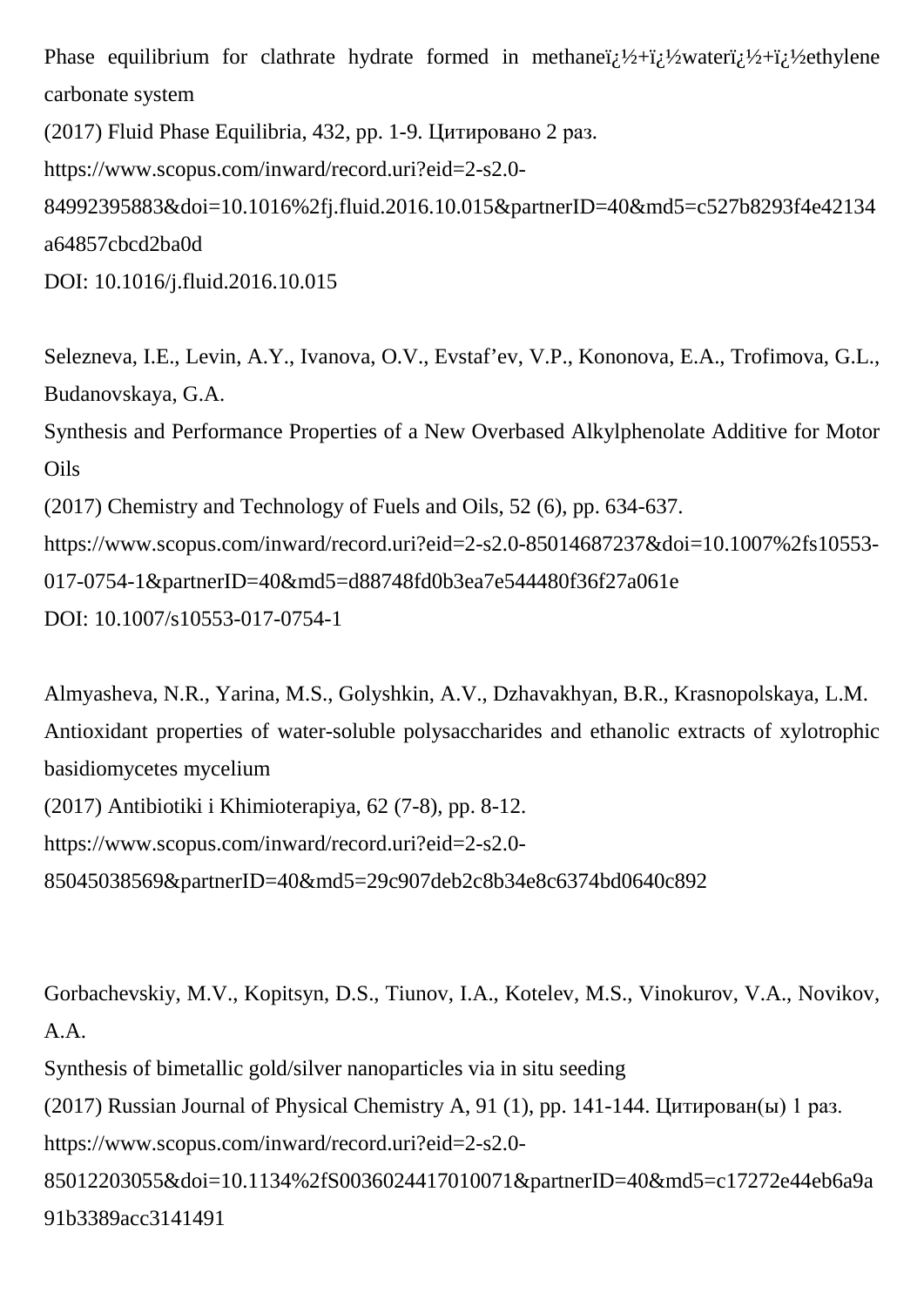Phase equilibrium for clathrate hydrate formed in methane $\ddot{i}$ ;  $\frac{1}{2}$ + $\ddot{i}$ ;  $\frac{1}{2}$ + $\ddot{i}$ ;  $\frac{1}{2}$ ethylene carbonate system

(2017) Fluid Phase Equilibria, 432, pp. 1-9. Цитировано 2 раз.

https://www.scopus.com/inward/record.uri?eid=2-s2.0-

84992395883&doi=10.1016%2fj.fluid.2016.10.015&partnerID=40&md5=c527b8293f4e42134 a64857cbcd2ba0d

DOI: 10.1016/j.fluid.2016.10.015

Selezneva, I.E., Levin, A.Y., Ivanova, O.V., Evstaf'ev, V.P., Kononova, E.A., Trofimova, G.L., Budanovskaya, G.A.

Synthesis and Performance Properties of a New Overbased Alkylphenolate Additive for Motor **Oils** 

(2017) Chemistry and Technology of Fuels and Oils, 52 (6), pp. 634-637.

https://www.scopus.com/inward/record.uri?eid=2-s2.0-85014687237&doi=10.1007%2fs10553- 017-0754-1&partnerID=40&md5=d88748fd0b3ea7e544480f36f27a061e DOI: 10.1007/s10553-017-0754-1

Almyasheva, N.R., Yarina, M.S., Golyshkin, A.V., Dzhavakhyan, B.R., Krasnopolskaya, L.M. Antioxidant properties of water-soluble polysaccharides and ethanolic extracts of xylotrophic basidiomycetes mycelium (2017) Antibiotiki i Khimioterapiya, 62 (7-8), pp. 8-12. https://www.scopus.com/inward/record.uri?eid=2-s2.0- 85045038569&partnerID=40&md5=29c907deb2c8b34e8c6374bd0640c892

Gorbachevskiy, M.V., Kopitsyn, D.S., Tiunov, I.A., Kotelev, M.S., Vinokurov, V.A., Novikov, A.A. Synthesis of bimetallic gold/silver nanoparticles via in situ seeding

(2017) Russian Journal of Physical Chemistry A, 91 (1), pp. 141-144. Цитирован(ы) 1 раз. https://www.scopus.com/inward/record.uri?eid=2-s2.0- 85012203055&doi=10.1134%2fS0036024417010071&partnerID=40&md5=c17272e44eb6a9a 91b3389acc3141491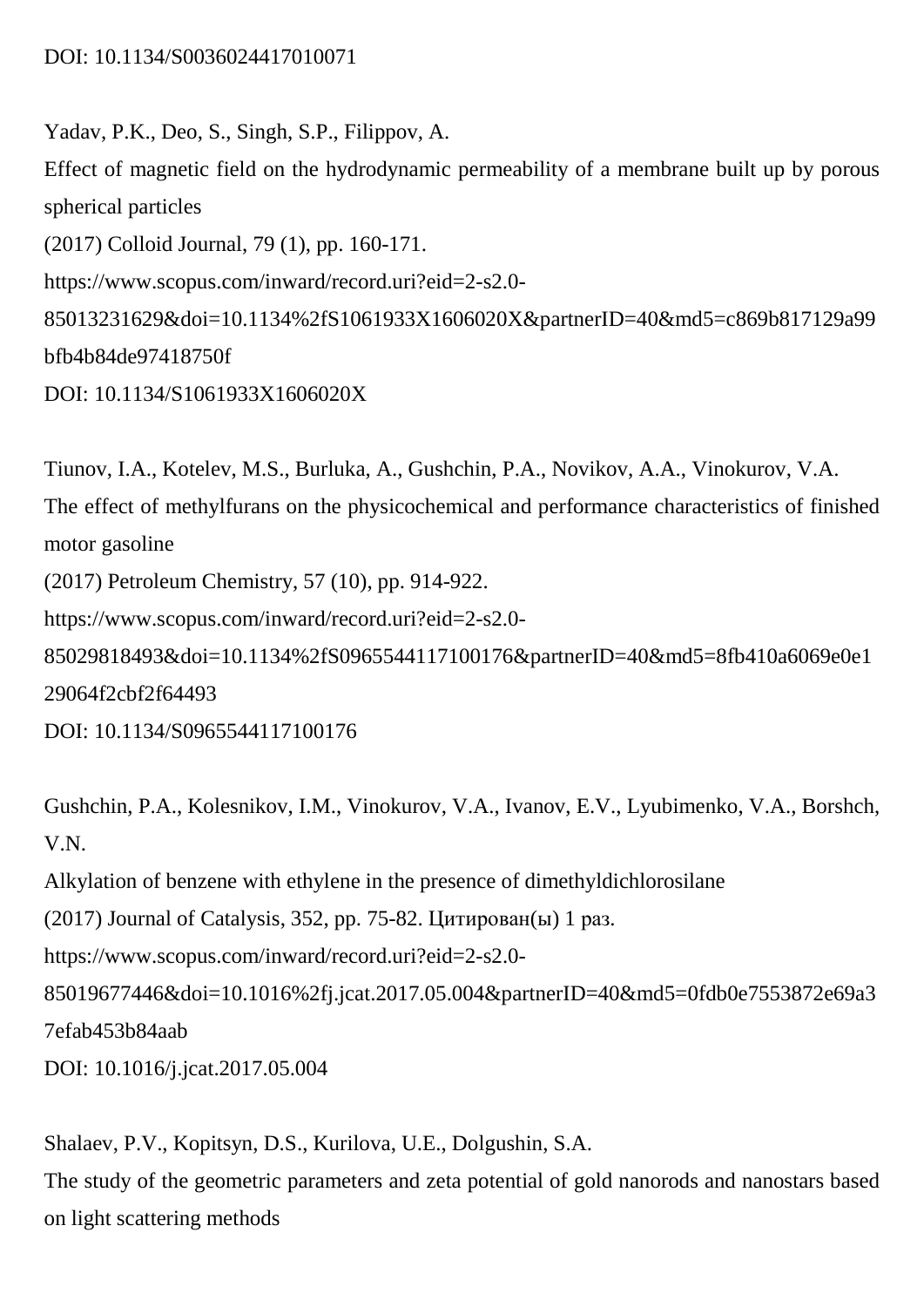Yadav, P.K., Deo, S., Singh, S.P., Filippov, A. Effect of magnetic field on the hydrodynamic permeability of a membrane built up by porous spherical particles (2017) Colloid Journal, 79 (1), pp. 160-171. https://www.scopus.com/inward/record.uri?eid=2-s2.0- 85013231629&doi=10.1134%2fS1061933X1606020X&partnerID=40&md5=c869b817129a99 bfb4b84de97418750f DOI: 10.1134/S1061933X1606020X

Tiunov, I.A., Kotelev, M.S., Burluka, A., Gushchin, P.A., Novikov, A.A., Vinokurov, V.A. The effect of methylfurans on the physicochemical and performance characteristics of finished motor gasoline (2017) Petroleum Chemistry, 57 (10), pp. 914-922. https://www.scopus.com/inward/record.uri?eid=2-s2.0- 85029818493&doi=10.1134%2fS0965544117100176&partnerID=40&md5=8fb410a6069e0e1 29064f2cbf2f64493

DOI: 10.1134/S0965544117100176

Gushchin, P.A., Kolesnikov, I.M., Vinokurov, V.A., Ivanov, E.V., Lyubimenko, V.A., Borshch, V.N.

Alkylation of benzene with ethylene in the presence of dimethyldichlorosilane

(2017) Journal of Catalysis, 352, pp. 75-82. Цитирован(ы) 1 раз.

https://www.scopus.com/inward/record.uri?eid=2-s2.0-

85019677446&doi=10.1016%2fj.jcat.2017.05.004&partnerID=40&md5=0fdb0e7553872e69a3 7efab453b84aab

DOI: 10.1016/j.jcat.2017.05.004

Shalaev, P.V., Kopitsyn, D.S., Kurilova, U.E., Dolgushin, S.A. The study of the geometric parameters and zeta potential of gold nanorods and nanostars based on light scattering methods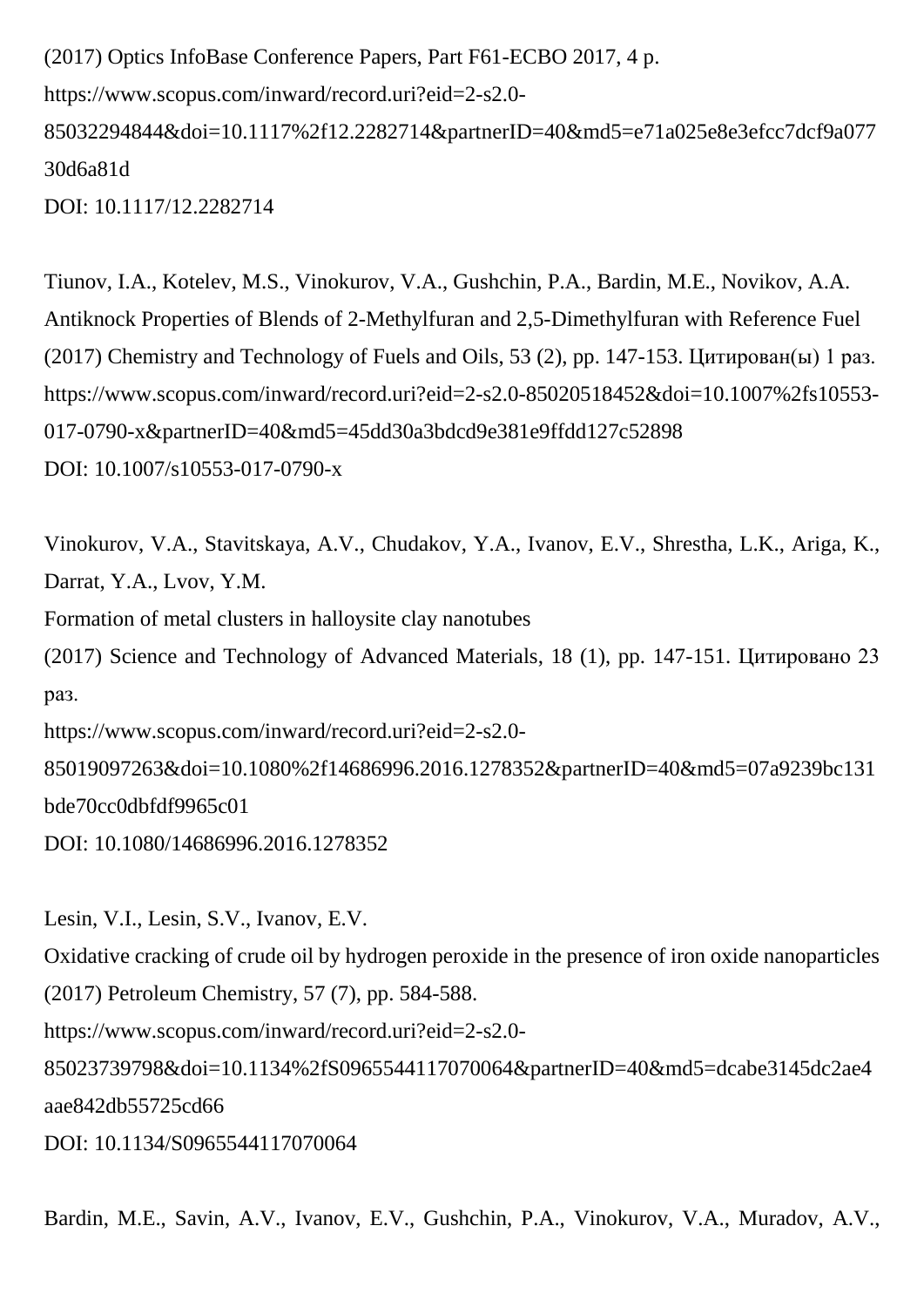(2017) Optics InfoBase Conference Papers, Part F61-ECBO 2017, 4 p. https://www.scopus.com/inward/record.uri?eid=2-s2.0- 85032294844&doi=10.1117%2f12.2282714&partnerID=40&md5=e71a025e8e3efcc7dcf9a077 30d6a81d DOI: 10.1117/12.2282714

Tiunov, I.A., Kotelev, M.S., Vinokurov, V.A., Gushchin, P.A., Bardin, M.E., Novikov, A.A. Antiknock Properties of Blends of 2-Methylfuran and 2,5-Dimethylfuran with Reference Fuel (2017) Chemistry and Technology of Fuels and Oils, 53 (2), pp. 147-153. Цитирован(ы) 1 раз. https://www.scopus.com/inward/record.uri?eid=2-s2.0-85020518452&doi=10.1007%2fs10553- 017-0790-x&partnerID=40&md5=45dd30a3bdcd9e381e9ffdd127c52898 DOI: 10.1007/s10553-017-0790-x

Vinokurov, V.A., Stavitskaya, A.V., Chudakov, Y.A., Ivanov, E.V., Shrestha, L.K., Ariga, K., Darrat, Y.A., Lvov, Y.M.

Formation of metal clusters in halloysite clay nanotubes

(2017) Science and Technology of Advanced Materials, 18 (1), pp. 147-151. Цитировано 23 раз.

https://www.scopus.com/inward/record.uri?eid=2-s2.0-

85019097263&doi=10.1080%2f14686996.2016.1278352&partnerID=40&md5=07a9239bc131 bde70cc0dbfdf9965c01

DOI: 10.1080/14686996.2016.1278352

Lesin, V.I., Lesin, S.V., Ivanov, E.V. Oxidative cracking of crude oil by hydrogen peroxide in the presence of iron oxide nanoparticles (2017) Petroleum Chemistry, 57 (7), pp. 584-588.

https://www.scopus.com/inward/record.uri?eid=2-s2.0-

85023739798&doi=10.1134%2fS0965544117070064&partnerID=40&md5=dcabe3145dc2ae4 aae842db55725cd66

DOI: 10.1134/S0965544117070064

Bardin, M.E., Savin, A.V., Ivanov, E.V., Gushchin, P.A., Vinokurov, V.A., Muradov, A.V.,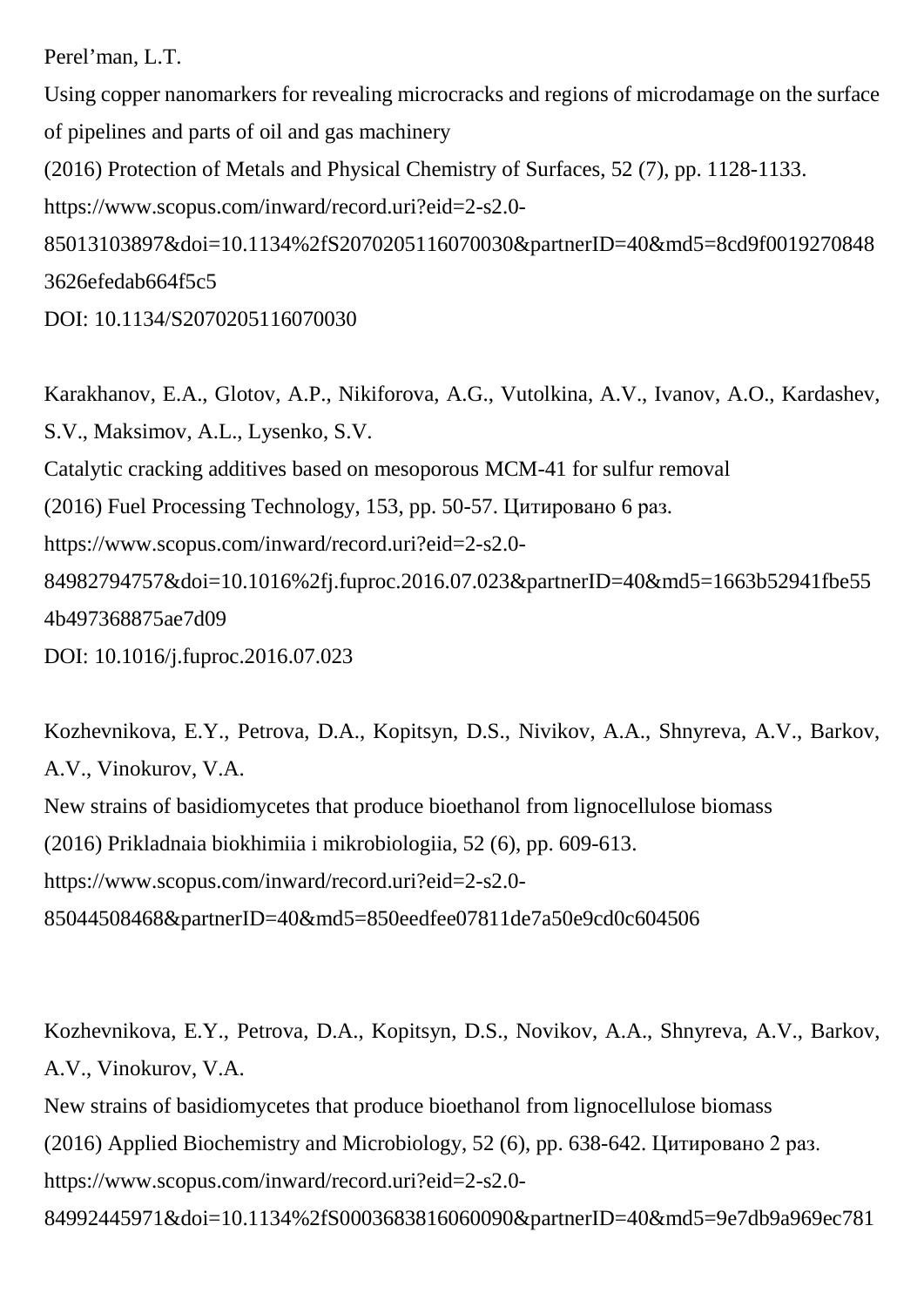Perel'man, L.T.

Using copper nanomarkers for revealing microcracks and regions of microdamage on the surface of pipelines and parts of oil and gas machinery (2016) Protection of Metals and Physical Chemistry of Surfaces, 52 (7), pp. 1128-1133. https://www.scopus.com/inward/record.uri?eid=2-s2.0- 85013103897&doi=10.1134%2fS2070205116070030&partnerID=40&md5=8cd9f0019270848 3626efedab664f5c5

DOI: 10.1134/S2070205116070030

Karakhanov, E.A., Glotov, A.P., Nikiforova, A.G., Vutolkina, A.V., Ivanov, A.O., Kardashev, S.V., Maksimov, A.L., Lysenko, S.V. Catalytic cracking additives based on mesoporous MCM-41 for sulfur removal (2016) Fuel Processing Technology, 153, pp. 50-57. Цитировано 6 раз. https://www.scopus.com/inward/record.uri?eid=2-s2.0- 84982794757&doi=10.1016%2fj.fuproc.2016.07.023&partnerID=40&md5=1663b52941fbe55 4b497368875ae7d09 DOI: 10.1016/j.fuproc.2016.07.023

Kozhevnikova, E.Y., Petrova, D.A., Kopitsyn, D.S., Nivikov, A.A., Shnyreva, A.V., Barkov, A.V., Vinokurov, V.A. New strains of basidiomycetes that produce bioethanol from lignocellulose biomass (2016) Prikladnaia biokhimiia i mikrobiologiia, 52 (6), pp. 609-613. https://www.scopus.com/inward/record.uri?eid=2-s2.0- 85044508468&partnerID=40&md5=850eedfee07811de7a50e9cd0c604506

Kozhevnikova, E.Y., Petrova, D.A., Kopitsyn, D.S., Novikov, A.A., Shnyreva, A.V., Barkov, A.V., Vinokurov, V.A.

New strains of basidiomycetes that produce bioethanol from lignocellulose biomass (2016) Applied Biochemistry and Microbiology, 52 (6), pp. 638-642. Цитировано 2 раз. https://www.scopus.com/inward/record.uri?eid=2-s2.0- 84992445971&doi=10.1134%2fS0003683816060090&partnerID=40&md5=9e7db9a969ec781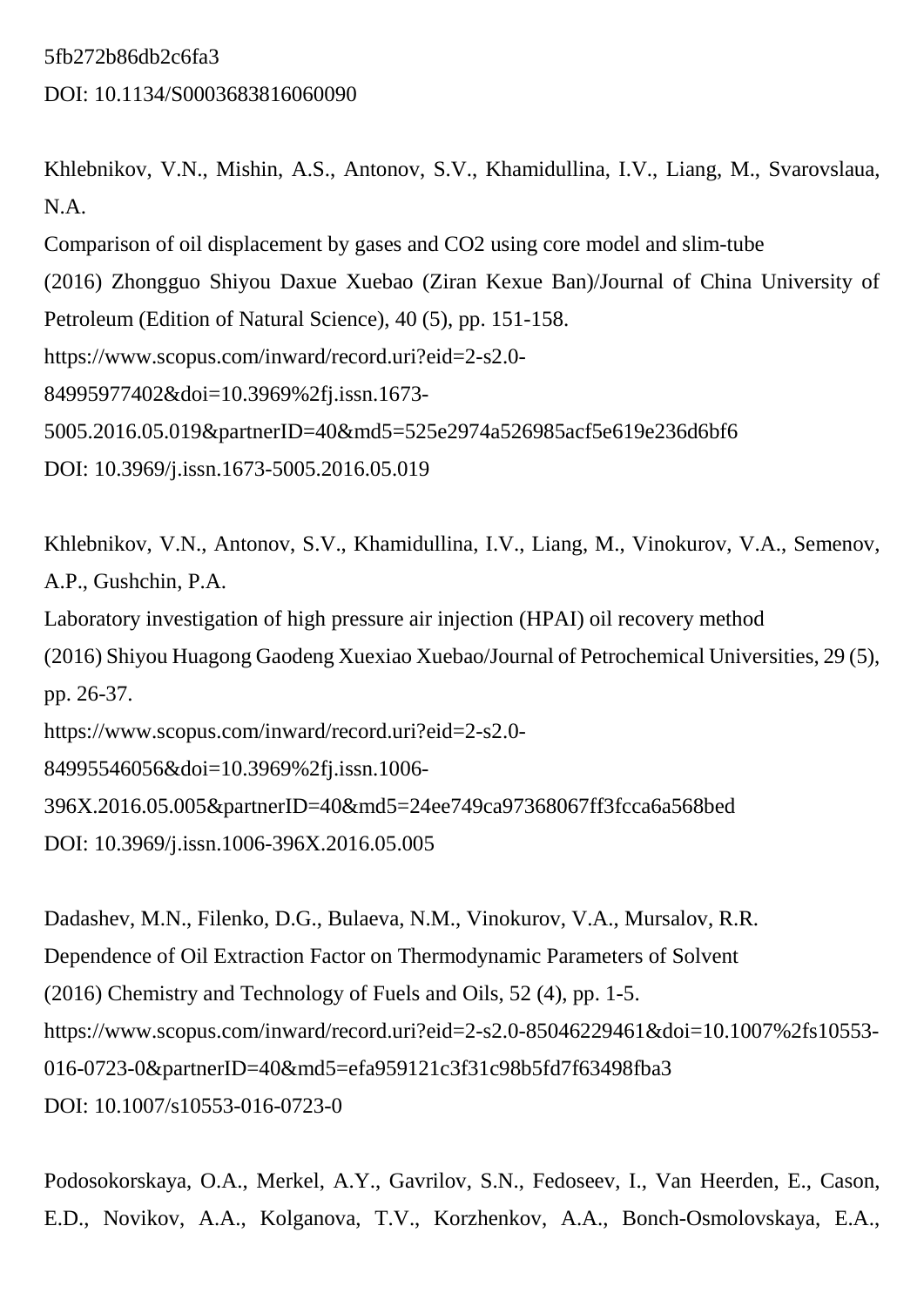### 5fb272b86db2c6fa3

DOI: 10.1134/S0003683816060090

Khlebnikov, V.N., Mishin, A.S., Antonov, S.V., Khamidullina, I.V., Liang, M., Svarovslaua, N.A.

Comparison of oil displacement by gases and CO2 using core model and slim-tube

(2016) Zhongguo Shiyou Daxue Xuebao (Ziran Kexue Ban)/Journal of China University of Petroleum (Edition of Natural Science), 40 (5), pp. 151-158.

https://www.scopus.com/inward/record.uri?eid=2-s2.0-

84995977402&doi=10.3969%2fj.issn.1673-

5005.2016.05.019&partnerID=40&md5=525e2974a526985acf5e619e236d6bf6

DOI: 10.3969/j.issn.1673-5005.2016.05.019

Khlebnikov, V.N., Antonov, S.V., Khamidullina, I.V., Liang, M., Vinokurov, V.A., Semenov, A.P., Gushchin, P.A. Laboratory investigation of high pressure air injection (HPAI) oil recovery method (2016) Shiyou Huagong Gaodeng Xuexiao Xuebao/Journal of Petrochemical Universities, 29 (5), pp. 26-37. https://www.scopus.com/inward/record.uri?eid=2-s2.0-

84995546056&doi=10.3969%2fj.issn.1006-

396X.2016.05.005&partnerID=40&md5=24ee749ca97368067ff3fcca6a568bed

DOI: 10.3969/j.issn.1006-396X.2016.05.005

Dadashev, M.N., Filenko, D.G., Bulaeva, N.M., Vinokurov, V.A., Mursalov, R.R. Dependence of Oil Extraction Factor on Thermodynamic Parameters of Solvent (2016) Chemistry and Technology of Fuels and Oils, 52 (4), pp. 1-5. https://www.scopus.com/inward/record.uri?eid=2-s2.0-85046229461&doi=10.1007%2fs10553- 016-0723-0&partnerID=40&md5=efa959121c3f31c98b5fd7f63498fba3 DOI: 10.1007/s10553-016-0723-0

Podosokorskaya, O.A., Merkel, A.Y., Gavrilov, S.N., Fedoseev, I., Van Heerden, E., Cason, E.D., Novikov, A.A., Kolganova, T.V., Korzhenkov, A.A., Bonch-Osmolovskaya, E.A.,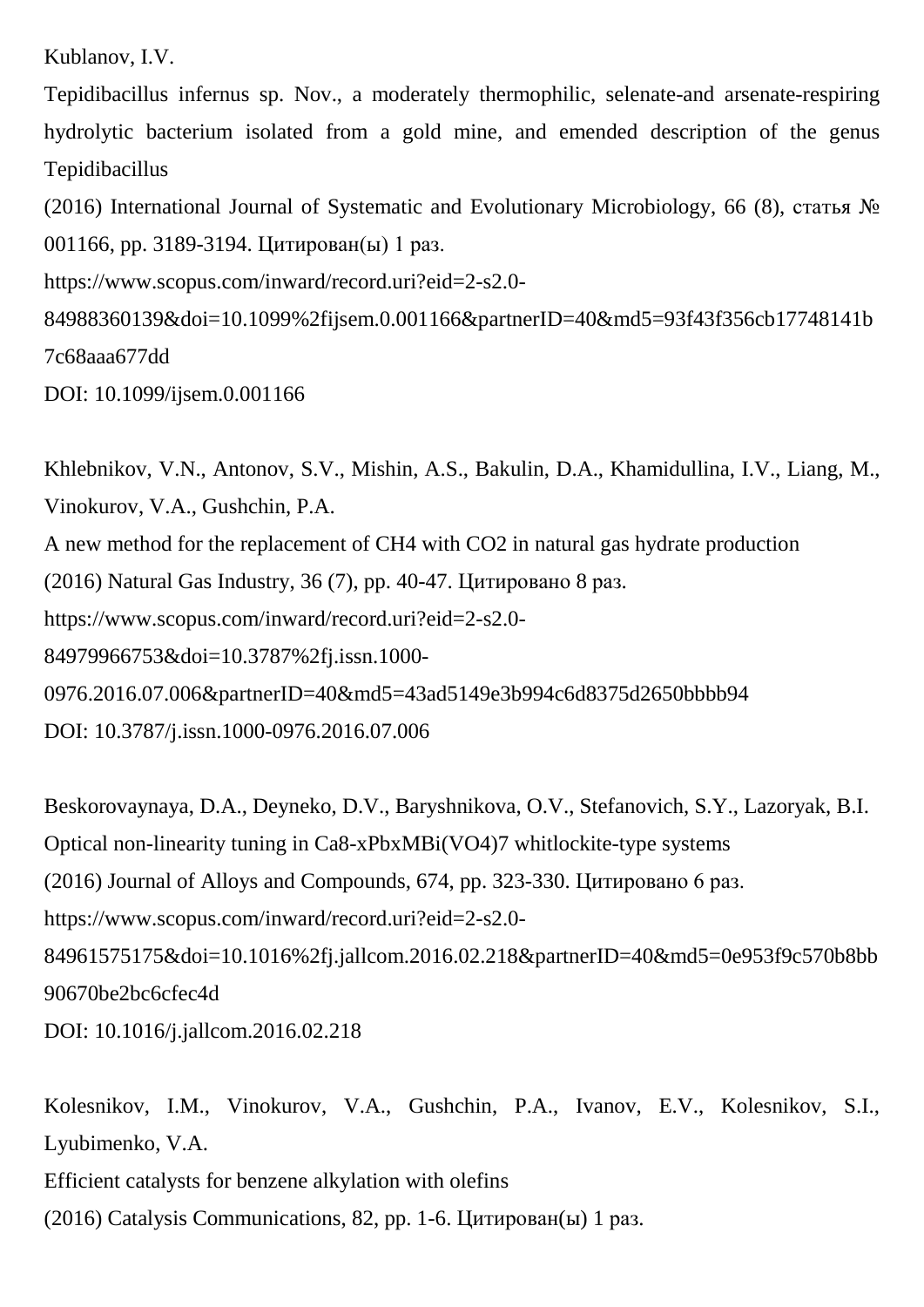Kublanov, I.V.

Tepidibacillus infernus sp. Nov., a moderately thermophilic, selenate-and arsenate-respiring hydrolytic bacterium isolated from a gold mine, and emended description of the genus Tepidibacillus

(2016) International Journal of Systematic and Evolutionary Microbiology, 66 (8), статья № 001166, pp. 3189-3194. Цитирован(ы) 1 раз.

https://www.scopus.com/inward/record.uri?eid=2-s2.0-

84988360139&doi=10.1099%2fijsem.0.001166&partnerID=40&md5=93f43f356cb17748141b 7c68aaa677dd

DOI: 10.1099/ijsem.0.001166

Khlebnikov, V.N., Antonov, S.V., Mishin, A.S., Bakulin, D.A., Khamidullina, I.V., Liang, M., Vinokurov, V.A., Gushchin, P.A.

A new method for the replacement of CH4 with CO2 in natural gas hydrate production

(2016) Natural Gas Industry, 36 (7), pp. 40-47. Цитировано 8 раз.

https://www.scopus.com/inward/record.uri?eid=2-s2.0-

84979966753&doi=10.3787%2fj.issn.1000-

0976.2016.07.006&partnerID=40&md5=43ad5149e3b994c6d8375d2650bbbb94

DOI: 10.3787/j.issn.1000-0976.2016.07.006

Beskorovaynaya, D.A., Deyneko, D.V., Baryshnikova, O.V., Stefanovich, S.Y., Lazoryak, B.I. Optical non-linearity tuning in Ca8-xPbxMBi(VO4)7 whitlockite-type systems (2016) Journal of Alloys and Compounds, 674, pp. 323-330. Цитировано 6 раз. https://www.scopus.com/inward/record.uri?eid=2-s2.0- 84961575175&doi=10.1016%2fj.jallcom.2016.02.218&partnerID=40&md5=0e953f9c570b8bb 90670be2bc6cfec4d DOI: 10.1016/j.jallcom.2016.02.218

Kolesnikov, I.M., Vinokurov, V.A., Gushchin, P.A., Ivanov, E.V., Kolesnikov, S.I., Lyubimenko, V.A. Efficient catalysts for benzene alkylation with olefins (2016) Catalysis Communications, 82, pp. 1-6. Цитирован(ы) 1 раз.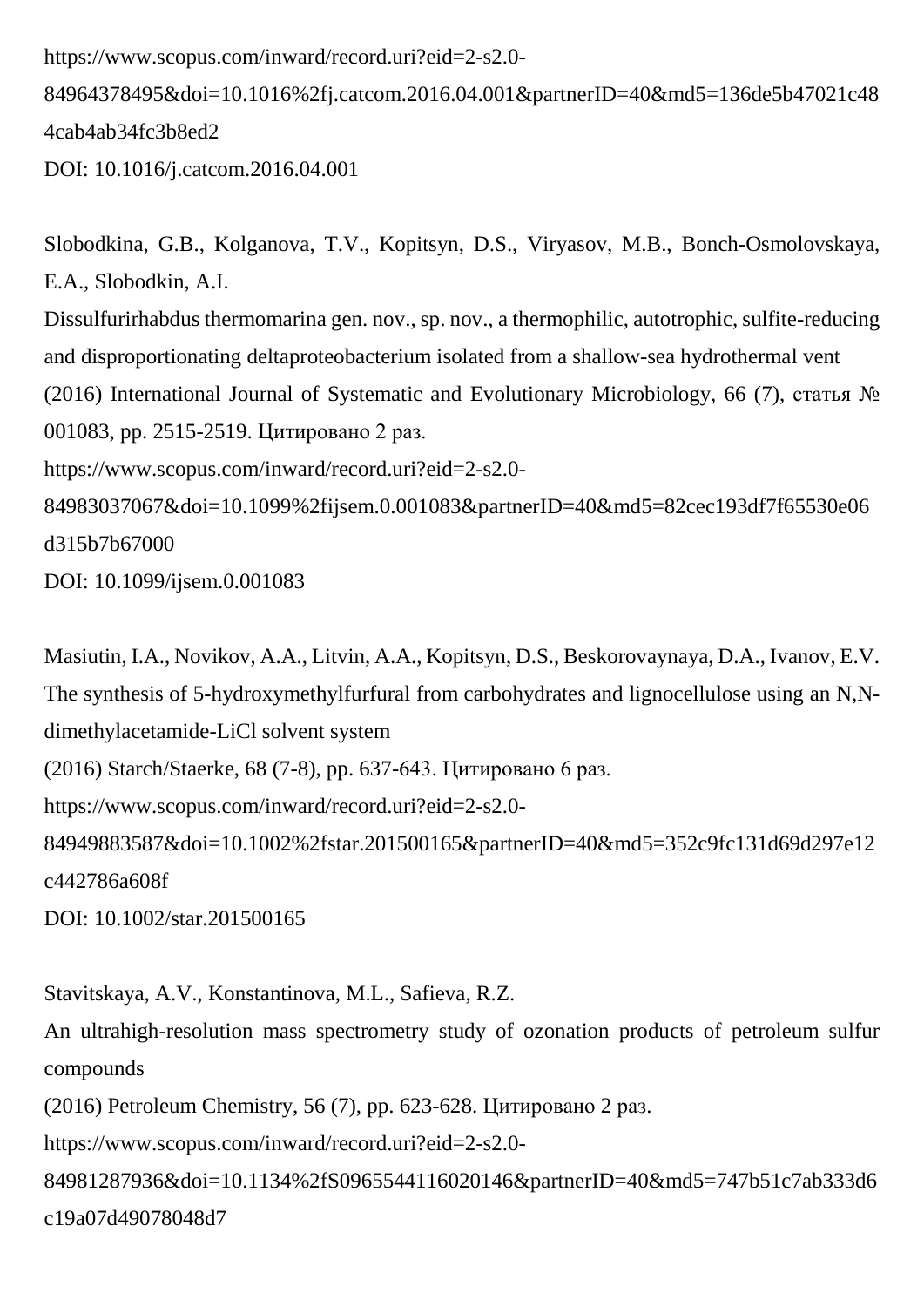https://www.scopus.com/inward/record.uri?eid=2-s2.0-

84964378495&doi=10.1016%2fj.catcom.2016.04.001&partnerID=40&md5=136de5b47021c48 4cab4ab34fc3b8ed2

DOI: 10.1016/j.catcom.2016.04.001

Slobodkina, G.B., Kolganova, T.V., Kopitsyn, D.S., Viryasov, M.B., Bonch-Osmolovskaya, E.A., Slobodkin, A.I. Dissulfurirhabdus thermomarina gen. nov., sp. nov., a thermophilic, autotrophic, sulfite-reducing and disproportionating deltaproteobacterium isolated from a shallow-sea hydrothermal vent (2016) International Journal of Systematic and Evolutionary Microbiology, 66 (7), статья № 001083, pp. 2515-2519. Цитировано 2 раз. https://www.scopus.com/inward/record.uri?eid=2-s2.0- 84983037067&doi=10.1099%2fijsem.0.001083&partnerID=40&md5=82cec193df7f65530e06 d315b7b67000 DOI: 10.1099/ijsem.0.001083

Masiutin, I.A., Novikov, A.A., Litvin, A.A., Kopitsyn, D.S., Beskorovaynaya, D.A., Ivanov, E.V. The synthesis of 5-hydroxymethylfurfural from carbohydrates and lignocellulose using an N,Ndimethylacetamide-LiCl solvent system (2016) Starch/Staerke, 68 (7-8), pp. 637-643. Цитировано 6 раз. https://www.scopus.com/inward/record.uri?eid=2-s2.0- 84949883587&doi=10.1002%2fstar.201500165&partnerID=40&md5=352c9fc131d69d297e12 c442786a608f

DOI: 10.1002/star.201500165

Stavitskaya, A.V., Konstantinova, M.L., Safieva, R.Z.

An ultrahigh-resolution mass spectrometry study of ozonation products of petroleum sulfur compounds

(2016) Petroleum Chemistry, 56 (7), pp. 623-628. Цитировано 2 раз.

https://www.scopus.com/inward/record.uri?eid=2-s2.0-

84981287936&doi=10.1134%2fS0965544116020146&partnerID=40&md5=747b51c7ab333d6 c19a07d49078048d7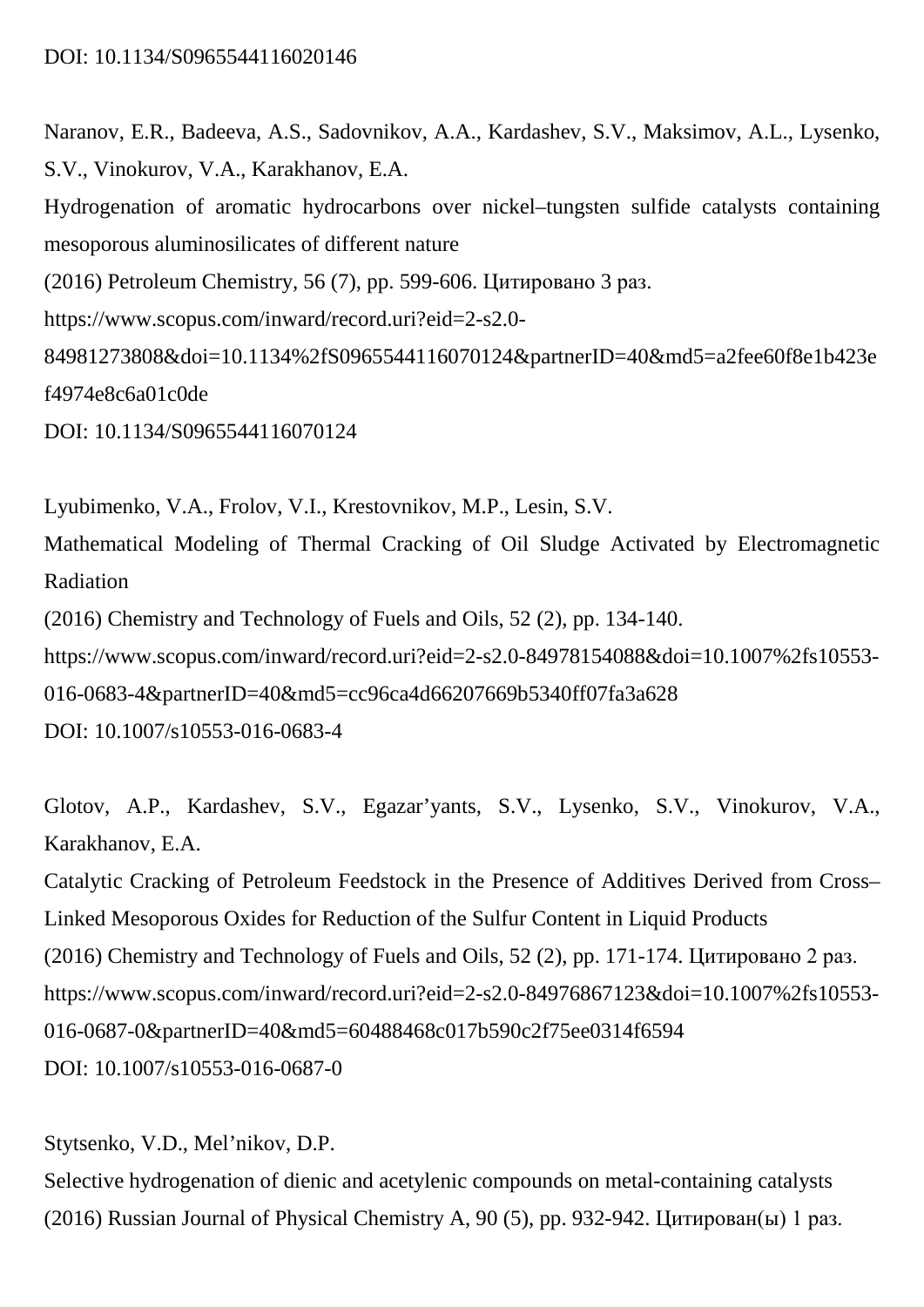Naranov, E.R., Badeeva, A.S., Sadovnikov, A.A., Kardashev, S.V., Maksimov, A.L., Lysenko, S.V., Vinokurov, V.A., Karakhanov, E.A.

Hydrogenation of aromatic hydrocarbons over nickel–tungsten sulfide catalysts containing mesoporous aluminosilicates of different nature

(2016) Petroleum Chemistry, 56 (7), pp. 599-606. Цитировано 3 раз.

https://www.scopus.com/inward/record.uri?eid=2-s2.0-

84981273808&doi=10.1134%2fS0965544116070124&partnerID=40&md5=a2fee60f8e1b423e f4974e8c6a01c0de

DOI: 10.1134/S0965544116070124

Lyubimenko, V.A., Frolov, V.I., Krestovnikov, M.P., Lesin, S.V.

Mathematical Modeling of Thermal Cracking of Oil Sludge Activated by Electromagnetic Radiation

(2016) Chemistry and Technology of Fuels and Oils, 52 (2), pp. 134-140.

https://www.scopus.com/inward/record.uri?eid=2-s2.0-84978154088&doi=10.1007%2fs10553-

016-0683-4&partnerID=40&md5=cc96ca4d66207669b5340ff07fa3a628

DOI: 10.1007/s10553-016-0683-4

Glotov, A.P., Kardashev, S.V., Egazar'yants, S.V., Lysenko, S.V., Vinokurov, V.A., Karakhanov, E.A.

Catalytic Cracking of Petroleum Feedstock in the Presence of Additives Derived from Cross– Linked Mesoporous Oxides for Reduction of the Sulfur Content in Liquid Products (2016) Chemistry and Technology of Fuels and Oils, 52 (2), pp. 171-174. Цитировано 2 раз. https://www.scopus.com/inward/record.uri?eid=2-s2.0-84976867123&doi=10.1007%2fs10553- 016-0687-0&partnerID=40&md5=60488468c017b590c2f75ee0314f6594 DOI: 10.1007/s10553-016-0687-0

Stytsenko, V.D., Mel'nikov, D.P.

Selective hydrogenation of dienic and acetylenic compounds on metal-containing catalysts (2016) Russian Journal of Physical Chemistry A, 90 (5), pp. 932-942. Цитирован(ы) 1 раз.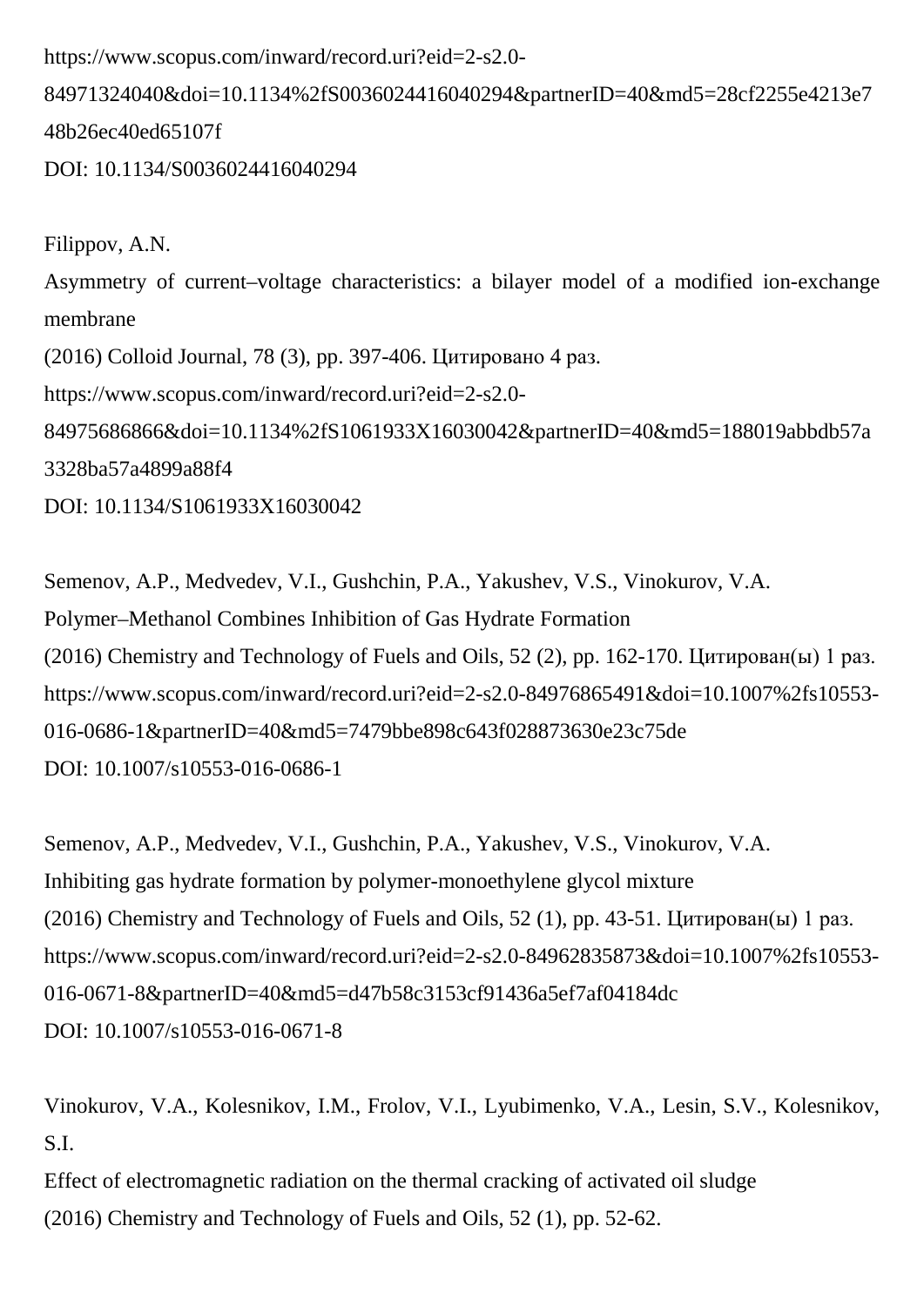https://www.scopus.com/inward/record.uri?eid=2-s2.0-

84971324040&doi=10.1134%2fS0036024416040294&partnerID=40&md5=28cf2255e4213e7 48b26ec40ed65107f

DOI: 10.1134/S0036024416040294

Filippov, A.N. Asymmetry of current–voltage characteristics: a bilayer model of a modified ion-exchange membrane (2016) Colloid Journal, 78 (3), pp. 397-406. Цитировано 4 раз. https://www.scopus.com/inward/record.uri?eid=2-s2.0- 84975686866&doi=10.1134%2fS1061933X16030042&partnerID=40&md5=188019abbdb57a 3328ba57a4899a88f4 DOI: 10.1134/S1061933X16030042

Semenov, A.P., Medvedev, V.I., Gushchin, P.A., Yakushev, V.S., Vinokurov, V.A. Polymer–Methanol Combines Inhibition of Gas Hydrate Formation (2016) Chemistry and Technology of Fuels and Oils, 52 (2), pp. 162-170. Цитирован(ы) 1 раз. https://www.scopus.com/inward/record.uri?eid=2-s2.0-84976865491&doi=10.1007%2fs10553- 016-0686-1&partnerID=40&md5=7479bbe898c643f028873630e23c75de DOI: 10.1007/s10553-016-0686-1

Semenov, A.P., Medvedev, V.I., Gushchin, P.A., Yakushev, V.S., Vinokurov, V.A. Inhibiting gas hydrate formation by polymer-monoethylene glycol mixture (2016) Chemistry and Technology of Fuels and Oils, 52 (1), pp. 43-51. Цитирован(ы) 1 раз. https://www.scopus.com/inward/record.uri?eid=2-s2.0-84962835873&doi=10.1007%2fs10553- 016-0671-8&partnerID=40&md5=d47b58c3153cf91436a5ef7af04184dc DOI: 10.1007/s10553-016-0671-8

Vinokurov, V.A., Kolesnikov, I.M., Frolov, V.I., Lyubimenko, V.A., Lesin, S.V., Kolesnikov, S.I.

Effect of electromagnetic radiation on the thermal cracking of activated oil sludge (2016) Chemistry and Technology of Fuels and Oils, 52 (1), pp. 52-62.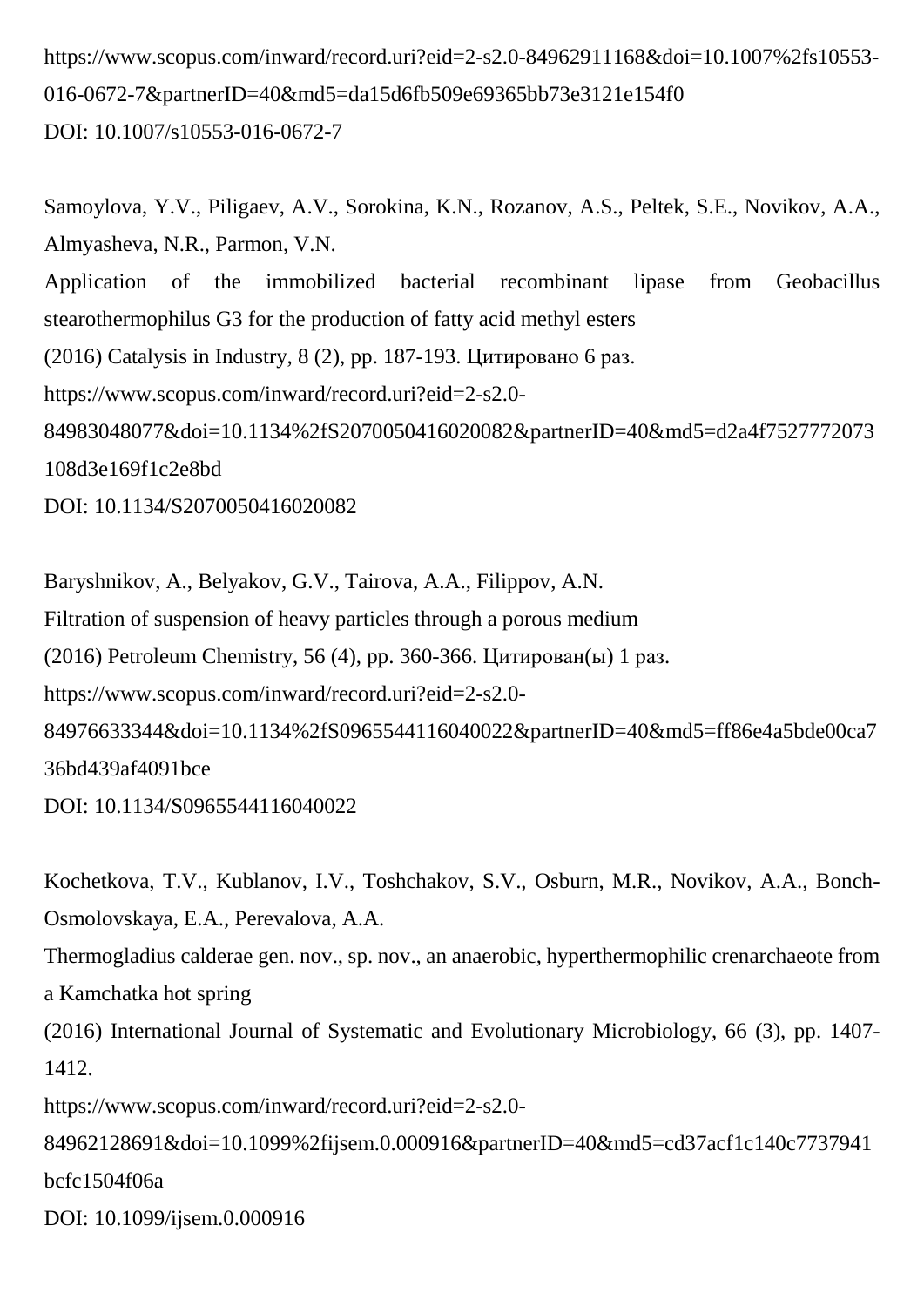https://www.scopus.com/inward/record.uri?eid=2-s2.0-84962911168&doi=10.1007%2fs10553- 016-0672-7&partnerID=40&md5=da15d6fb509e69365bb73e3121e154f0 DOI: 10.1007/s10553-016-0672-7

Samoylova, Y.V., Piligaev, A.V., Sorokina, K.N., Rozanov, A.S., Peltek, S.E., Novikov, A.A., Almyasheva, N.R., Parmon, V.N. Application of the immobilized bacterial recombinant lipase from Geobacillus stearothermophilus G3 for the production of fatty acid methyl esters (2016) Catalysis in Industry, 8 (2), pp. 187-193. Цитировано 6 раз. https://www.scopus.com/inward/record.uri?eid=2-s2.0- 84983048077&doi=10.1134%2fS2070050416020082&partnerID=40&md5=d2a4f7527772073 108d3e169f1c2e8bd DOI: 10.1134/S2070050416020082

Baryshnikov, A., Belyakov, G.V., Tairova, A.A., Filippov, A.N. Filtration of suspension of heavy particles through a porous medium (2016) Petroleum Chemistry, 56 (4), pp. 360-366. Цитирован(ы) 1 раз. https://www.scopus.com/inward/record.uri?eid=2-s2.0- 84976633344&doi=10.1134%2fS0965544116040022&partnerID=40&md5=ff86e4a5bde00ca7 36bd439af4091bce DOI: 10.1134/S0965544116040022

Kochetkova, T.V., Kublanov, I.V., Toshchakov, S.V., Osburn, M.R., Novikov, A.A., Bonch-Osmolovskaya, E.A., Perevalova, A.A.

Thermogladius calderae gen. nov., sp. nov., an anaerobic, hyperthermophilic crenarchaeote from a Kamchatka hot spring

(2016) International Journal of Systematic and Evolutionary Microbiology, 66 (3), pp. 1407- 1412.

https://www.scopus.com/inward/record.uri?eid=2-s2.0-

84962128691&doi=10.1099%2fijsem.0.000916&partnerID=40&md5=cd37acf1c140c7737941 bcfc1504f06a

DOI: 10.1099/ijsem.0.000916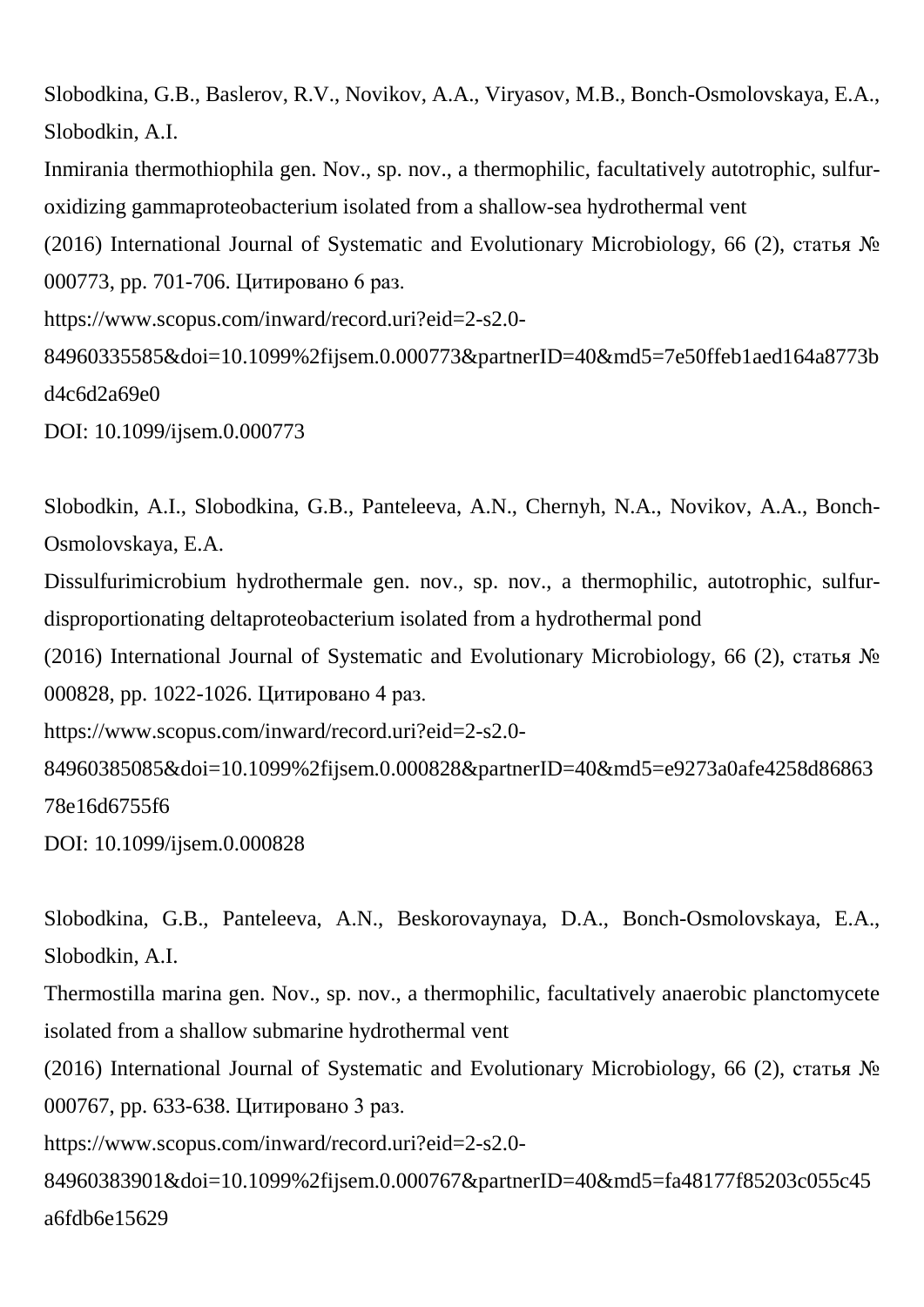```
Slobodkina, G.B., Baslerov, R.V., Novikov, A.A., Viryasov, M.B., Bonch-Osmolovskaya, E.A., 
Slobodkin, A.I.
Inmirania thermothiophila gen. Nov., sp. nov., a thermophilic, facultatively autotrophic, sulfur-
oxidizing gammaproteobacterium isolated from a shallow-sea hydrothermal vent
(2016) International Journal of Systematic and Evolutionary Microbiology, 66 (2), статья № 
000773, pp. 701-706. Цитировано 6 раз.
https://www.scopus.com/inward/record.uri?eid=2-s2.0-
84960335585&doi=10.1099%2fijsem.0.000773&partnerID=40&md5=7e50ffeb1aed164a8773b
d4c6d2a69e0
DOI: 10.1099/ijsem.0.000773
```
Slobodkin, A.I., Slobodkina, G.B., Panteleeva, A.N., Chernyh, N.A., Novikov, A.A., Bonch-Osmolovskaya, E.A.

Dissulfurimicrobium hydrothermale gen. nov., sp. nov., a thermophilic, autotrophic, sulfurdisproportionating deltaproteobacterium isolated from a hydrothermal pond

(2016) International Journal of Systematic and Evolutionary Microbiology, 66 (2), статья № 000828, pp. 1022-1026. Цитировано 4 раз.

https://www.scopus.com/inward/record.uri?eid=2-s2.0-

84960385085&doi=10.1099%2fijsem.0.000828&partnerID=40&md5=e9273a0afe4258d86863 78e16d6755f6

DOI: 10.1099/ijsem.0.000828

Slobodkina, G.B., Panteleeva, A.N., Beskorovaynaya, D.A., Bonch-Osmolovskaya, E.A., Slobodkin, A.I.

Thermostilla marina gen. Nov., sp. nov., a thermophilic, facultatively anaerobic planctomycete isolated from a shallow submarine hydrothermal vent

(2016) International Journal of Systematic and Evolutionary Microbiology, 66 (2), статья № 000767, pp. 633-638. Цитировано 3 раз.

https://www.scopus.com/inward/record.uri?eid=2-s2.0-

84960383901&doi=10.1099%2fijsem.0.000767&partnerID=40&md5=fa48177f85203c055c45 a6fdb6e15629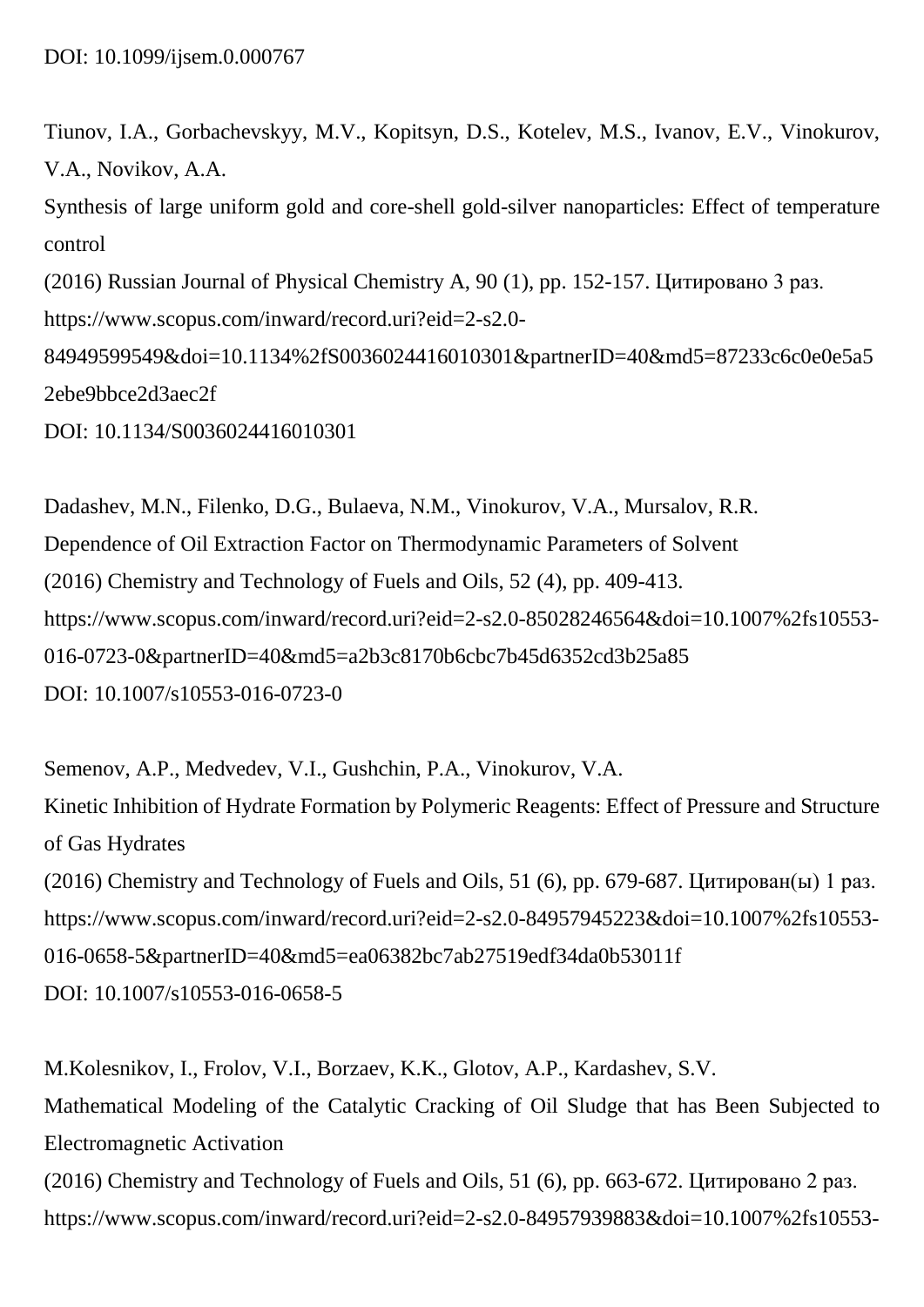Tiunov, I.A., Gorbachevskyy, M.V., Kopitsyn, D.S., Kotelev, M.S., Ivanov, E.V., Vinokurov, V.A., Novikov, A.A.

Synthesis of large uniform gold and core-shell gold-silver nanoparticles: Effect of temperature control (2016) Russian Journal of Physical Chemistry A, 90 (1), pp. 152-157. Цитировано 3 раз. https://www.scopus.com/inward/record.uri?eid=2-s2.0- 84949599549&doi=10.1134%2fS0036024416010301&partnerID=40&md5=87233c6c0e0e5a5

```
2ebe9bbce2d3aec2f
```
DOI: 10.1134/S0036024416010301

Dadashev, M.N., Filenko, D.G., Bulaeva, N.M., Vinokurov, V.A., Mursalov, R.R. Dependence of Oil Extraction Factor on Thermodynamic Parameters of Solvent (2016) Chemistry and Technology of Fuels and Oils, 52 (4), pp. 409-413. https://www.scopus.com/inward/record.uri?eid=2-s2.0-85028246564&doi=10.1007%2fs10553- 016-0723-0&partnerID=40&md5=a2b3c8170b6cbc7b45d6352cd3b25a85 DOI: 10.1007/s10553-016-0723-0

Semenov, A.P., Medvedev, V.I., Gushchin, P.A., Vinokurov, V.A. Kinetic Inhibition of Hydrate Formation by Polymeric Reagents: Effect of Pressure and Structure of Gas Hydrates (2016) Chemistry and Technology of Fuels and Oils, 51 (6), pp. 679-687. Цитирован(ы) 1 раз. https://www.scopus.com/inward/record.uri?eid=2-s2.0-84957945223&doi=10.1007%2fs10553- 016-0658-5&partnerID=40&md5=ea06382bc7ab27519edf34da0b53011f DOI: 10.1007/s10553-016-0658-5

M.Kolesnikov, I., Frolov, V.I., Borzaev, K.K., Glotov, A.P., Kardashev, S.V. Mathematical Modeling of the Catalytic Cracking of Oil Sludge that has Been Subjected to Electromagnetic Activation (2016) Chemistry and Technology of Fuels and Oils, 51 (6), pp. 663-672. Цитировано 2 раз. https://www.scopus.com/inward/record.uri?eid=2-s2.0-84957939883&doi=10.1007%2fs10553-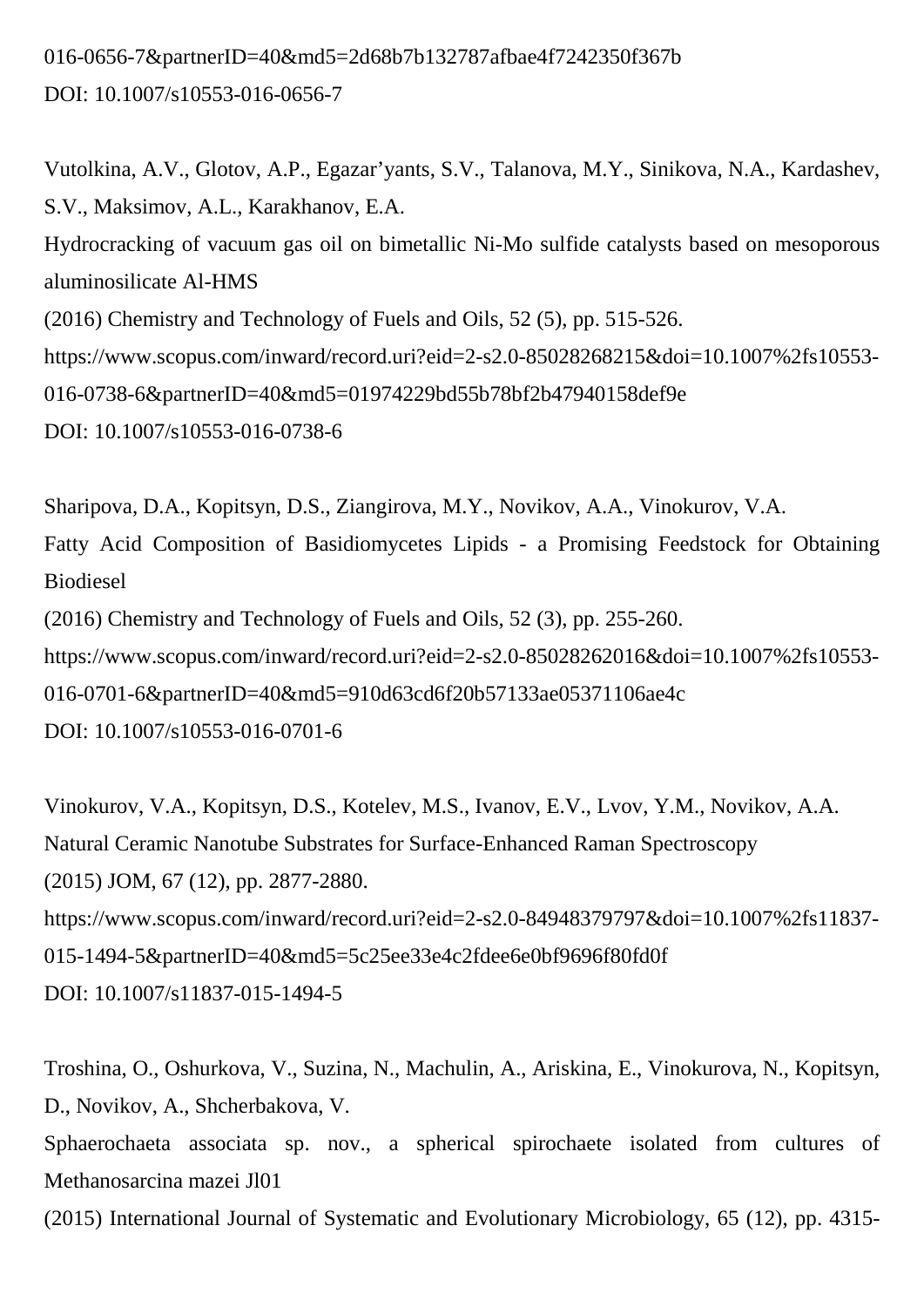### 016-0656-7&partnerID=40&md5=2d68b7b132787afbae4f7242350f367b DOI: 10.1007/s10553-016-0656-7

Vutolkina, A.V., Glotov, A.P., Egazar'yants, S.V., Talanova, M.Y., Sinikova, N.A., Kardashev, S.V., Maksimov, A.L., Karakhanov, E.A. Hydrocracking of vacuum gas oil on bimetallic Ni-Mo sulfide catalysts based on mesoporous aluminosilicate Al-HMS (2016) Chemistry and Technology of Fuels and Oils, 52 (5), pp. 515-526. https://www.scopus.com/inward/record.uri?eid=2-s2.0-85028268215&doi=10.1007%2fs10553- 016-0738-6&partnerID=40&md5=01974229bd55b78bf2b47940158def9e DOI: 10.1007/s10553-016-0738-6

Sharipova, D.A., Kopitsyn, D.S., Ziangirova, M.Y., Novikov, A.A., Vinokurov, V.A. Fatty Acid Composition of Basidiomycetes Lipids - a Promising Feedstock for Obtaining Biodiesel (2016) Chemistry and Technology of Fuels and Oils, 52 (3), pp. 255-260. https://www.scopus.com/inward/record.uri?eid=2-s2.0-85028262016&doi=10.1007%2fs10553- 016-0701-6&partnerID=40&md5=910d63cd6f20b57133ae05371106ae4c DOI: 10.1007/s10553-016-0701-6

Vinokurov, V.A., Kopitsyn, D.S., Kotelev, M.S., Ivanov, E.V., Lvov, Y.M., Novikov, A.A. Natural Ceramic Nanotube Substrates for Surface-Enhanced Raman Spectroscopy (2015) JOM, 67 (12), pp. 2877-2880. https://www.scopus.com/inward/record.uri?eid=2-s2.0-84948379797&doi=10.1007%2fs11837- 015-1494-5&partnerID=40&md5=5c25ee33e4c2fdee6e0bf9696f80fd0f DOI: 10.1007/s11837-015-1494-5

Troshina, O., Oshurkova, V., Suzina, N., Machulin, A., Ariskina, E., Vinokurova, N., Kopitsyn, D., Novikov, A., Shcherbakova, V.

Sphaerochaeta associata sp. nov., a spherical spirochaete isolated from cultures of Methanosarcina mazei Jl01

(2015) International Journal of Systematic and Evolutionary Microbiology, 65 (12), pp. 4315-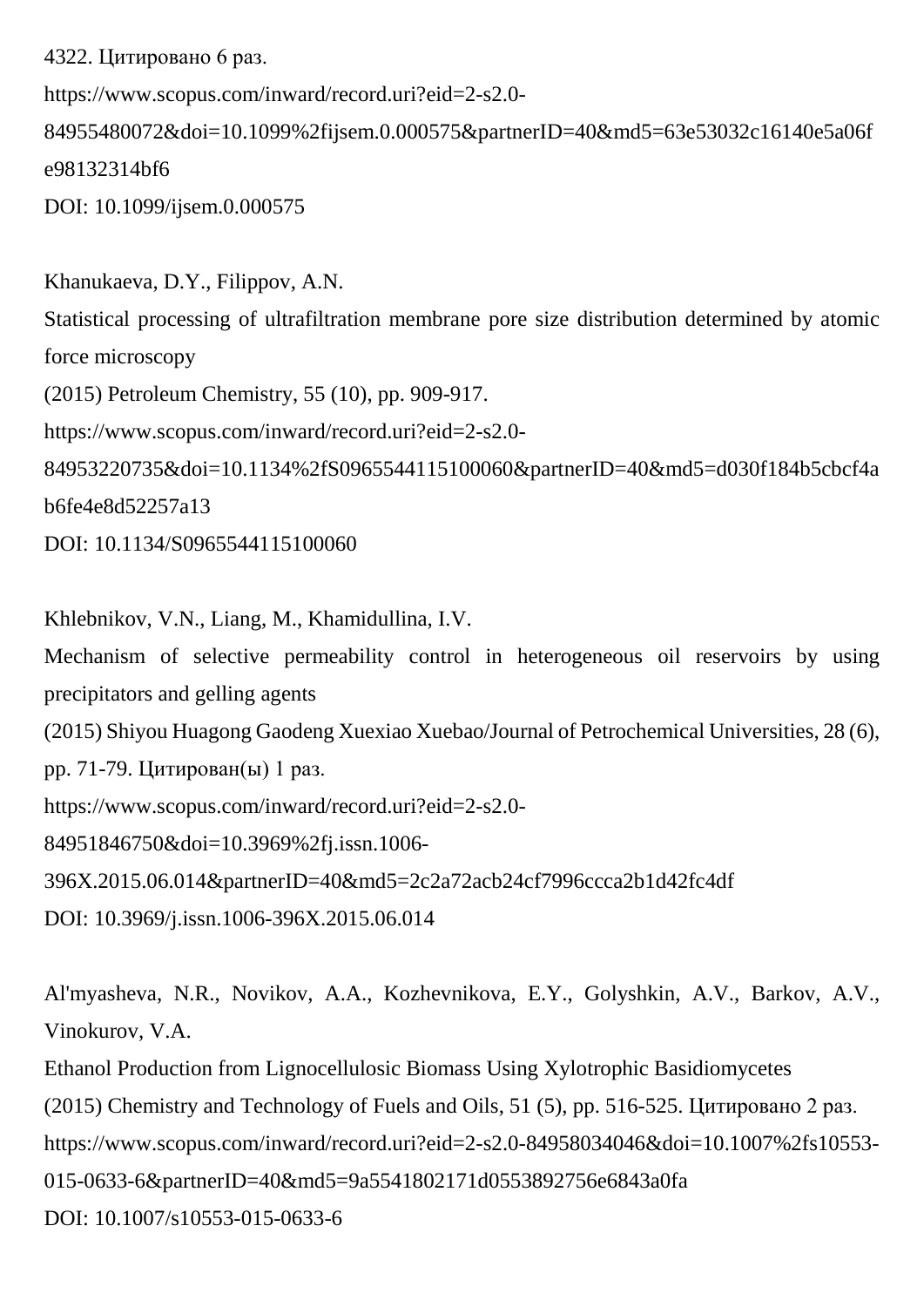4322. Цитировано 6 раз. https://www.scopus.com/inward/record.uri?eid=2-s2.0- 84955480072&doi=10.1099%2fijsem.0.000575&partnerID=40&md5=63e53032c16140e5a06f e98132314bf6 DOI: 10.1099/ijsem.0.000575

Khanukaeva, D.Y., Filippov, A.N. Statistical processing of ultrafiltration membrane pore size distribution determined by atomic force microscopy (2015) Petroleum Chemistry, 55 (10), pp. 909-917. https://www.scopus.com/inward/record.uri?eid=2-s2.0- 84953220735&doi=10.1134%2fS0965544115100060&partnerID=40&md5=d030f184b5cbcf4a b6fe4e8d52257a13 DOI: 10.1134/S0965544115100060

Khlebnikov, V.N., Liang, M., Khamidullina, I.V. Mechanism of selective permeability control in heterogeneous oil reservoirs by using precipitators and gelling agents (2015) Shiyou Huagong Gaodeng Xuexiao Xuebao/Journal of Petrochemical Universities, 28 (6), pp. 71-79. Цитирован(ы) 1 раз. https://www.scopus.com/inward/record.uri?eid=2-s2.0- 84951846750&doi=10.3969%2fj.issn.1006- 396X.2015.06.014&partnerID=40&md5=2c2a72acb24cf7996ccca2b1d42fc4df DOI: 10.3969/j.issn.1006-396X.2015.06.014

Al'myasheva, N.R., Novikov, A.A., Kozhevnikova, E.Y., Golyshkin, A.V., Barkov, A.V., Vinokurov, V.A.

Ethanol Production from Lignocellulosic Biomass Using Xylotrophic Basidiomycetes (2015) Chemistry and Technology of Fuels and Oils, 51 (5), pp. 516-525. Цитировано 2 раз. https://www.scopus.com/inward/record.uri?eid=2-s2.0-84958034046&doi=10.1007%2fs10553- 015-0633-6&partnerID=40&md5=9a5541802171d0553892756e6843a0fa DOI: 10.1007/s10553-015-0633-6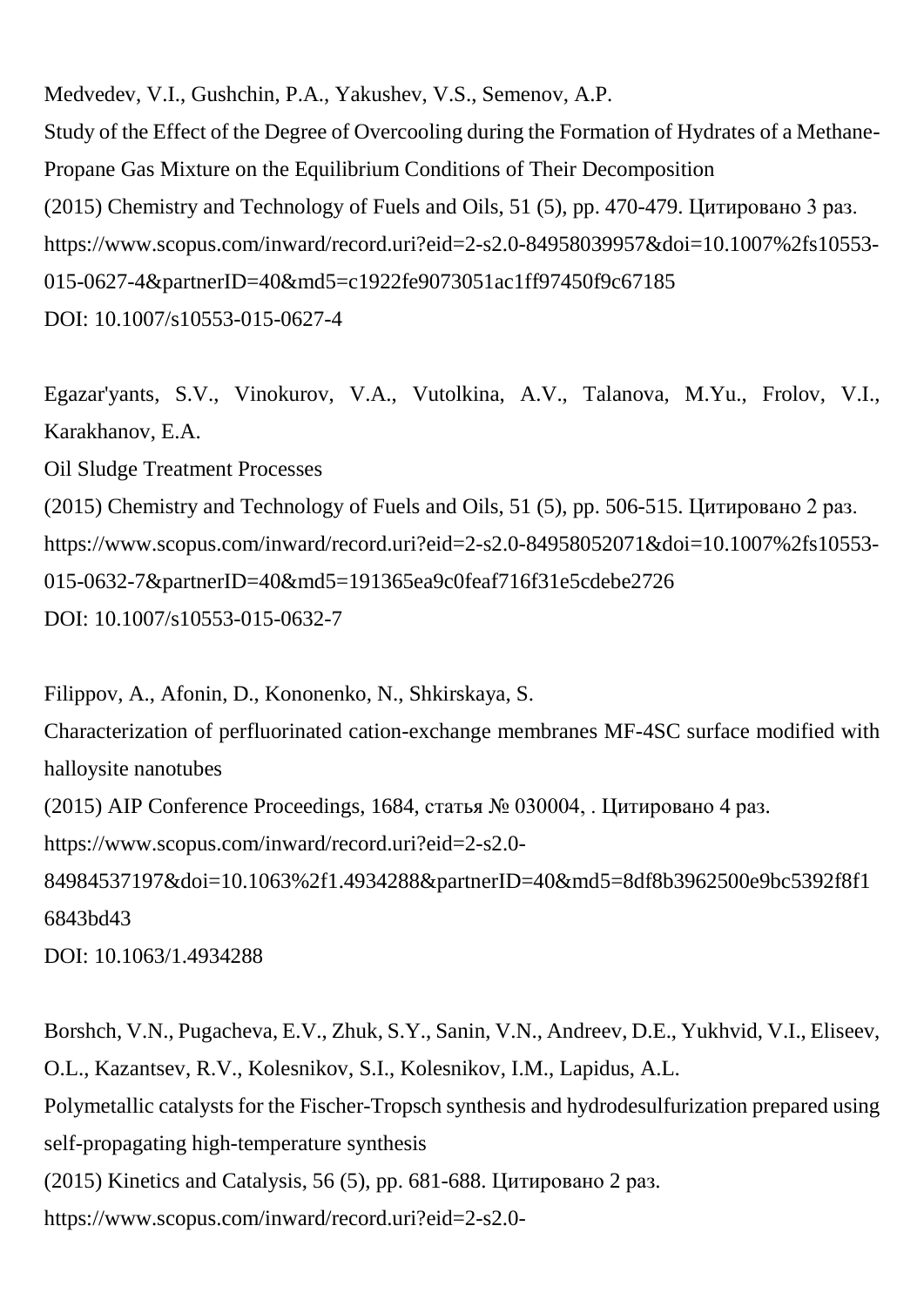Medvedev, V.I., Gushchin, P.A., Yakushev, V.S., Semenov, A.P. Study of the Effect of the Degree of Overcooling during the Formation of Hydrates of a Methane-Propane Gas Mixture on the Equilibrium Conditions of Their Decomposition (2015) Chemistry and Technology of Fuels and Oils, 51 (5), pp. 470-479. Цитировано 3 раз. https://www.scopus.com/inward/record.uri?eid=2-s2.0-84958039957&doi=10.1007%2fs10553- 015-0627-4&partnerID=40&md5=c1922fe9073051ac1ff97450f9c67185 DOI: 10.1007/s10553-015-0627-4

Egazar'yants, S.V., Vinokurov, V.A., Vutolkina, A.V., Talanova, M.Yu., Frolov, V.I., Karakhanov, E.A.

Oil Sludge Treatment Processes

(2015) Chemistry and Technology of Fuels and Oils, 51 (5), pp. 506-515. Цитировано 2 раз. https://www.scopus.com/inward/record.uri?eid=2-s2.0-84958052071&doi=10.1007%2fs10553- 015-0632-7&partnerID=40&md5=191365ea9c0feaf716f31e5cdebe2726 DOI: 10.1007/s10553-015-0632-7

Filippov, A., Afonin, D., Kononenko, N., Shkirskaya, S.

Characterization of perfluorinated cation-exchange membranes MF-4SC surface modified with halloysite nanotubes

(2015) AIP Conference Proceedings, 1684, статья № 030004, . Цитировано 4 раз.

https://www.scopus.com/inward/record.uri?eid=2-s2.0-

84984537197&doi=10.1063%2f1.4934288&partnerID=40&md5=8df8b3962500e9bc5392f8f1 6843bd43

DOI: 10.1063/1.4934288

Borshch, V.N., Pugacheva, E.V., Zhuk, S.Y., Sanin, V.N., Andreev, D.E., Yukhvid, V.I., Eliseev, O.L., Kazantsev, R.V., Kolesnikov, S.I., Kolesnikov, I.M., Lapidus, A.L. Polymetallic catalysts for the Fischer-Tropsch synthesis and hydrodesulfurization prepared using self-propagating high-temperature synthesis (2015) Kinetics and Catalysis, 56 (5), pp. 681-688. Цитировано 2 раз. https://www.scopus.com/inward/record.uri?eid=2-s2.0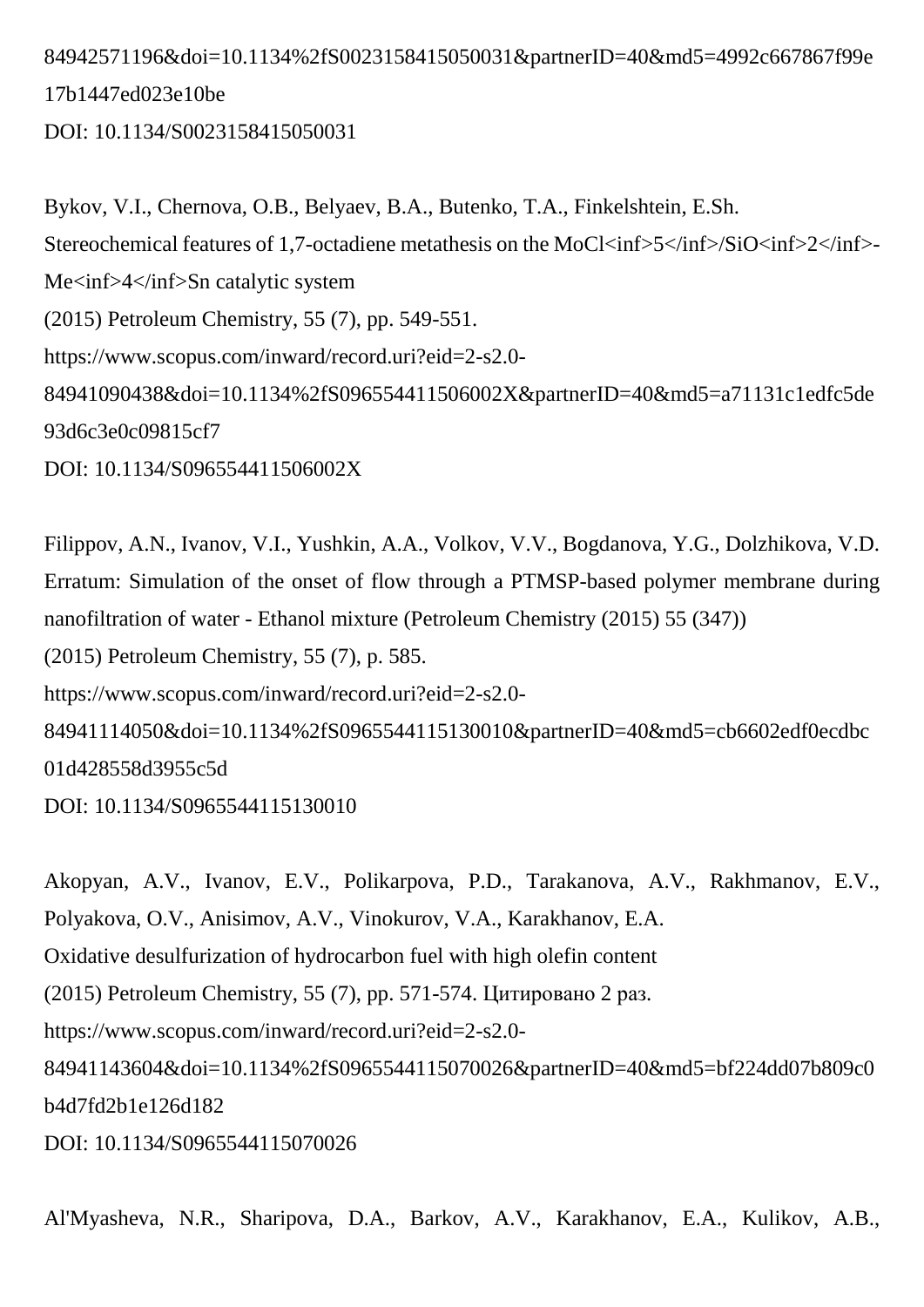84942571196&doi=10.1134%2fS0023158415050031&partnerID=40&md5=4992c667867f99e 17b1447ed023e10be DOI: 10.1134/S0023158415050031

Bykov, V.I., Chernova, O.B., Belyaev, B.A., Butenko, T.A., Finkelshtein, E.Sh. Stereochemical features of 1,7-octadiene metathesis on the MoCl<inf>5</inf>/SiO<inf>2</inf> Me<inf>4</inf>Sn catalytic system (2015) Petroleum Chemistry, 55 (7), pp. 549-551. https://www.scopus.com/inward/record.uri?eid=2-s2.0- 84941090438&doi=10.1134%2fS096554411506002X&partnerID=40&md5=a71131c1edfc5de 93d6c3e0c09815cf7 DOI: 10.1134/S096554411506002X

Filippov, A.N., Ivanov, V.I., Yushkin, A.A., Volkov, V.V., Bogdanova, Y.G., Dolzhikova, V.D. Erratum: Simulation of the onset of flow through a PTMSP-based polymer membrane during nanofiltration of water - Ethanol mixture (Petroleum Chemistry (2015) 55 (347)) (2015) Petroleum Chemistry, 55 (7), p. 585. https://www.scopus.com/inward/record.uri?eid=2-s2.0- 84941114050&doi=10.1134%2fS0965544115130010&partnerID=40&md5=cb6602edf0ecdbc 01d428558d3955c5d DOI: 10.1134/S0965544115130010

Akopyan, A.V., Ivanov, E.V., Polikarpova, P.D., Tarakanova, A.V., Rakhmanov, E.V., Polyakova, O.V., Anisimov, A.V., Vinokurov, V.A., Karakhanov, E.A. Oxidative desulfurization of hydrocarbon fuel with high olefin content (2015) Petroleum Chemistry, 55 (7), pp. 571-574. Цитировано 2 раз. https://www.scopus.com/inward/record.uri?eid=2-s2.0- 84941143604&doi=10.1134%2fS0965544115070026&partnerID=40&md5=bf224dd07b809c0 b4d7fd2b1e126d182 DOI: 10.1134/S0965544115070026

Al'Myasheva, N.R., Sharipova, D.A., Barkov, A.V., Karakhanov, E.A., Kulikov, A.B.,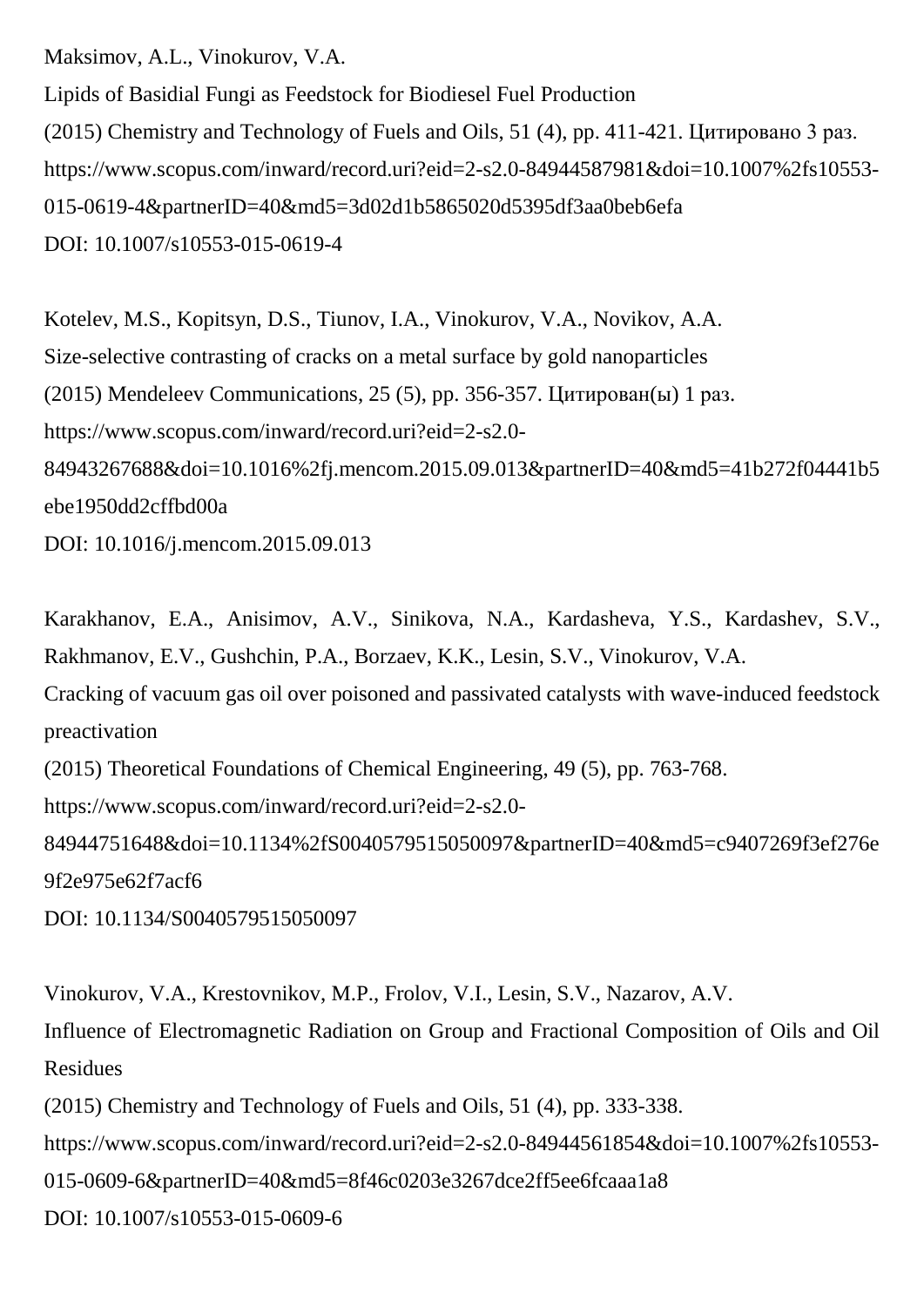Maksimov, A.L., Vinokurov, V.A.

Lipids of Basidial Fungi as Feedstock for Biodiesel Fuel Production (2015) Chemistry and Technology of Fuels and Oils, 51 (4), pp. 411-421. Цитировано 3 раз. https://www.scopus.com/inward/record.uri?eid=2-s2.0-84944587981&doi=10.1007%2fs10553- 015-0619-4&partnerID=40&md5=3d02d1b5865020d5395df3aa0beb6efa DOI: 10.1007/s10553-015-0619-4

Kotelev, M.S., Kopitsyn, D.S., Tiunov, I.A., Vinokurov, V.A., Novikov, A.A. Size-selective contrasting of cracks on a metal surface by gold nanoparticles (2015) Mendeleev Communications, 25 (5), pp. 356-357. Цитирован(ы) 1 раз. https://www.scopus.com/inward/record.uri?eid=2-s2.0- 84943267688&doi=10.1016%2fj.mencom.2015.09.013&partnerID=40&md5=41b272f04441b5 ebe1950dd2cffbd00a DOI: 10.1016/j.mencom.2015.09.013

Karakhanov, E.A., Anisimov, A.V., Sinikova, N.A., Kardasheva, Y.S., Kardashev, S.V., Rakhmanov, E.V., Gushchin, P.A., Borzaev, K.K., Lesin, S.V., Vinokurov, V.A. Cracking of vacuum gas oil over poisoned and passivated catalysts with wave-induced feedstock preactivation (2015) Theoretical Foundations of Chemical Engineering, 49 (5), pp. 763-768. https://www.scopus.com/inward/record.uri?eid=2-s2.0- 84944751648&doi=10.1134%2fS0040579515050097&partnerID=40&md5=c9407269f3ef276e 9f2e975e62f7acf6

DOI: 10.1134/S0040579515050097

Vinokurov, V.A., Krestovnikov, M.P., Frolov, V.I., Lesin, S.V., Nazarov, A.V.

Influence of Electromagnetic Radiation on Group and Fractional Composition of Oils and Oil Residues

(2015) Chemistry and Technology of Fuels and Oils, 51 (4), pp. 333-338.

https://www.scopus.com/inward/record.uri?eid=2-s2.0-84944561854&doi=10.1007%2fs10553-

015-0609-6&partnerID=40&md5=8f46c0203e3267dce2ff5ee6fcaaa1a8

DOI: 10.1007/s10553-015-0609-6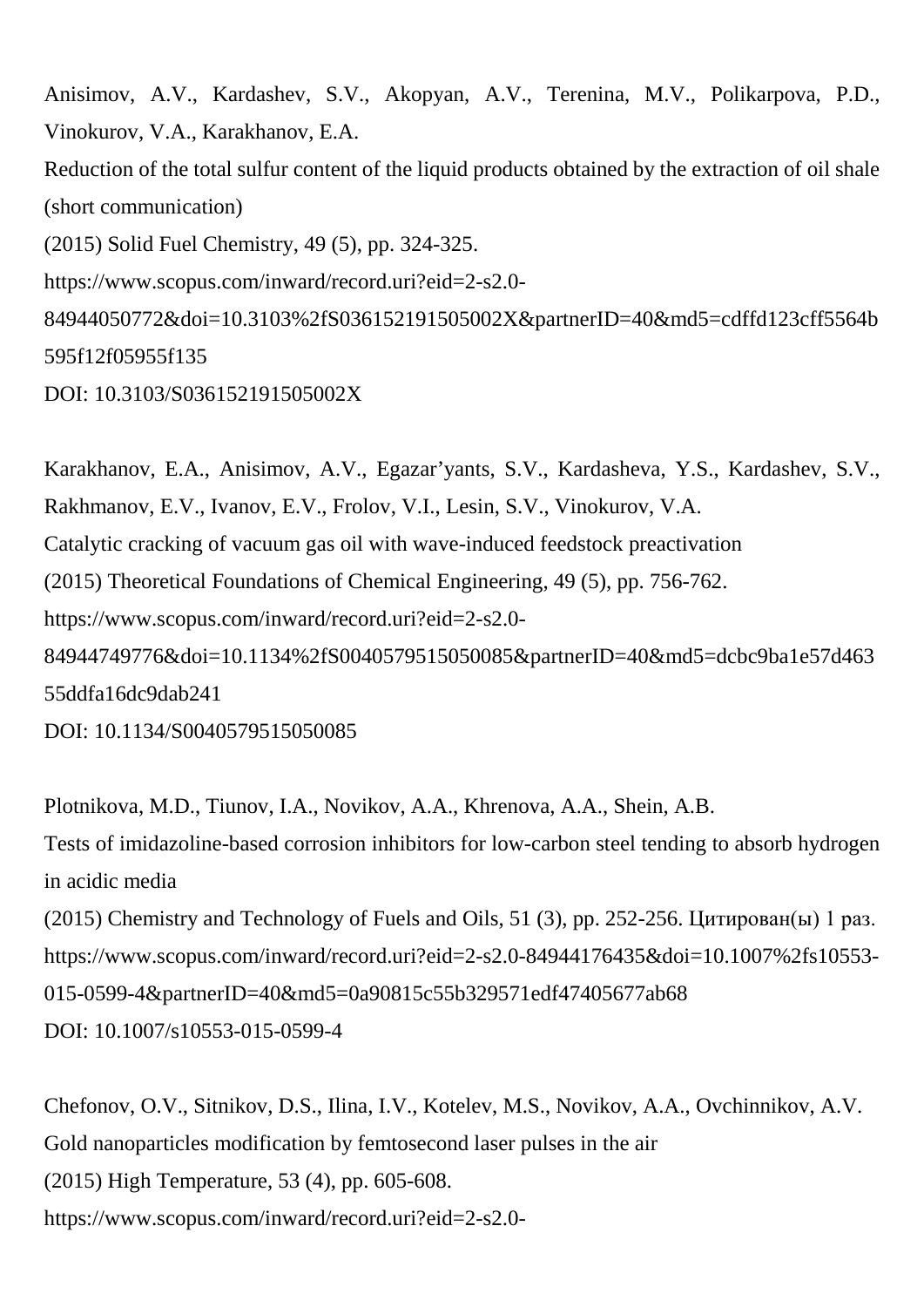Anisimov, A.V., Kardashev, S.V., Akopyan, A.V., Terenina, M.V., Polikarpova, P.D., Vinokurov, V.A., Karakhanov, E.A. Reduction of the total sulfur content of the liquid products obtained by the extraction of oil shale (short communication) (2015) Solid Fuel Chemistry, 49 (5), pp. 324-325. https://www.scopus.com/inward/record.uri?eid=2-s2.0- 84944050772&doi=10.3103%2fS036152191505002X&partnerID=40&md5=cdffd123cff5564b 595f12f05955f135 DOI: 10.3103/S036152191505002X

Karakhanov, E.A., Anisimov, A.V., Egazar'yants, S.V., Kardasheva, Y.S., Kardashev, S.V., Rakhmanov, E.V., Ivanov, E.V., Frolov, V.I., Lesin, S.V., Vinokurov, V.A. Catalytic cracking of vacuum gas oil with wave-induced feedstock preactivation (2015) Theoretical Foundations of Chemical Engineering, 49 (5), pp. 756-762. https://www.scopus.com/inward/record.uri?eid=2-s2.0- 84944749776&doi=10.1134%2fS0040579515050085&partnerID=40&md5=dcbc9ba1e57d463 55ddfa16dc9dab241 DOI: 10.1134/S0040579515050085

Plotnikova, M.D., Tiunov, I.A., Novikov, A.A., Khrenova, A.A., Shein, A.B. Tests of imidazoline-based corrosion inhibitors for low-carbon steel tending to absorb hydrogen in acidic media (2015) Chemistry and Technology of Fuels and Oils, 51 (3), pp. 252-256. Цитирован(ы) 1 раз. https://www.scopus.com/inward/record.uri?eid=2-s2.0-84944176435&doi=10.1007%2fs10553- 015-0599-4&partnerID=40&md5=0a90815c55b329571edf47405677ab68 DOI: 10.1007/s10553-015-0599-4

Chefonov, O.V., Sitnikov, D.S., Ilina, I.V., Kotelev, M.S., Novikov, A.A., Ovchinnikov, A.V. Gold nanoparticles modification by femtosecond laser pulses in the air (2015) High Temperature, 53 (4), pp. 605-608. https://www.scopus.com/inward/record.uri?eid=2-s2.0-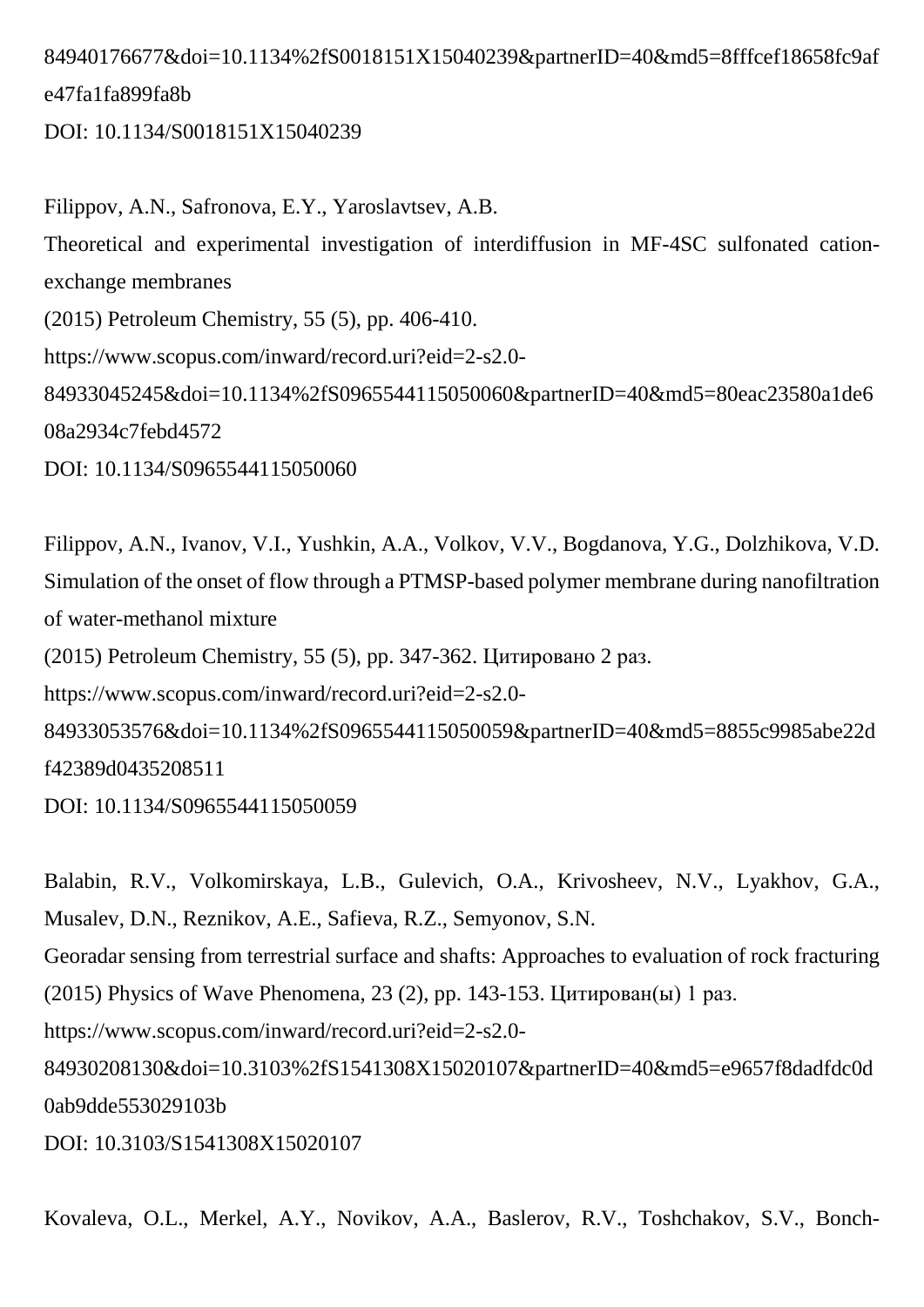## 84940176677&doi=10.1134%2fS0018151X15040239&partnerID=40&md5=8fffcef18658fc9af e47fa1fa899fa8b

DOI: 10.1134/S0018151X15040239

Filippov, A.N., Safronova, E.Y., Yaroslavtsev, A.B. Theoretical and experimental investigation of interdiffusion in MF-4SC sulfonated cationexchange membranes (2015) Petroleum Chemistry, 55 (5), pp. 406-410. https://www.scopus.com/inward/record.uri?eid=2-s2.0- 84933045245&doi=10.1134%2fS0965544115050060&partnerID=40&md5=80eac23580a1de6 08a2934c7febd4572 DOI: 10.1134/S0965544115050060

Filippov, A.N., Ivanov, V.I., Yushkin, A.A., Volkov, V.V., Bogdanova, Y.G., Dolzhikova, V.D. Simulation of the onset of flow through a PTMSP-based polymer membrane during nanofiltration of water-methanol mixture (2015) Petroleum Chemistry, 55 (5), pp. 347-362. Цитировано 2 раз. https://www.scopus.com/inward/record.uri?eid=2-s2.0- 84933053576&doi=10.1134%2fS0965544115050059&partnerID=40&md5=8855c9985abe22d f42389d0435208511 DOI: 10.1134/S0965544115050059

Balabin, R.V., Volkomirskaya, L.B., Gulevich, O.A., Krivosheev, N.V., Lyakhov, G.A., Musalev, D.N., Reznikov, A.E., Safieva, R.Z., Semyonov, S.N. Georadar sensing from terrestrial surface and shafts: Approaches to evaluation of rock fracturing (2015) Physics of Wave Phenomena, 23 (2), pp. 143-153. Цитирован(ы) 1 раз. https://www.scopus.com/inward/record.uri?eid=2-s2.0- 84930208130&doi=10.3103%2fS1541308X15020107&partnerID=40&md5=e9657f8dadfdc0d 0ab9dde553029103b DOI: 10.3103/S1541308X15020107

Kovaleva, O.L., Merkel, A.Y., Novikov, A.A., Baslerov, R.V., Toshchakov, S.V., Bonch-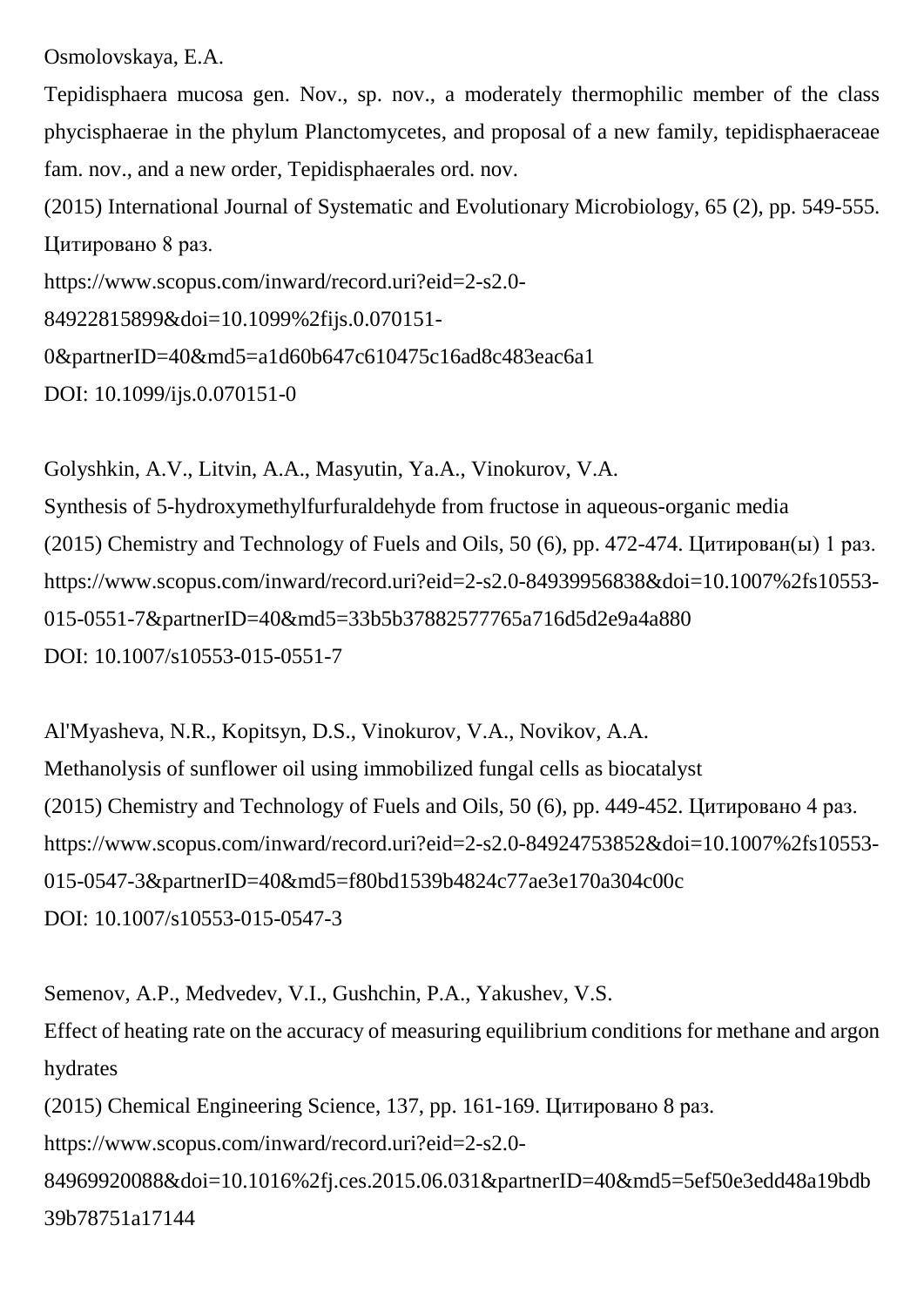Osmolovskaya, E.A.

Tepidisphaera mucosa gen. Nov., sp. nov., a moderately thermophilic member of the class phycisphaerae in the phylum Planctomycetes, and proposal of a new family, tepidisphaeraceae fam. nov., and a new order, Tepidisphaerales ord. nov.

(2015) International Journal of Systematic and Evolutionary Microbiology, 65 (2), pp. 549-555. Цитировано 8 раз.

https://www.scopus.com/inward/record.uri?eid=2-s2.0-

```
84922815899&doi=10.1099%2fijs.0.070151-
```

```
0&partnerID=40&md5=a1d60b647c610475c16ad8c483eac6a1
```
DOI: 10.1099/ijs.0.070151-0

Golyshkin, A.V., Litvin, A.A., Masyutin, Ya.A., Vinokurov, V.A. Synthesis of 5-hydroxymethylfurfuraldehyde from fructose in aqueous-organic media (2015) Chemistry and Technology of Fuels and Oils, 50 (6), pp. 472-474. Цитирован(ы) 1 раз. https://www.scopus.com/inward/record.uri?eid=2-s2.0-84939956838&doi=10.1007%2fs10553- 015-0551-7&partnerID=40&md5=33b5b37882577765a716d5d2e9a4a880 DOI: 10.1007/s10553-015-0551-7

Al'Myasheva, N.R., Kopitsyn, D.S., Vinokurov, V.A., Novikov, A.A. Methanolysis of sunflower oil using immobilized fungal cells as biocatalyst (2015) Chemistry and Technology of Fuels and Oils, 50 (6), pp. 449-452. Цитировано 4 раз. https://www.scopus.com/inward/record.uri?eid=2-s2.0-84924753852&doi=10.1007%2fs10553- 015-0547-3&partnerID=40&md5=f80bd1539b4824c77ae3e170a304c00c DOI: 10.1007/s10553-015-0547-3

Semenov, A.P., Medvedev, V.I., Gushchin, P.A., Yakushev, V.S. Effect of heating rate on the accuracy of measuring equilibrium conditions for methane and argon hydrates (2015) Chemical Engineering Science, 137, pp. 161-169. Цитировано 8 раз. https://www.scopus.com/inward/record.uri?eid=2-s2.0- 84969920088&doi=10.1016%2fj.ces.2015.06.031&partnerID=40&md5=5ef50e3edd48a19bdb 39b78751a17144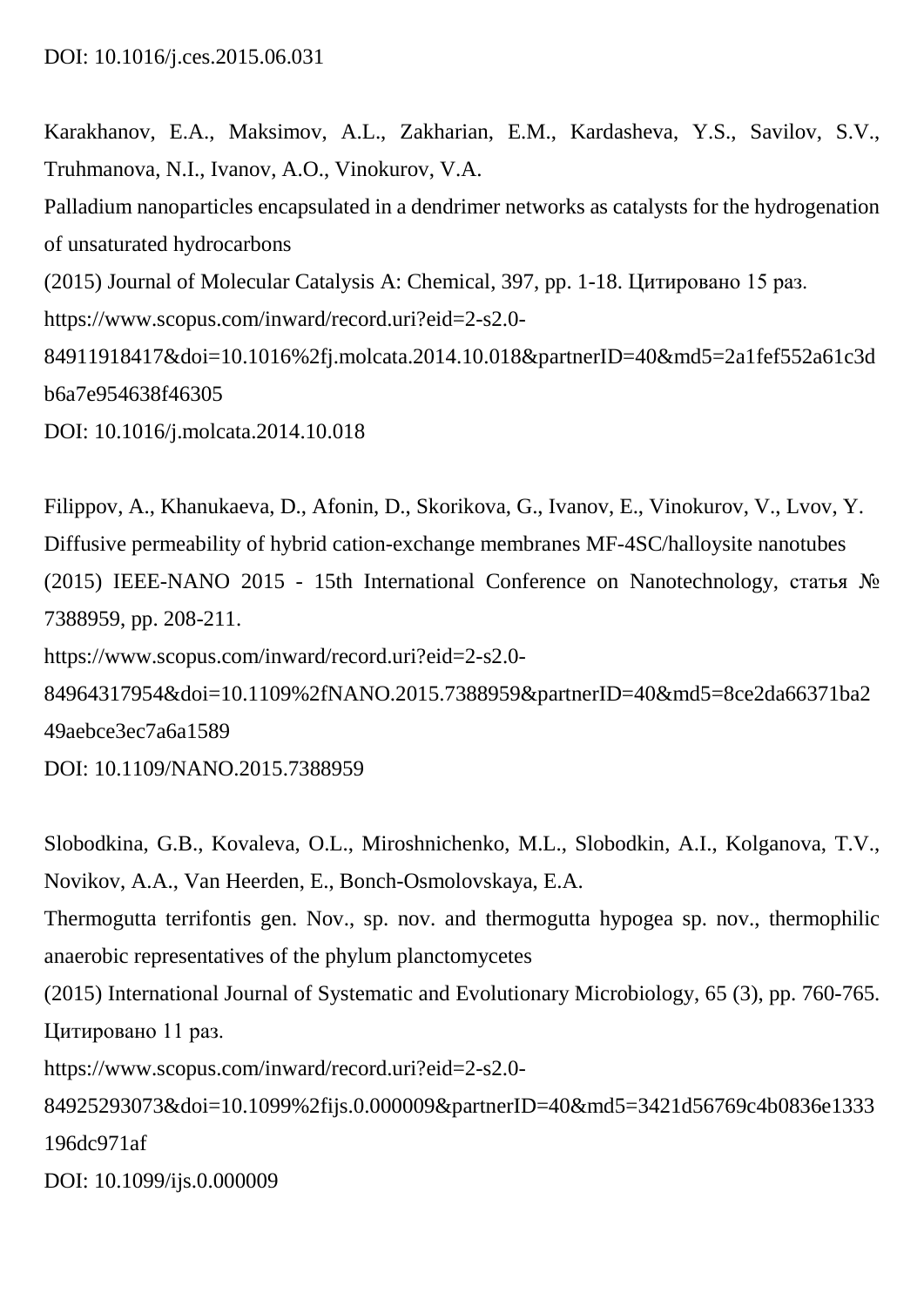Karakhanov, E.A., Maksimov, A.L., Zakharian, E.M., Kardasheva, Y.S., Savilov, S.V., Truhmanova, N.I., Ivanov, A.O., Vinokurov, V.A.

Palladium nanoparticles encapsulated in a dendrimer networks as catalysts for the hydrogenation of unsaturated hydrocarbons

(2015) Journal of Molecular Catalysis A: Chemical, 397, pp. 1-18. Цитировано 15 раз.

https://www.scopus.com/inward/record.uri?eid=2-s2.0-

84911918417&doi=10.1016%2fj.molcata.2014.10.018&partnerID=40&md5=2a1fef552a61c3d b6a7e954638f46305

DOI: 10.1016/j.molcata.2014.10.018

Filippov, A., Khanukaeva, D., Afonin, D., Skorikova, G., Ivanov, E., Vinokurov, V., Lvov, Y. Diffusive permeability of hybrid cation-exchange membranes MF-4SC/halloysite nanotubes (2015) IEEE-NANO 2015 - 15th International Conference on Nanotechnology, статья № 7388959, pp. 208-211. https://www.scopus.com/inward/record.uri?eid=2-s2.0- 84964317954&doi=10.1109%2fNANO.2015.7388959&partnerID=40&md5=8ce2da66371ba2 49aebce3ec7a6a1589 DOI: 10.1109/NANO.2015.7388959

Slobodkina, G.B., Kovaleva, O.L., Miroshnichenko, M.L., Slobodkin, A.I., Kolganova, T.V., Novikov, A.A., Van Heerden, E., Bonch-Osmolovskaya, E.A. Thermogutta terrifontis gen. Nov., sp. nov. and thermogutta hypogea sp. nov., thermophilic anaerobic representatives of the phylum planctomycetes (2015) International Journal of Systematic and Evolutionary Microbiology, 65 (3), pp. 760-765. Цитировано 11 раз. https://www.scopus.com/inward/record.uri?eid=2-s2.0- 84925293073&doi=10.1099%2fijs.0.000009&partnerID=40&md5=3421d56769c4b0836e1333 196dc971af

DOI: 10.1099/ijs.0.000009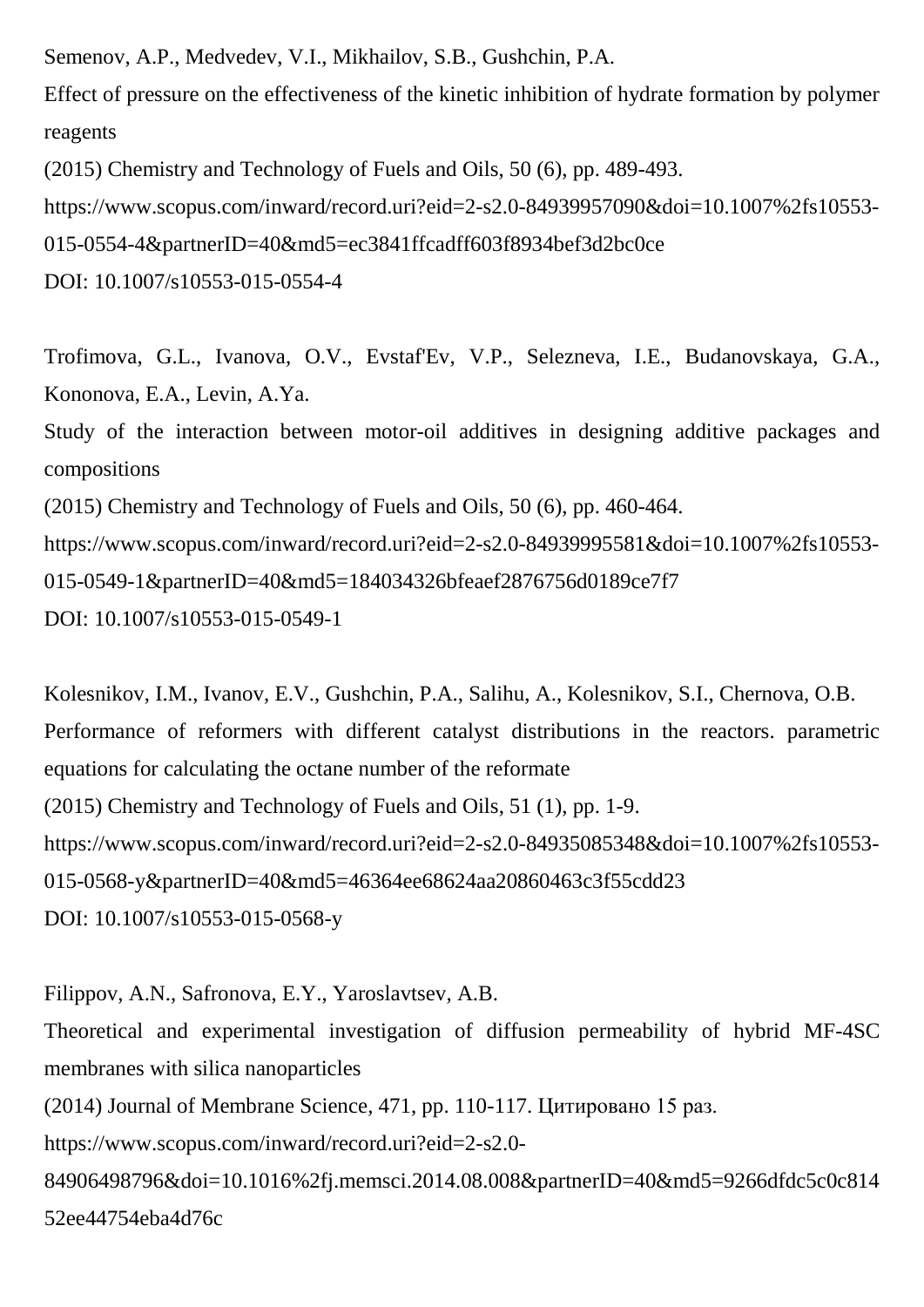Semenov, A.P., Medvedev, V.I., Mikhailov, S.B., Gushchin, P.A. Effect of pressure on the effectiveness of the kinetic inhibition of hydrate formation by polymer reagents (2015) Chemistry and Technology of Fuels and Oils, 50 (6), pp. 489-493. https://www.scopus.com/inward/record.uri?eid=2-s2.0-84939957090&doi=10.1007%2fs10553-

015-0554-4&partnerID=40&md5=ec3841ffcadff603f8934bef3d2bc0ce

DOI: 10.1007/s10553-015-0554-4

Trofimova, G.L., Ivanova, O.V., Evstaf'Ev, V.P., Selezneva, I.E., Budanovskaya, G.A., Kononova, E.A., Levin, A.Ya.

Study of the interaction between motor-oil additives in designing additive packages and compositions

(2015) Chemistry and Technology of Fuels and Oils, 50 (6), pp. 460-464.

https://www.scopus.com/inward/record.uri?eid=2-s2.0-84939995581&doi=10.1007%2fs10553- 015-0549-1&partnerID=40&md5=184034326bfeaef2876756d0189ce7f7 DOI: 10.1007/s10553-015-0549-1

Kolesnikov, I.M., Ivanov, E.V., Gushchin, P.A., Salihu, A., Kolesnikov, S.I., Chernova, O.B. Performance of reformers with different catalyst distributions in the reactors. parametric equations for calculating the octane number of the reformate (2015) Chemistry and Technology of Fuels and Oils, 51 (1), pp. 1-9. https://www.scopus.com/inward/record.uri?eid=2-s2.0-84935085348&doi=10.1007%2fs10553- 015-0568-y&partnerID=40&md5=46364ee68624aa20860463c3f55cdd23 DOI: 10.1007/s10553-015-0568-y

Filippov, A.N., Safronova, E.Y., Yaroslavtsev, A.B. Theoretical and experimental investigation of diffusion permeability of hybrid MF-4SC membranes with silica nanoparticles (2014) Journal of Membrane Science, 471, pp. 110-117. Цитировано 15 раз. https://www.scopus.com/inward/record.uri?eid=2-s2.0- 84906498796&doi=10.1016%2fj.memsci.2014.08.008&partnerID=40&md5=9266dfdc5c0c814 52ee44754eba4d76c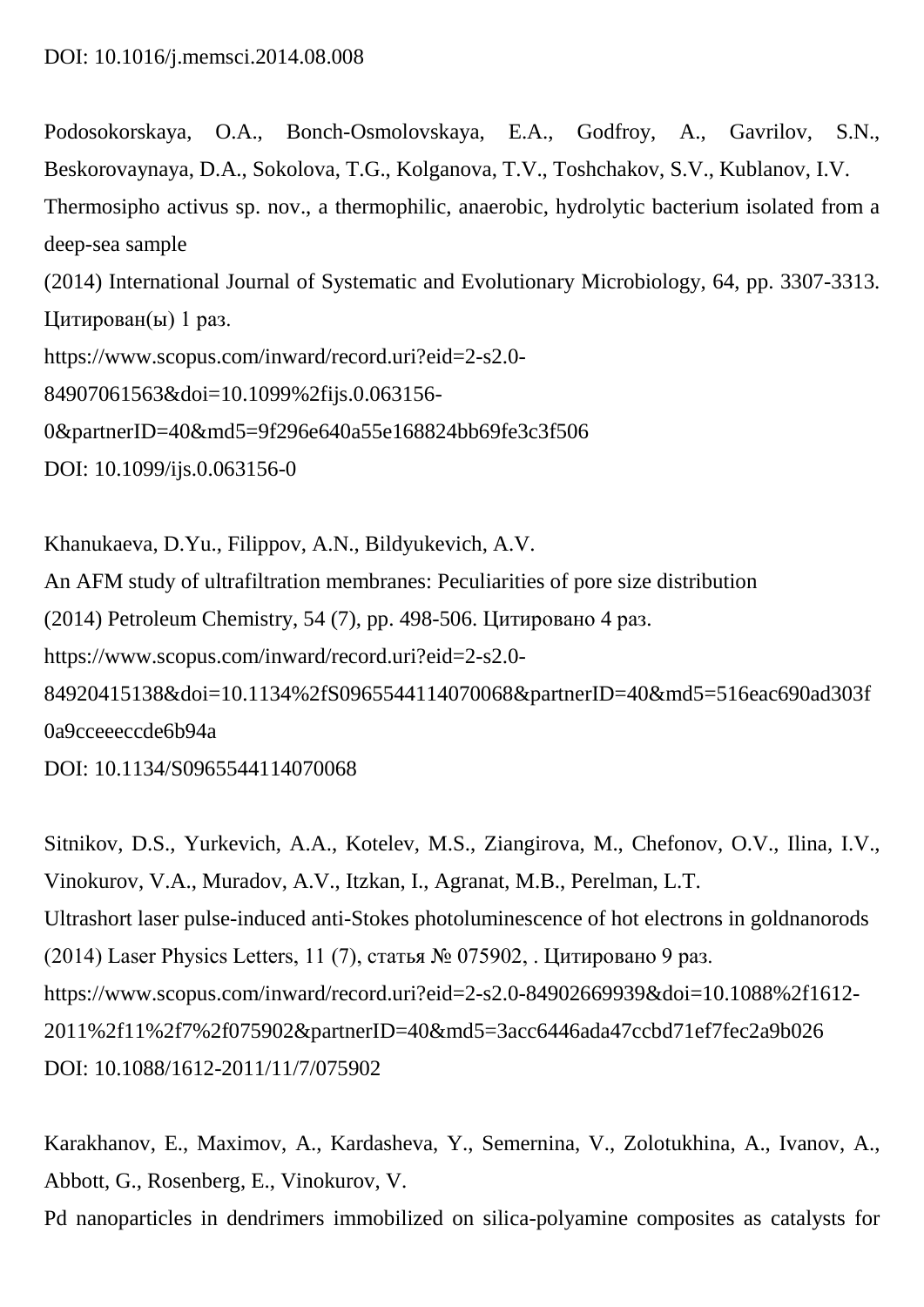Podosokorskaya, O.A., Bonch-Osmolovskaya, E.A., Godfroy, A., Gavrilov, S.N., Beskorovaynaya, D.A., Sokolova, T.G., Kolganova, T.V., Toshchakov, S.V., Kublanov, I.V. Thermosipho activus sp. nov., a thermophilic, anaerobic, hydrolytic bacterium isolated from a deep-sea sample (2014) International Journal of Systematic and Evolutionary Microbiology, 64, pp. 3307-3313. Цитирован(ы) 1 раз. https://www.scopus.com/inward/record.uri?eid=2-s2.0-

84907061563&doi=10.1099%2fijs.0.063156-

0&partnerID=40&md5=9f296e640a55e168824bb69fe3c3f506

DOI: 10.1099/ijs.0.063156-0

Khanukaeva, D.Yu., Filippov, A.N., Bildyukevich, A.V. An AFM study of ultrafiltration membranes: Peculiarities of pore size distribution (2014) Petroleum Chemistry, 54 (7), pp. 498-506. Цитировано 4 раз. https://www.scopus.com/inward/record.uri?eid=2-s2.0- 84920415138&doi=10.1134%2fS0965544114070068&partnerID=40&md5=516eac690ad303f 0a9cceeeccde6b94a

DOI: 10.1134/S0965544114070068

Sitnikov, D.S., Yurkevich, A.A., Kotelev, M.S., Ziangirova, M., Chefonov, O.V., Ilina, I.V., Vinokurov, V.A., Muradov, A.V., Itzkan, I., Agranat, M.B., Perelman, L.T. Ultrashort laser pulse-induced anti-Stokes photoluminescence of hot electrons in goldnanorods (2014) Laser Physics Letters, 11 (7), статья № 075902, . Цитировано 9 раз. https://www.scopus.com/inward/record.uri?eid=2-s2.0-84902669939&doi=10.1088%2f1612- 2011%2f11%2f7%2f075902&partnerID=40&md5=3acc6446ada47ccbd71ef7fec2a9b026 DOI: 10.1088/1612-2011/11/7/075902

Karakhanov, E., Maximov, A., Kardasheva, Y., Semernina, V., Zolotukhina, A., Ivanov, A., Abbott, G., Rosenberg, E., Vinokurov, V.

Pd nanoparticles in dendrimers immobilized on silica-polyamine composites as catalysts for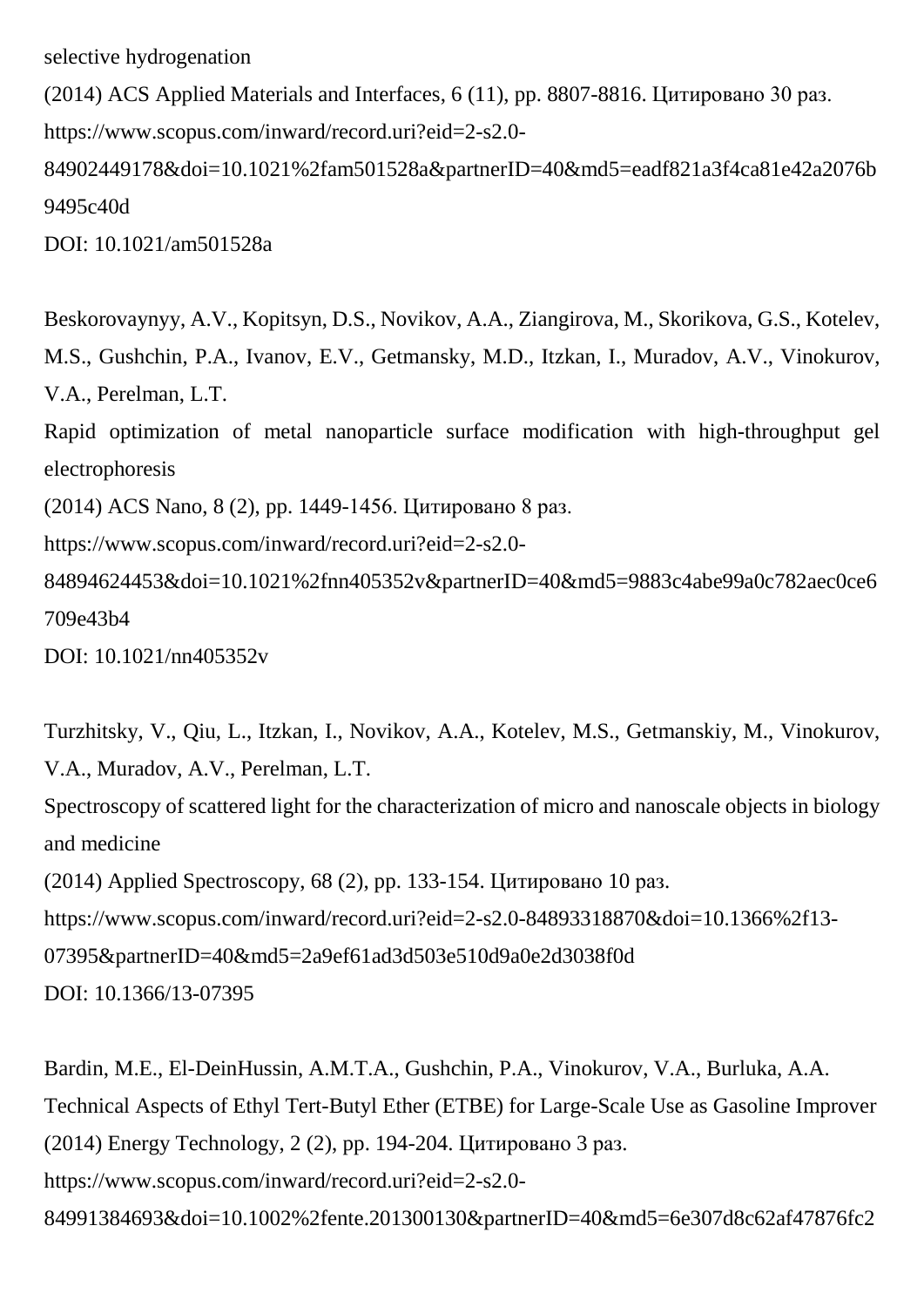selective hydrogenation

(2014) ACS Applied Materials and Interfaces, 6 (11), pp. 8807-8816. Цитировано 30 раз. https://www.scopus.com/inward/record.uri?eid=2-s2.0- 84902449178&doi=10.1021%2fam501528a&partnerID=40&md5=eadf821a3f4ca81e42a2076b 9495c40d DOI: 10.1021/am501528a

Beskorovaynyy, A.V., Kopitsyn, D.S., Novikov, A.A., Ziangirova, M., Skorikova, G.S., Kotelev, M.S., Gushchin, P.A., Ivanov, E.V., Getmansky, M.D., Itzkan, I., Muradov, A.V., Vinokurov, V.A., Perelman, L.T. Rapid optimization of metal nanoparticle surface modification with high-throughput gel electrophoresis (2014) ACS Nano, 8 (2), pp. 1449-1456. Цитировано 8 раз. https://www.scopus.com/inward/record.uri?eid=2-s2.0- 84894624453&doi=10.1021%2fnn405352v&partnerID=40&md5=9883c4abe99a0c782aec0ce6 709e43b4 DOI: 10.1021/nn405352v

Turzhitsky, V., Qiu, L., Itzkan, I., Novikov, A.A., Kotelev, M.S., Getmanskiy, M., Vinokurov, V.A., Muradov, A.V., Perelman, L.T.

Spectroscopy of scattered light for the characterization of micro and nanoscale objects in biology and medicine

(2014) Applied Spectroscopy, 68 (2), pp. 133-154. Цитировано 10 раз.

https://www.scopus.com/inward/record.uri?eid=2-s2.0-84893318870&doi=10.1366%2f13-

07395&partnerID=40&md5=2a9ef61ad3d503e510d9a0e2d3038f0d

DOI: 10.1366/13-07395

Bardin, M.E., El-DeinHussin, A.M.T.A., Gushchin, P.A., Vinokurov, V.A., Burluka, A.A. Technical Aspects of Ethyl Tert-Butyl Ether (ETBE) for Large-Scale Use as Gasoline Improver (2014) Energy Technology, 2 (2), pp. 194-204. Цитировано 3 раз. https://www.scopus.com/inward/record.uri?eid=2-s2.0- 84991384693&doi=10.1002%2fente.201300130&partnerID=40&md5=6e307d8c62af47876fc2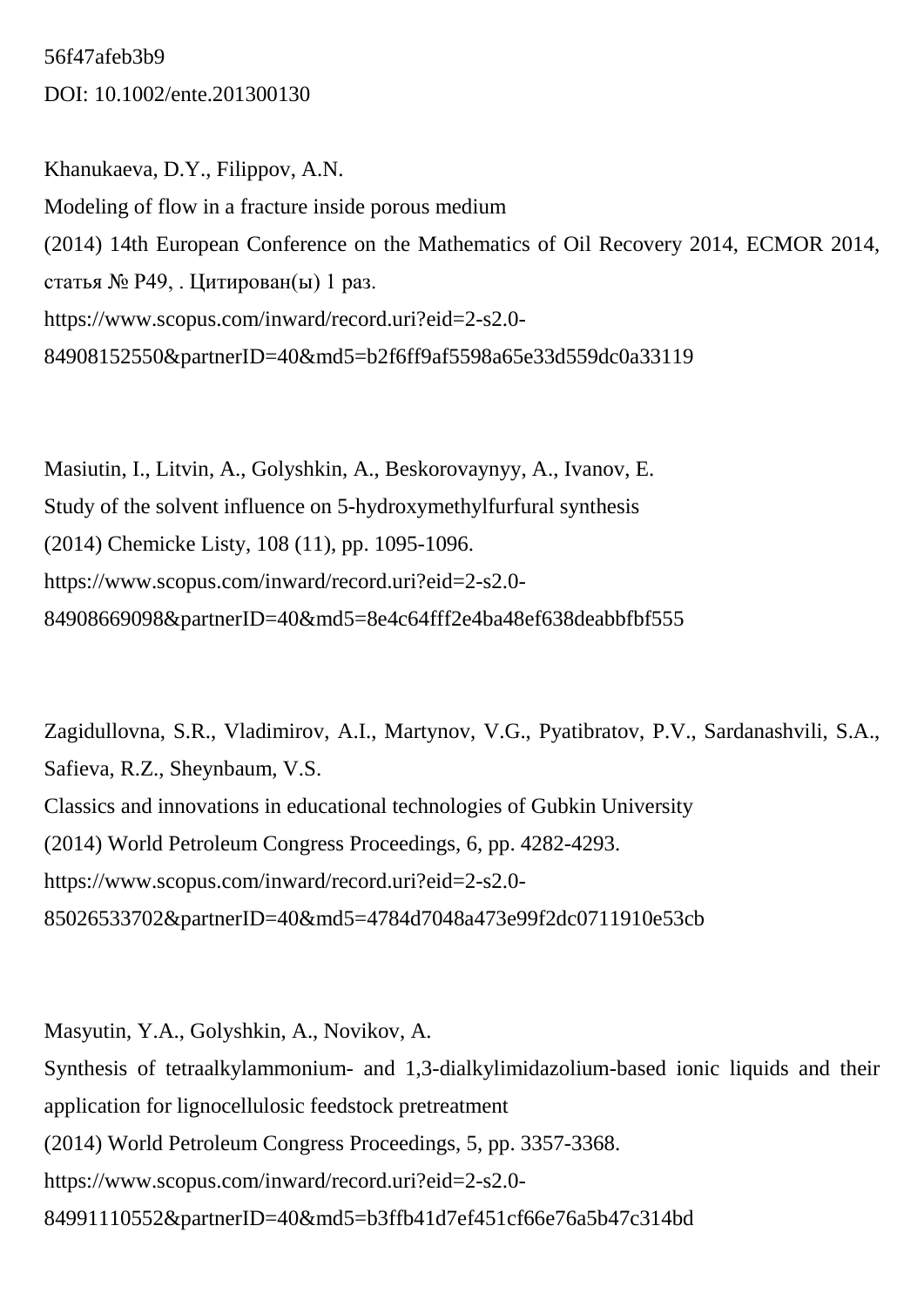56f47afeb3b9 DOI: 10.1002/ente.201300130

Khanukaeva, D.Y., Filippov, A.N. Modeling of flow in a fracture inside porous medium (2014) 14th European Conference on the Mathematics of Oil Recovery 2014, ECMOR 2014, статья № P49, . Цитирован(ы) 1 раз. https://www.scopus.com/inward/record.uri?eid=2-s2.0- 84908152550&partnerID=40&md5=b2f6ff9af5598a65e33d559dc0a33119

Masiutin, I., Litvin, A., Golyshkin, A., Beskorovaynyy, A., Ivanov, E. Study of the solvent influence on 5-hydroxymethylfurfural synthesis (2014) Chemicke Listy, 108 (11), pp. 1095-1096. https://www.scopus.com/inward/record.uri?eid=2-s2.0- 84908669098&partnerID=40&md5=8e4c64fff2e4ba48ef638deabbfbf555

Zagidullovna, S.R., Vladimirov, A.I., Martynov, V.G., Pyatibratov, P.V., Sardanashvili, S.A., Safieva, R.Z., Sheynbaum, V.S. Classics and innovations in educational technologies of Gubkin University (2014) World Petroleum Congress Proceedings, 6, pp. 4282-4293. https://www.scopus.com/inward/record.uri?eid=2-s2.0- 85026533702&partnerID=40&md5=4784d7048a473e99f2dc0711910e53cb

Masyutin, Y.A., Golyshkin, A., Novikov, A. Synthesis of tetraalkylammonium- and 1,3-dialkylimidazolium-based ionic liquids and their application for lignocellulosic feedstock pretreatment (2014) World Petroleum Congress Proceedings, 5, pp. 3357-3368. https://www.scopus.com/inward/record.uri?eid=2-s2.0- 84991110552&partnerID=40&md5=b3ffb41d7ef451cf66e76a5b47c314bd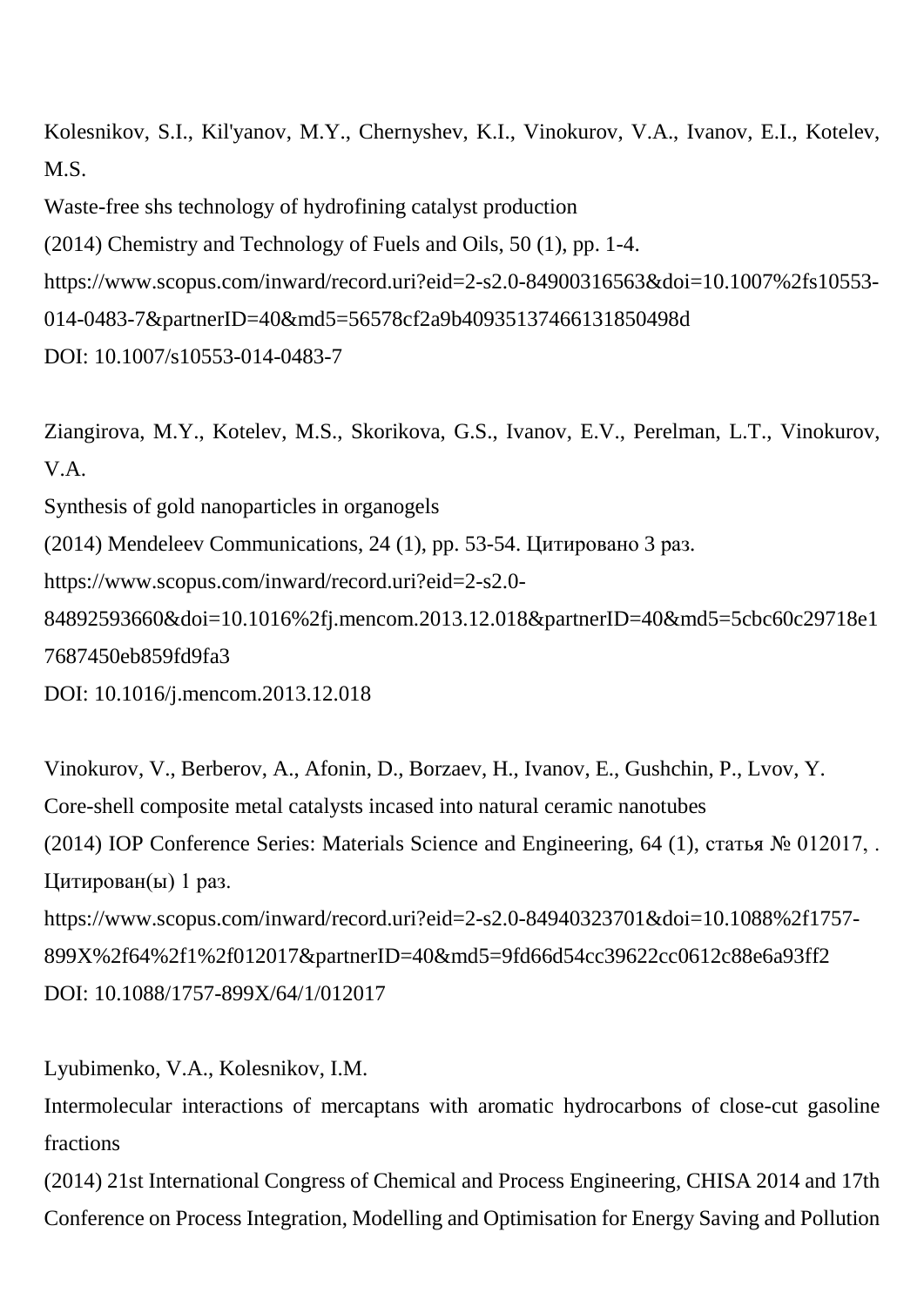Kolesnikov, S.I., Kil'yanov, M.Y., Chernyshev, K.I., Vinokurov, V.A., Ivanov, E.I., Kotelev, M.S.

Waste-free shs technology of hydrofining catalyst production

(2014) Chemistry and Technology of Fuels and Oils, 50 (1), pp. 1-4.

https://www.scopus.com/inward/record.uri?eid=2-s2.0-84900316563&doi=10.1007%2fs10553-

014-0483-7&partnerID=40&md5=56578cf2a9b40935137466131850498d

DOI: 10.1007/s10553-014-0483-7

Ziangirova, M.Y., Kotelev, M.S., Skorikova, G.S., Ivanov, E.V., Perelman, L.T., Vinokurov, V.A. Synthesis of gold nanoparticles in organogels (2014) Mendeleev Communications, 24 (1), pp. 53-54. Цитировано 3 раз. https://www.scopus.com/inward/record.uri?eid=2-s2.0- 84892593660&doi=10.1016%2fj.mencom.2013.12.018&partnerID=40&md5=5cbc60c29718e1 7687450eb859fd9fa3 DOI: 10.1016/j.mencom.2013.12.018

Vinokurov, V., Berberov, A., Afonin, D., Borzaev, H., Ivanov, E., Gushchin, P., Lvov, Y. Core-shell composite metal catalysts incased into natural ceramic nanotubes (2014) IOP Conference Series: Materials Science and Engineering, 64 (1), статья № 012017, . Цитирован(ы) 1 раз. https://www.scopus.com/inward/record.uri?eid=2-s2.0-84940323701&doi=10.1088%2f1757- 899X%2f64%2f1%2f012017&partnerID=40&md5=9fd66d54cc39622cc0612c88e6a93ff2 DOI: 10.1088/1757-899X/64/1/012017

Lyubimenko, V.A., Kolesnikov, I.M.

Intermolecular interactions of mercaptans with aromatic hydrocarbons of close-cut gasoline fractions

(2014) 21st International Congress of Chemical and Process Engineering, CHISA 2014 and 17th Conference on Process Integration, Modelling and Optimisation for Energy Saving and Pollution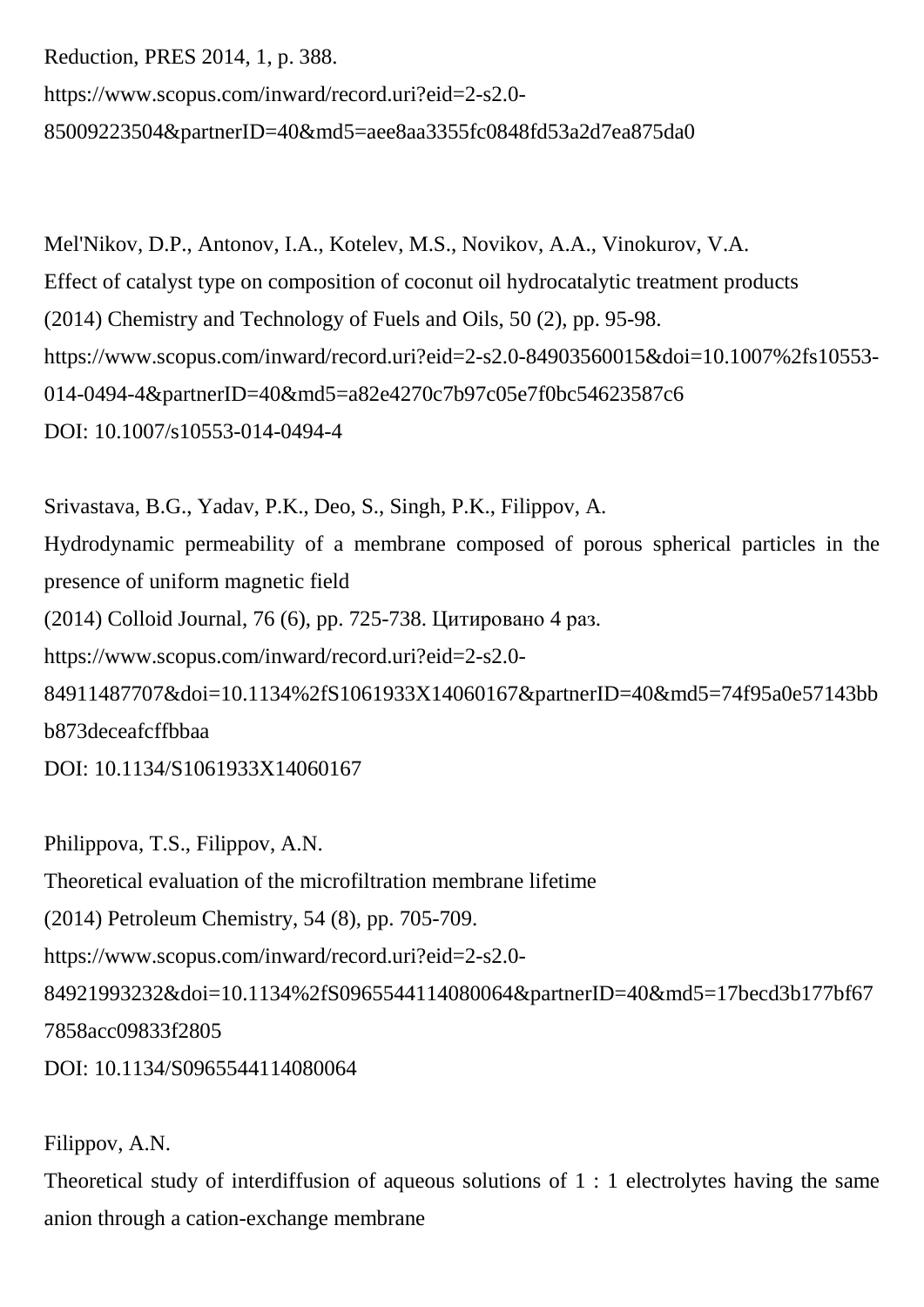Reduction, PRES 2014, 1, p. 388. https://www.scopus.com/inward/record.uri?eid=2-s2.0- 85009223504&partnerID=40&md5=aee8aa3355fc0848fd53a2d7ea875da0

Mel'Nikov, D.P., Antonov, I.A., Kotelev, M.S., Novikov, A.A., Vinokurov, V.A. Effect of catalyst type on composition of coconut oil hydrocatalytic treatment products (2014) Chemistry and Technology of Fuels and Oils, 50 (2), pp. 95-98. https://www.scopus.com/inward/record.uri?eid=2-s2.0-84903560015&doi=10.1007%2fs10553- 014-0494-4&partnerID=40&md5=a82e4270c7b97c05e7f0bc54623587c6 DOI: 10.1007/s10553-014-0494-4

Srivastava, B.G., Yadav, P.K., Deo, S., Singh, P.K., Filippov, A. Hydrodynamic permeability of a membrane composed of porous spherical particles in the presence of uniform magnetic field (2014) Colloid Journal, 76 (6), pp. 725-738. Цитировано 4 раз. https://www.scopus.com/inward/record.uri?eid=2-s2.0- 84911487707&doi=10.1134%2fS1061933X14060167&partnerID=40&md5=74f95a0e57143bb b873deceafcffbbaa DOI: 10.1134/S1061933X14060167

Philippova, T.S., Filippov, A.N.

Theoretical evaluation of the microfiltration membrane lifetime

(2014) Petroleum Chemistry, 54 (8), pp. 705-709.

https://www.scopus.com/inward/record.uri?eid=2-s2.0-

84921993232&doi=10.1134%2fS0965544114080064&partnerID=40&md5=17becd3b177bf67

7858acc09833f2805

DOI: 10.1134/S0965544114080064

### Filippov, A.N.

Theoretical study of interdiffusion of aqueous solutions of 1 : 1 electrolytes having the same anion through a cation-exchange membrane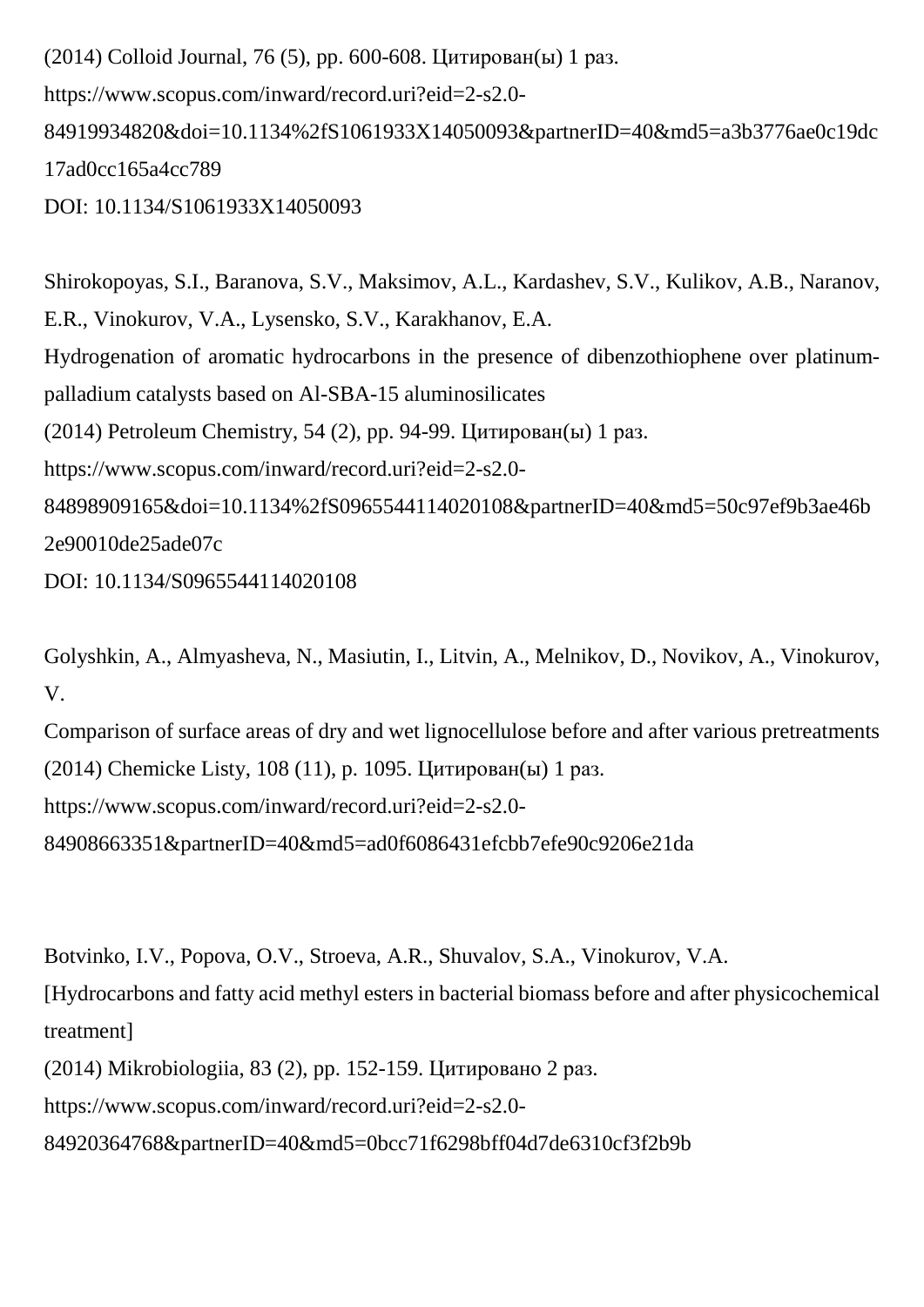(2014) Colloid Journal, 76 (5), pp. 600-608. Цитирован(ы) 1 раз. https://www.scopus.com/inward/record.uri?eid=2-s2.0- 84919934820&doi=10.1134%2fS1061933X14050093&partnerID=40&md5=a3b3776ae0c19dc 17ad0cc165a4cc789 DOI: 10.1134/S1061933X14050093

Shirokopoyas, S.I., Baranova, S.V., Maksimov, A.L., Kardashev, S.V., Kulikov, A.B., Naranov, E.R., Vinokurov, V.A., Lysensko, S.V., Karakhanov, E.A. Hydrogenation of aromatic hydrocarbons in the presence of dibenzothiophene over platinumpalladium catalysts based on Al-SBA-15 aluminosilicates (2014) Petroleum Chemistry, 54 (2), pp. 94-99. Цитирован(ы) 1 раз. https://www.scopus.com/inward/record.uri?eid=2-s2.0- 84898909165&doi=10.1134%2fS0965544114020108&partnerID=40&md5=50c97ef9b3ae46b 2e90010de25ade07c DOI: 10.1134/S0965544114020108

Golyshkin, A., Almyasheva, N., Masiutin, I., Litvin, A., Melnikov, D., Novikov, A., Vinokurov, V.

Comparison of surface areas of dry and wet lignocellulose before and after various pretreatments (2014) Chemicke Listy, 108 (11), p. 1095. Цитирован(ы) 1 раз.

https://www.scopus.com/inward/record.uri?eid=2-s2.0-

84908663351&partnerID=40&md5=ad0f6086431efcbb7efe90c9206e21da

Botvinko, I.V., Popova, O.V., Stroeva, A.R., Shuvalov, S.A., Vinokurov, V.A.

[Hydrocarbons and fatty acid methyl esters in bacterial biomass before and after physicochemical treatment]

(2014) Mikrobiologiia, 83 (2), pp. 152-159. Цитировано 2 раз.

https://www.scopus.com/inward/record.uri?eid=2-s2.0-

84920364768&partnerID=40&md5=0bcc71f6298bff04d7de6310cf3f2b9b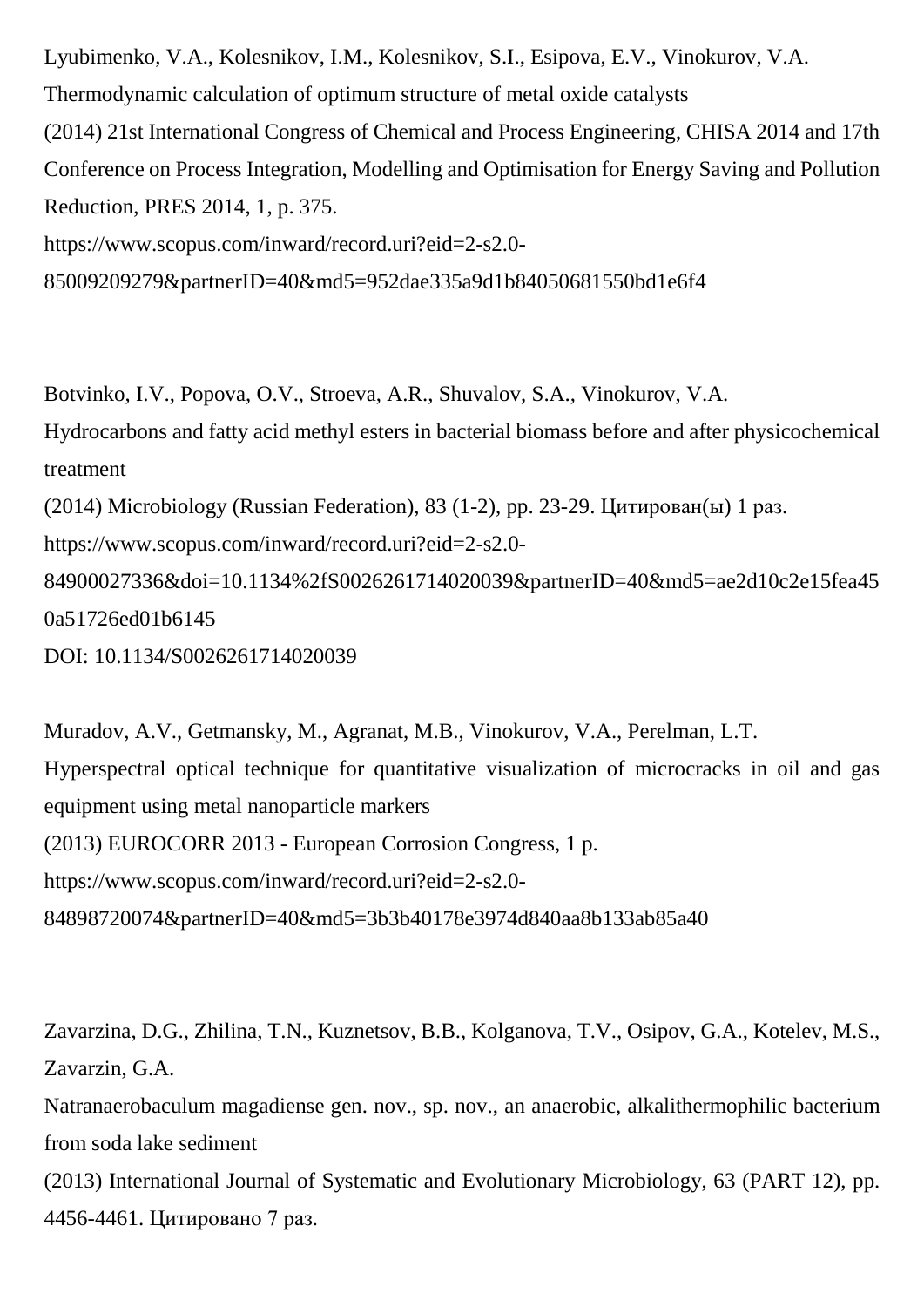Lyubimenko, V.A., Kolesnikov, I.M., Kolesnikov, S.I., Esipova, E.V., Vinokurov, V.A. Thermodynamic calculation of optimum structure of metal oxide catalysts (2014) 21st International Congress of Chemical and Process Engineering, CHISA 2014 and 17th Conference on Process Integration, Modelling and Optimisation for Energy Saving and Pollution Reduction, PRES 2014, 1, p. 375. https://www.scopus.com/inward/record.uri?eid=2-s2.0- 85009209279&partnerID=40&md5=952dae335a9d1b84050681550bd1e6f4

Botvinko, I.V., Popova, O.V., Stroeva, A.R., Shuvalov, S.A., Vinokurov, V.A. Hydrocarbons and fatty acid methyl esters in bacterial biomass before and after physicochemical treatment (2014) Microbiology (Russian Federation), 83 (1-2), pp. 23-29. Цитирован(ы) 1 раз. https://www.scopus.com/inward/record.uri?eid=2-s2.0- 84900027336&doi=10.1134%2fS0026261714020039&partnerID=40&md5=ae2d10c2e15fea45 0a51726ed01b6145 DOI: 10.1134/S0026261714020039

Muradov, A.V., Getmansky, M., Agranat, M.B., Vinokurov, V.A., Perelman, L.T. Hyperspectral optical technique for quantitative visualization of microcracks in oil and gas equipment using metal nanoparticle markers (2013) EUROCORR 2013 - European Corrosion Congress, 1 p. https://www.scopus.com/inward/record.uri?eid=2-s2.0- 84898720074&partnerID=40&md5=3b3b40178e3974d840aa8b133ab85a40

Zavarzina, D.G., Zhilina, T.N., Kuznetsov, B.B., Kolganova, T.V., Osipov, G.A., Kotelev, M.S., Zavarzin, G.A.

Natranaerobaculum magadiense gen. nov., sp. nov., an anaerobic, alkalithermophilic bacterium from soda lake sediment

(2013) International Journal of Systematic and Evolutionary Microbiology, 63 (PART 12), pp. 4456-4461. Цитировано 7 раз.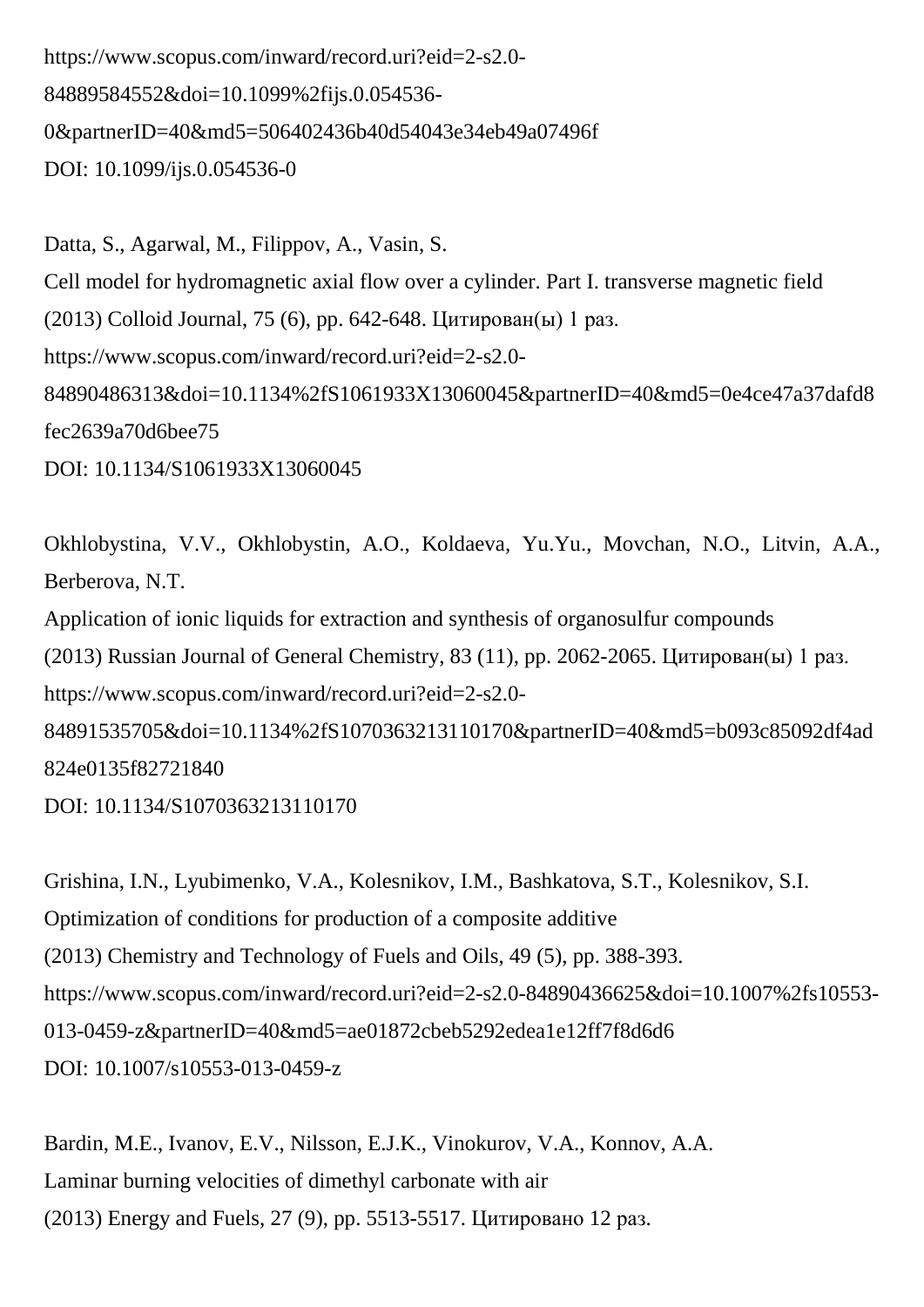https://www.scopus.com/inward/record.uri?eid=2-s2.0- 84889584552&doi=10.1099%2fijs.0.054536- 0&partnerID=40&md5=506402436b40d54043e34eb49a07496f DOI: 10.1099/ijs.0.054536-0

Datta, S., Agarwal, M., Filippov, A., Vasin, S. Cell model for hydromagnetic axial flow over a cylinder. Part I. transverse magnetic field (2013) Colloid Journal, 75 (6), pp. 642-648. Цитирован(ы) 1 раз. https://www.scopus.com/inward/record.uri?eid=2-s2.0- 84890486313&doi=10.1134%2fS1061933X13060045&partnerID=40&md5=0e4ce47a37dafd8 fec2639a70d6bee75 DOI: 10.1134/S1061933X13060045

Okhlobystina, V.V., Okhlobystin, A.O., Koldaeva, Yu.Yu., Movchan, N.O., Litvin, A.A., Berberova, N.T. Application of ionic liquids for extraction and synthesis of organosulfur compounds (2013) Russian Journal of General Chemistry, 83 (11), pp. 2062-2065. Цитирован(ы) 1 раз. https://www.scopus.com/inward/record.uri?eid=2-s2.0- 84891535705&doi=10.1134%2fS1070363213110170&partnerID=40&md5=b093c85092df4ad 824e0135f82721840

DOI: 10.1134/S1070363213110170

Grishina, I.N., Lyubimenko, V.A., Kolesnikov, I.M., Bashkatova, S.T., Kolesnikov, S.I. Optimization of conditions for production of a composite additive (2013) Chemistry and Technology of Fuels and Oils, 49 (5), pp. 388-393. https://www.scopus.com/inward/record.uri?eid=2-s2.0-84890436625&doi=10.1007%2fs10553- 013-0459-z&partnerID=40&md5=ae01872cbeb5292edea1e12ff7f8d6d6 DOI: 10.1007/s10553-013-0459-z

Bardin, M.E., Ivanov, E.V., Nilsson, E.J.K., Vinokurov, V.A., Konnov, A.A. Laminar burning velocities of dimethyl carbonate with air (2013) Energy and Fuels, 27 (9), pp. 5513-5517. Цитировано 12 раз.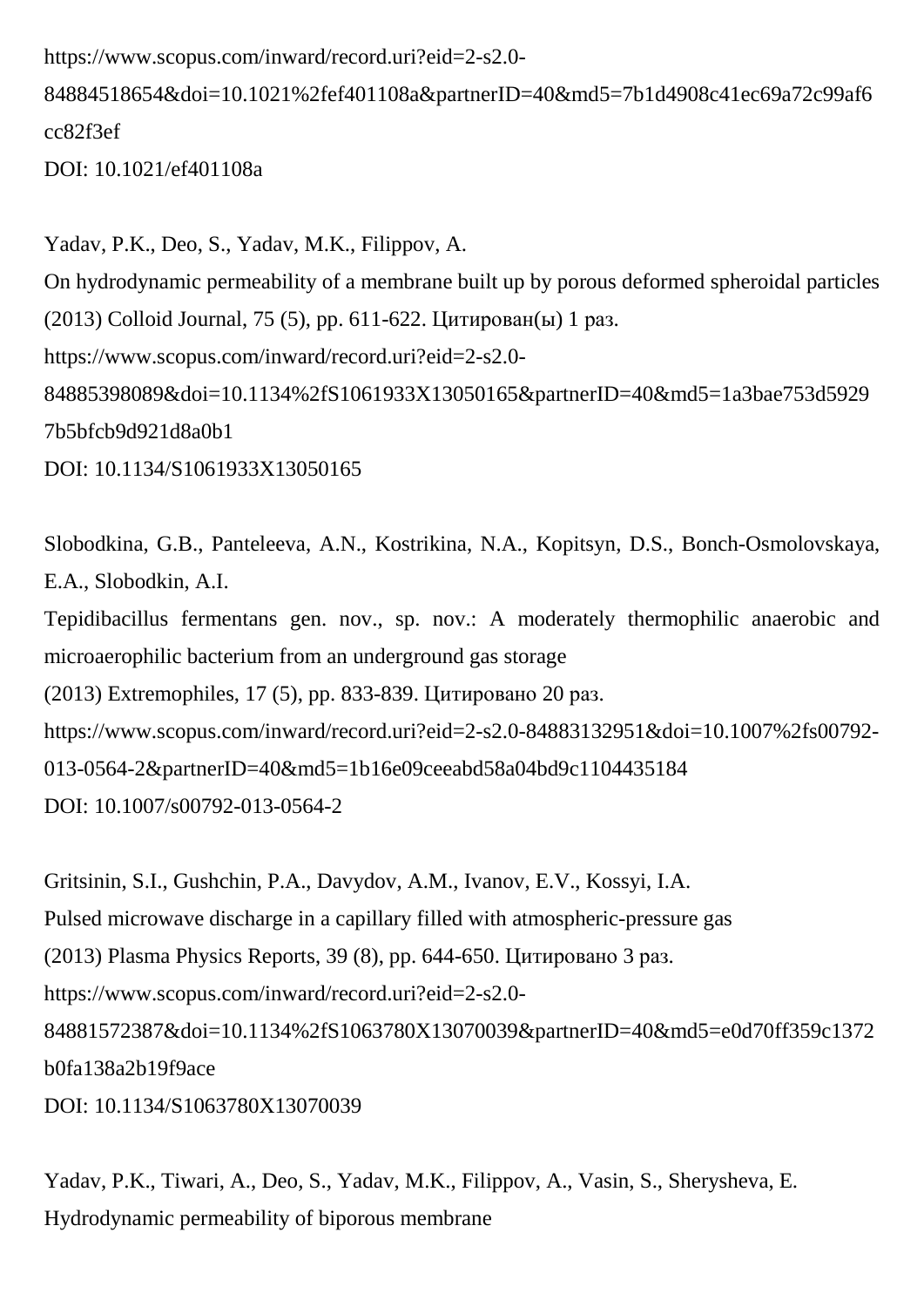https://www.scopus.com/inward/record.uri?eid=2-s2.0-

84884518654&doi=10.1021%2fef401108a&partnerID=40&md5=7b1d4908c41ec69a72c99af6 cc82f3ef

DOI: 10.1021/ef401108a

Yadav, P.K., Deo, S., Yadav, M.K., Filippov, A. On hydrodynamic permeability of a membrane built up by porous deformed spheroidal particles (2013) Colloid Journal, 75 (5), pp. 611-622. Цитирован(ы) 1 раз. https://www.scopus.com/inward/record.uri?eid=2-s2.0- 84885398089&doi=10.1134%2fS1061933X13050165&partnerID=40&md5=1a3bae753d5929 7b5bfcb9d921d8a0b1 DOI: 10.1134/S1061933X13050165

Slobodkina, G.B., Panteleeva, A.N., Kostrikina, N.A., Kopitsyn, D.S., Bonch-Osmolovskaya, E.A., Slobodkin, A.I. Tepidibacillus fermentans gen. nov., sp. nov.: A moderately thermophilic anaerobic and microaerophilic bacterium from an underground gas storage (2013) Extremophiles, 17 (5), pp. 833-839. Цитировано 20 раз.

https://www.scopus.com/inward/record.uri?eid=2-s2.0-84883132951&doi=10.1007%2fs00792-

013-0564-2&partnerID=40&md5=1b16e09ceeabd58a04bd9c1104435184

DOI: 10.1007/s00792-013-0564-2

Gritsinin, S.I., Gushchin, P.A., Davydov, A.M., Ivanov, E.V., Kossyi, I.A. Pulsed microwave discharge in a capillary filled with atmospheric-pressure gas (2013) Plasma Physics Reports, 39 (8), pp. 644-650. Цитировано 3 раз. https://www.scopus.com/inward/record.uri?eid=2-s2.0- 84881572387&doi=10.1134%2fS1063780X13070039&partnerID=40&md5=e0d70ff359c1372 b0fa138a2b19f9ace DOI: 10.1134/S1063780X13070039

Yadav, P.K., Tiwari, A., Deo, S., Yadav, M.K., Filippov, A., Vasin, S., Sherysheva, E. Hydrodynamic permeability of biporous membrane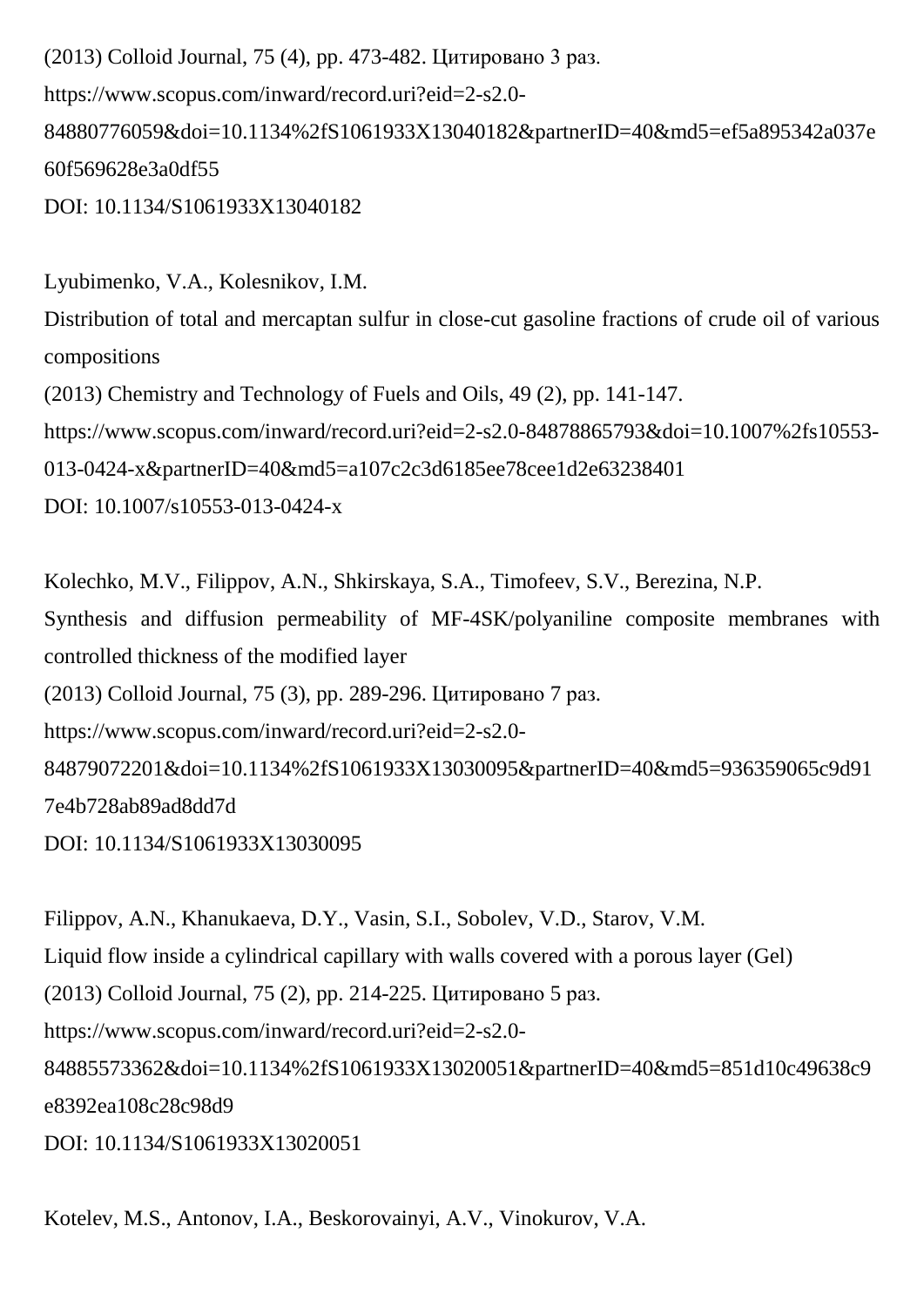(2013) Colloid Journal, 75 (4), pp. 473-482. Цитировано 3 раз. https://www.scopus.com/inward/record.uri?eid=2-s2.0- 84880776059&doi=10.1134%2fS1061933X13040182&partnerID=40&md5=ef5a895342a037e 60f569628e3a0df55 DOI: 10.1134/S1061933X13040182

Lyubimenko, V.A., Kolesnikov, I.M. Distribution of total and mercaptan sulfur in close-cut gasoline fractions of crude oil of various compositions (2013) Chemistry and Technology of Fuels and Oils, 49 (2), pp. 141-147. https://www.scopus.com/inward/record.uri?eid=2-s2.0-84878865793&doi=10.1007%2fs10553- 013-0424-x&partnerID=40&md5=a107c2c3d6185ee78cee1d2e63238401 DOI: 10.1007/s10553-013-0424-x

Kolechko, M.V., Filippov, A.N., Shkirskaya, S.A., Timofeev, S.V., Berezina, N.P. Synthesis and diffusion permeability of MF-4SK/polyaniline composite membranes with controlled thickness of the modified layer (2013) Colloid Journal, 75 (3), pp. 289-296. Цитировано 7 раз. https://www.scopus.com/inward/record.uri?eid=2-s2.0- 84879072201&doi=10.1134%2fS1061933X13030095&partnerID=40&md5=936359065c9d91 7e4b728ab89ad8dd7d DOI: 10.1134/S1061933X13030095

Filippov, A.N., Khanukaeva, D.Y., Vasin, S.I., Sobolev, V.D., Starov, V.M. Liquid flow inside a cylindrical capillary with walls covered with a porous layer (Gel) (2013) Colloid Journal, 75 (2), pp. 214-225. Цитировано 5 раз. https://www.scopus.com/inward/record.uri?eid=2-s2.0- 84885573362&doi=10.1134%2fS1061933X13020051&partnerID=40&md5=851d10c49638c9 e8392ea108c28c98d9 DOI: 10.1134/S1061933X13020051

Kotelev, M.S., Antonov, I.A., Beskorovainyi, A.V., Vinokurov, V.A.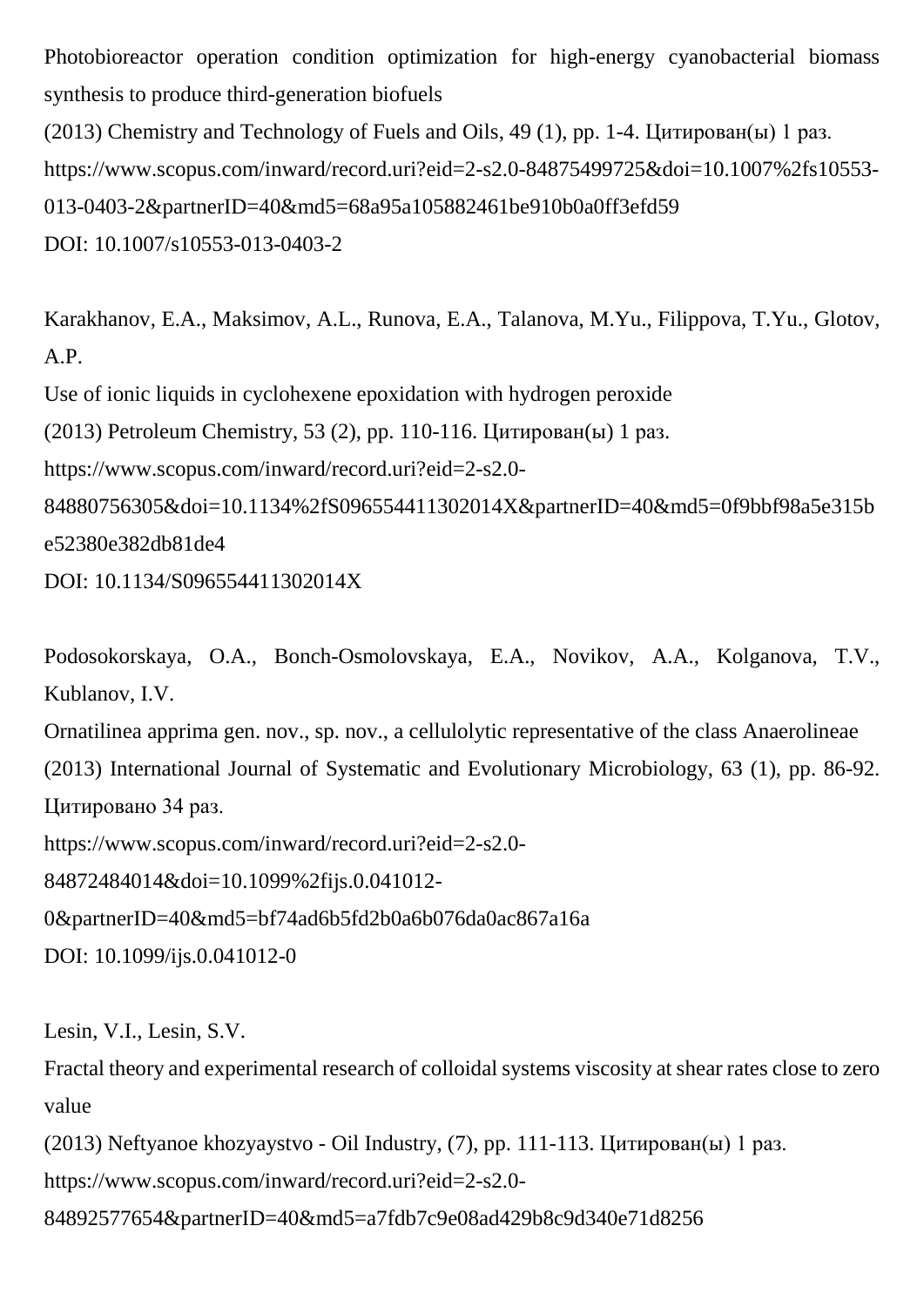Photobioreactor operation condition optimization for high-energy cyanobacterial biomass synthesis to produce third-generation biofuels

```
(2013) Chemistry and Technology of Fuels and Oils, 49 (1), pp. 1-4. Цитирован(ы) 1 раз.
https://www.scopus.com/inward/record.uri?eid=2-s2.0-84875499725&doi=10.1007%2fs10553-
013-0403-2&partnerID=40&md5=68a95a105882461be910b0a0ff3efd59
DOI: 10.1007/s10553-013-0403-2
```
Karakhanov, E.A., Maksimov, A.L., Runova, E.A., Talanova, M.Yu., Filippova, T.Yu., Glotov, A.P.

Use of ionic liquids in cyclohexene epoxidation with hydrogen peroxide

(2013) Petroleum Chemistry, 53 (2), pp. 110-116. Цитирован(ы) 1 раз.

https://www.scopus.com/inward/record.uri?eid=2-s2.0-

84880756305&doi=10.1134%2fS096554411302014X&partnerID=40&md5=0f9bbf98a5e315b e52380e382db81de4

DOI: 10.1134/S096554411302014X

Podosokorskaya, O.A., Bonch-Osmolovskaya, E.A., Novikov, A.A., Kolganova, T.V., Kublanov, I.V.

Ornatilinea apprima gen. nov., sp. nov., a cellulolytic representative of the class Anaerolineae (2013) International Journal of Systematic and Evolutionary Microbiology, 63 (1), pp. 86-92. Цитировано 34 раз.

https://www.scopus.com/inward/record.uri?eid=2-s2.0-

84872484014&doi=10.1099%2fijs.0.041012-

0&partnerID=40&md5=bf74ad6b5fd2b0a6b076da0ac867a16a

DOI: 10.1099/ijs.0.041012-0

Lesin, V.I., Lesin, S.V.

Fractal theory and experimental research of colloidal systems viscosity at shear rates close to zero value

(2013) Neftyanoe khozyaystvo - Oil Industry, (7), pp. 111-113. Цитирован(ы) 1 раз.

https://www.scopus.com/inward/record.uri?eid=2-s2.0-

84892577654&partnerID=40&md5=a7fdb7c9e08ad429b8c9d340e71d8256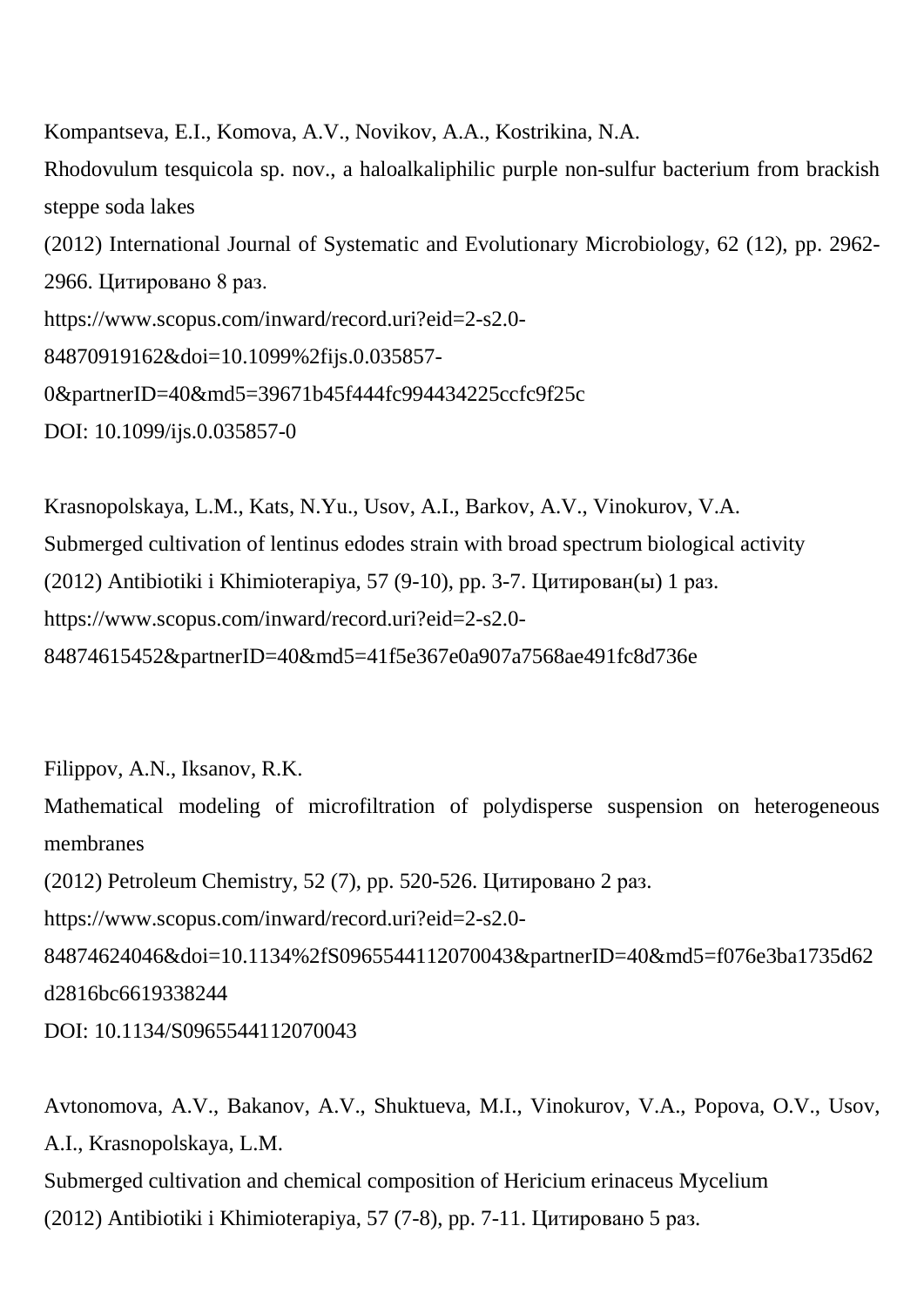Kompantseva, E.I., Komova, A.V., Novikov, A.A., Kostrikina, N.A. Rhodovulum tesquicola sp. nov., a haloalkaliphilic purple non-sulfur bacterium from brackish steppe soda lakes (2012) International Journal of Systematic and Evolutionary Microbiology, 62 (12), pp. 2962- 2966. Цитировано 8 раз. https://www.scopus.com/inward/record.uri?eid=2-s2.0- 84870919162&doi=10.1099%2fijs.0.035857- 0&partnerID=40&md5=39671b45f444fc994434225ccfc9f25c DOI: 10.1099/ijs.0.035857-0

Krasnopolskaya, L.M., Kats, N.Yu., Usov, A.I., Barkov, A.V., Vinokurov, V.A. Submerged cultivation of lentinus edodes strain with broad spectrum biological activity (2012) Antibiotiki i Khimioterapiya, 57 (9-10), pp. 3-7. Цитирован(ы) 1 раз. https://www.scopus.com/inward/record.uri?eid=2-s2.0- 84874615452&partnerID=40&md5=41f5e367e0a907a7568ae491fc8d736e

Filippov, A.N., Iksanov, R.K.

Mathematical modeling of microfiltration of polydisperse suspension on heterogeneous membranes

(2012) Petroleum Chemistry, 52 (7), pp. 520-526. Цитировано 2 раз.

https://www.scopus.com/inward/record.uri?eid=2-s2.0-

84874624046&doi=10.1134%2fS0965544112070043&partnerID=40&md5=f076e3ba1735d62 d2816bc6619338244

DOI: 10.1134/S0965544112070043

Avtonomova, A.V., Bakanov, A.V., Shuktueva, M.I., Vinokurov, V.A., Popova, O.V., Usov, A.I., Krasnopolskaya, L.M. Submerged cultivation and chemical composition of Hericium erinaceus Mycelium (2012) Antibiotiki i Khimioterapiya, 57 (7-8), pp. 7-11. Цитировано 5 раз.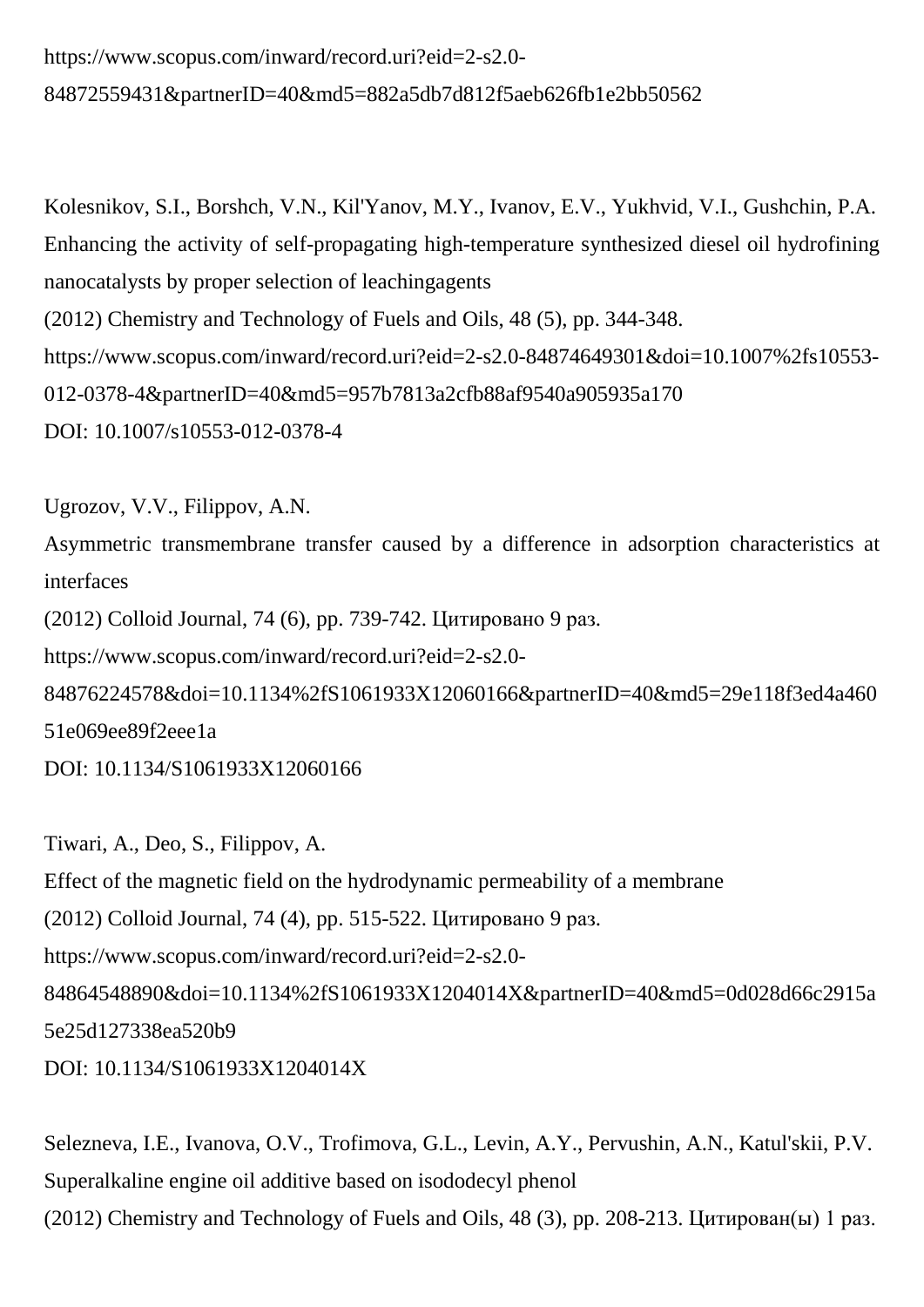## https://www.scopus.com/inward/record.uri?eid=2-s2.0- 84872559431&partnerID=40&md5=882a5db7d812f5aeb626fb1e2bb50562

Kolesnikov, S.I., Borshch, V.N., Kil'Yanov, M.Y., Ivanov, E.V., Yukhvid, V.I., Gushchin, P.A. Enhancing the activity of self-propagating high-temperature synthesized diesel oil hydrofining nanocatalysts by proper selection of leachingagents (2012) Chemistry and Technology of Fuels and Oils, 48 (5), pp. 344-348. https://www.scopus.com/inward/record.uri?eid=2-s2.0-84874649301&doi=10.1007%2fs10553- 012-0378-4&partnerID=40&md5=957b7813a2cfb88af9540a905935a170 DOI: 10.1007/s10553-012-0378-4

Ugrozov, V.V., Filippov, A.N.

Asymmetric transmembrane transfer caused by a difference in adsorption characteristics at interfaces

(2012) Colloid Journal, 74 (6), pp. 739-742. Цитировано 9 раз.

https://www.scopus.com/inward/record.uri?eid=2-s2.0-

84876224578&doi=10.1134%2fS1061933X12060166&partnerID=40&md5=29e118f3ed4a460 51e069ee89f2eee1a

DOI: 10.1134/S1061933X12060166

Tiwari, A., Deo, S., Filippov, A. Effect of the magnetic field on the hydrodynamic permeability of a membrane (2012) Colloid Journal, 74 (4), pp. 515-522. Цитировано 9 раз. https://www.scopus.com/inward/record.uri?eid=2-s2.0- 84864548890&doi=10.1134%2fS1061933X1204014X&partnerID=40&md5=0d028d66c2915a 5e25d127338ea520b9 DOI: 10.1134/S1061933X1204014X

Selezneva, I.E., Ivanova, O.V., Trofimova, G.L., Levin, A.Y., Pervushin, A.N., Katul'skii, P.V. Superalkaline engine oil additive based on isododecyl phenol (2012) Chemistry and Technology of Fuels and Oils, 48 (3), pp. 208-213. Цитирован(ы) 1 раз.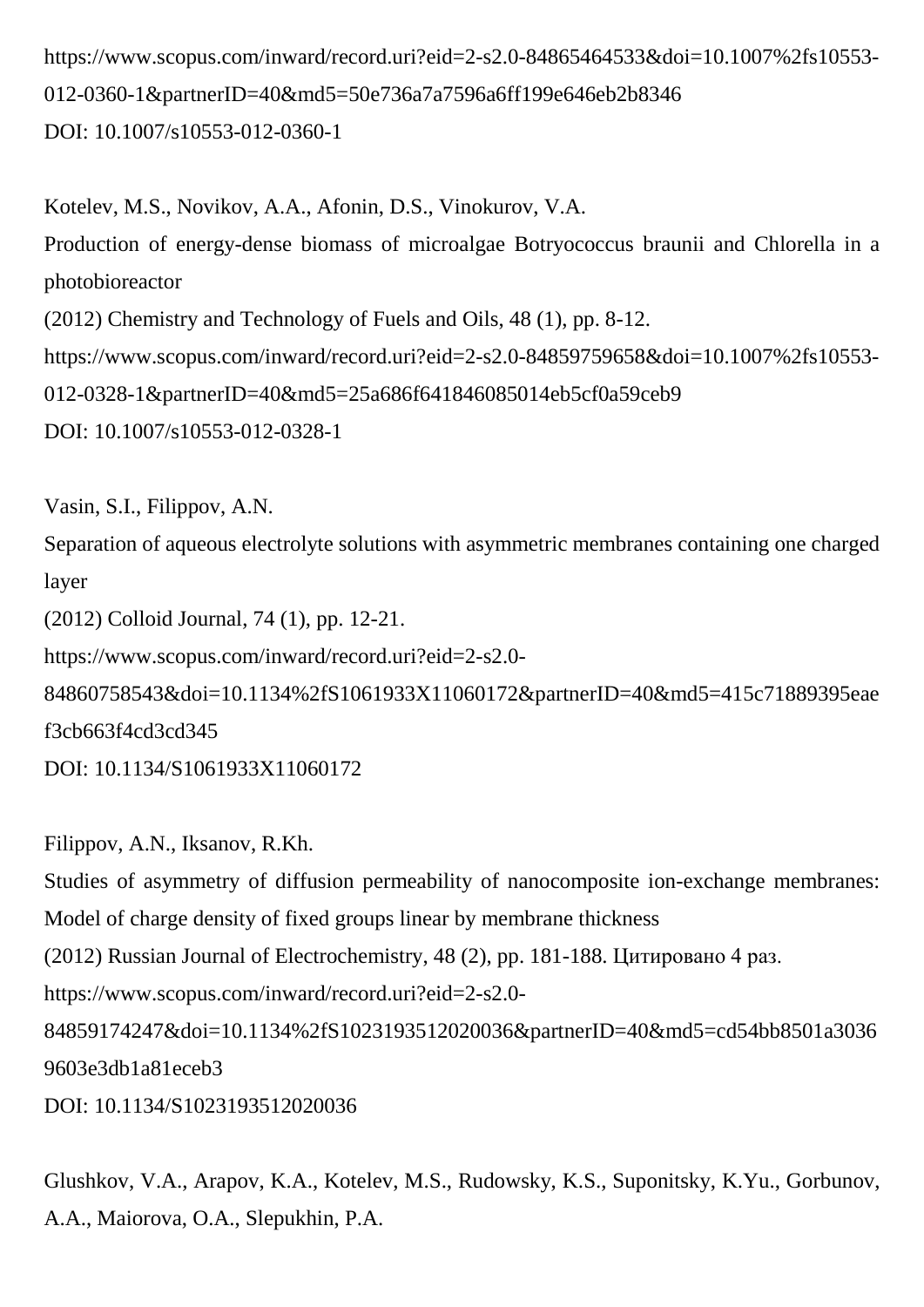https://www.scopus.com/inward/record.uri?eid=2-s2.0-84865464533&doi=10.1007%2fs10553- 012-0360-1&partnerID=40&md5=50e736a7a7596a6ff199e646eb2b8346 DOI: 10.1007/s10553-012-0360-1

Kotelev, M.S., Novikov, A.A., Afonin, D.S., Vinokurov, V.A. Production of energy-dense biomass of microalgae Botryococcus braunii and Chlorella in a photobioreactor (2012) Chemistry and Technology of Fuels and Oils, 48 (1), pp. 8-12. https://www.scopus.com/inward/record.uri?eid=2-s2.0-84859759658&doi=10.1007%2fs10553- 012-0328-1&partnerID=40&md5=25a686f641846085014eb5cf0a59ceb9 DOI: 10.1007/s10553-012-0328-1

Vasin, S.I., Filippov, A.N.

Separation of aqueous electrolyte solutions with asymmetric membranes containing one charged layer

(2012) Colloid Journal, 74 (1), pp. 12-21.

https://www.scopus.com/inward/record.uri?eid=2-s2.0-

84860758543&doi=10.1134%2fS1061933X11060172&partnerID=40&md5=415c71889395eae f3cb663f4cd3cd345

DOI: 10.1134/S1061933X11060172

Filippov, A.N., Iksanov, R.Kh. Studies of asymmetry of diffusion permeability of nanocomposite ion-exchange membranes: Model of charge density of fixed groups linear by membrane thickness (2012) Russian Journal of Electrochemistry, 48 (2), pp. 181-188. Цитировано 4 раз. https://www.scopus.com/inward/record.uri?eid=2-s2.0- 84859174247&doi=10.1134%2fS1023193512020036&partnerID=40&md5=cd54bb8501a3036 9603e3db1a81eceb3 DOI: 10.1134/S1023193512020036

Glushkov, V.A., Arapov, K.A., Kotelev, M.S., Rudowsky, K.S., Suponitsky, K.Yu., Gorbunov, A.A., Maiorova, O.A., Slepukhin, P.A.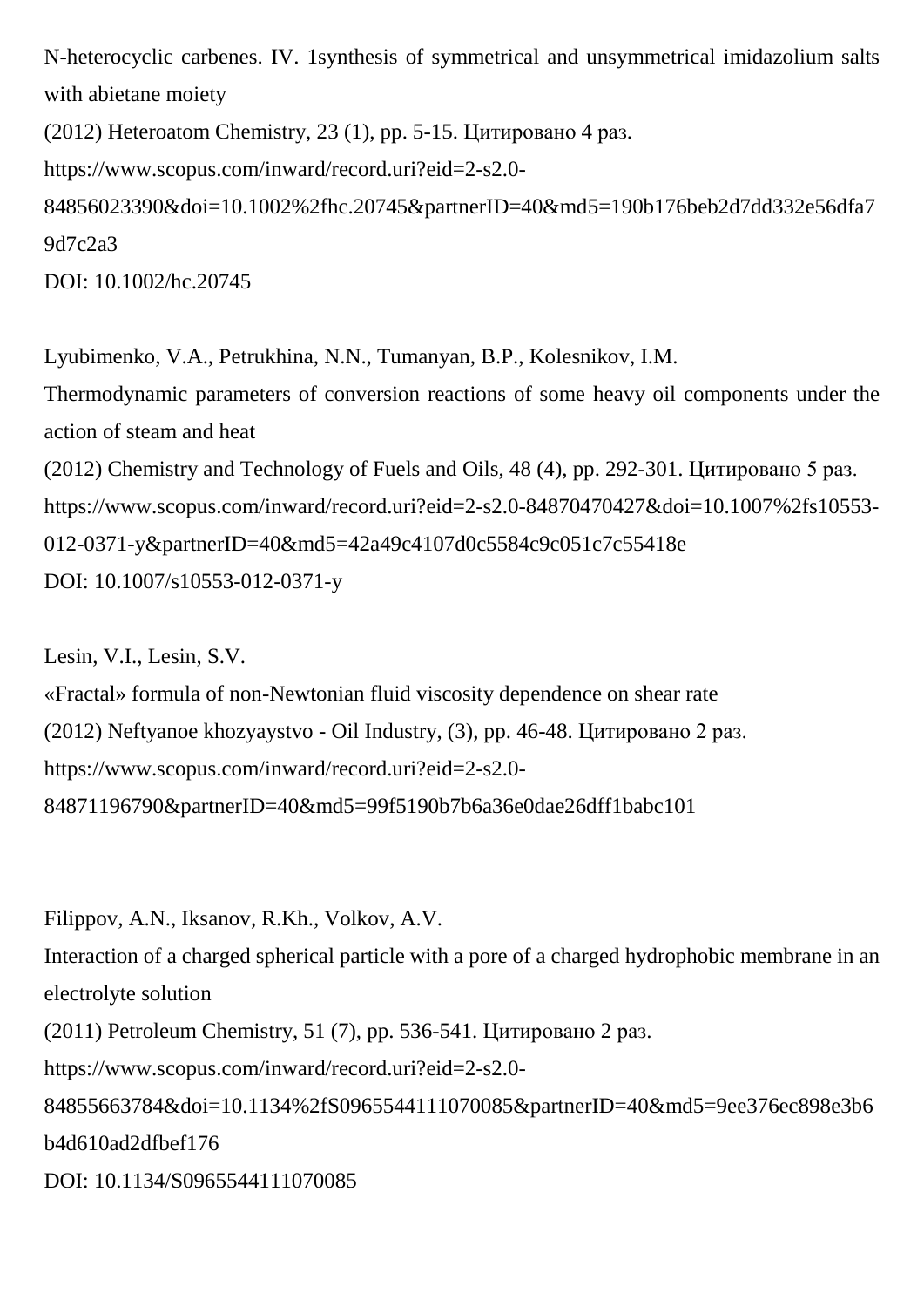N-heterocyclic carbenes. IV. 1synthesis of symmetrical and unsymmetrical imidazolium salts with abietane moiety

(2012) Heteroatom Chemistry, 23 (1), pp. 5-15. Цитировано 4 раз. https://www.scopus.com/inward/record.uri?eid=2-s2.0- 84856023390&doi=10.1002%2fhc.20745&partnerID=40&md5=190b176beb2d7dd332e56dfa7 9d7c2a3 DOI: 10.1002/hc.20745

Lyubimenko, V.A., Petrukhina, N.N., Tumanyan, B.P., Kolesnikov, I.M. Thermodynamic parameters of conversion reactions of some heavy oil components under the action of steam and heat (2012) Chemistry and Technology of Fuels and Oils, 48 (4), pp. 292-301. Цитировано 5 раз. https://www.scopus.com/inward/record.uri?eid=2-s2.0-84870470427&doi=10.1007%2fs10553- 012-0371-y&partnerID=40&md5=42a49c4107d0c5584c9c051c7c55418e DOI: 10.1007/s10553-012-0371-y

Lesin, V.I., Lesin, S.V. «Fractal» formula of non-Newtonian fluid viscosity dependence on shear rate (2012) Neftyanoe khozyaystvo - Oil Industry, (3), pp. 46-48. Цитировано 2 раз. https://www.scopus.com/inward/record.uri?eid=2-s2.0- 84871196790&partnerID=40&md5=99f5190b7b6a36e0dae26dff1babc101

Filippov, A.N., Iksanov, R.Kh., Volkov, A.V. Interaction of a charged spherical particle with a pore of a charged hydrophobic membrane in an electrolyte solution (2011) Petroleum Chemistry, 51 (7), pp. 536-541. Цитировано 2 раз. https://www.scopus.com/inward/record.uri?eid=2-s2.0- 84855663784&doi=10.1134%2fS0965544111070085&partnerID=40&md5=9ee376ec898e3b6 b4d610ad2dfbef176 DOI: 10.1134/S0965544111070085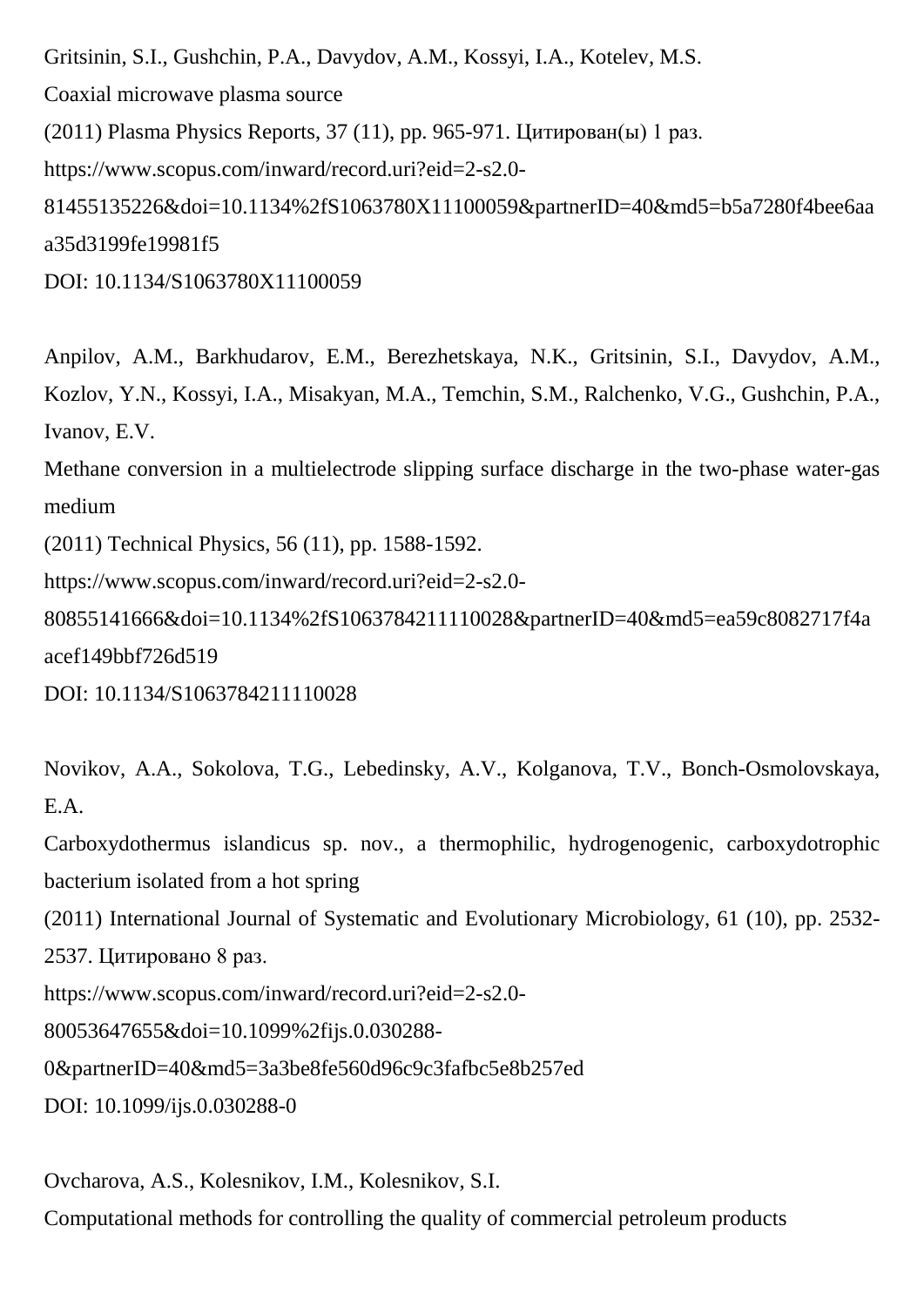Gritsinin, S.I., Gushchin, P.A., Davydov, A.M., Kossyi, I.A., Kotelev, M.S. Coaxial microwave plasma source (2011) Plasma Physics Reports, 37 (11), pp. 965-971. Цитирован(ы) 1 раз. https://www.scopus.com/inward/record.uri?eid=2-s2.0- 81455135226&doi=10.1134%2fS1063780X11100059&partnerID=40&md5=b5a7280f4bee6aa a35d3199fe19981f5 DOI: 10.1134/S1063780X11100059

Anpilov, A.M., Barkhudarov, E.M., Berezhetskaya, N.K., Gritsinin, S.I., Davydov, A.M., Kozlov, Y.N., Kossyi, I.A., Misakyan, M.A., Temchin, S.M., Ralchenko, V.G., Gushchin, P.A., Ivanov, E.V.

Methane conversion in a multielectrode slipping surface discharge in the two-phase water-gas medium

(2011) Technical Physics, 56 (11), pp. 1588-1592.

https://www.scopus.com/inward/record.uri?eid=2-s2.0-

80855141666&doi=10.1134%2fS1063784211110028&partnerID=40&md5=ea59c8082717f4a acef149bbf726d519

DOI: 10.1134/S1063784211110028

Novikov, A.A., Sokolova, T.G., Lebedinsky, A.V., Kolganova, T.V., Bonch-Osmolovskaya, E.A.

Carboxydothermus islandicus sp. nov., a thermophilic, hydrogenogenic, carboxydotrophic bacterium isolated from a hot spring

(2011) International Journal of Systematic and Evolutionary Microbiology, 61 (10), pp. 2532- 2537. Цитировано 8 раз.

https://www.scopus.com/inward/record.uri?eid=2-s2.0-

80053647655&doi=10.1099%2fijs.0.030288-

0&partnerID=40&md5=3a3be8fe560d96c9c3fafbc5e8b257ed

DOI: 10.1099/ijs.0.030288-0

Ovcharova, A.S., Kolesnikov, I.M., Kolesnikov, S.I.

Computational methods for controlling the quality of commercial petroleum products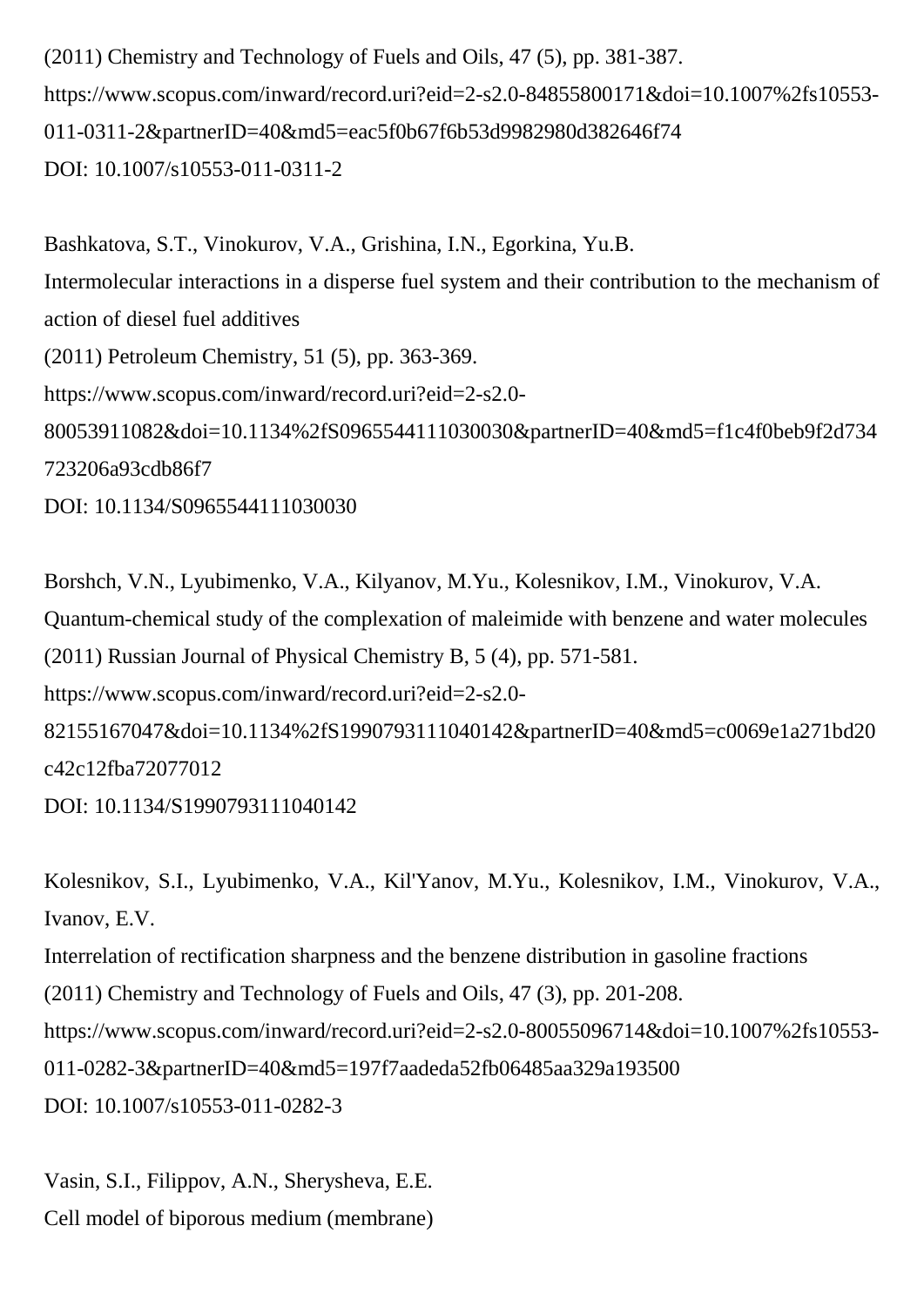(2011) Chemistry and Technology of Fuels and Oils, 47 (5), pp. 381-387. https://www.scopus.com/inward/record.uri?eid=2-s2.0-84855800171&doi=10.1007%2fs10553- 011-0311-2&partnerID=40&md5=eac5f0b67f6b53d9982980d382646f74 DOI: 10.1007/s10553-011-0311-2

Bashkatova, S.T., Vinokurov, V.A., Grishina, I.N., Egorkina, Yu.B. Intermolecular interactions in a disperse fuel system and their contribution to the mechanism of action of diesel fuel additives (2011) Petroleum Chemistry, 51 (5), pp. 363-369. https://www.scopus.com/inward/record.uri?eid=2-s2.0- 80053911082&doi=10.1134%2fS0965544111030030&partnerID=40&md5=f1c4f0beb9f2d734 723206a93cdb86f7 DOI: 10.1134/S0965544111030030

Borshch, V.N., Lyubimenko, V.A., Kilyanov, M.Yu., Kolesnikov, I.M., Vinokurov, V.A. Quantum-chemical study of the complexation of maleimide with benzene and water molecules (2011) Russian Journal of Physical Chemistry B, 5 (4), pp. 571-581. https://www.scopus.com/inward/record.uri?eid=2-s2.0- 82155167047&doi=10.1134%2fS1990793111040142&partnerID=40&md5=c0069e1a271bd20 c42c12fba72077012 DOI: 10.1134/S1990793111040142

Kolesnikov, S.I., Lyubimenko, V.A., Kil'Yanov, M.Yu., Kolesnikov, I.M., Vinokurov, V.A., Ivanov, E.V. Interrelation of rectification sharpness and the benzene distribution in gasoline fractions (2011) Chemistry and Technology of Fuels and Oils, 47 (3), pp. 201-208. https://www.scopus.com/inward/record.uri?eid=2-s2.0-80055096714&doi=10.1007%2fs10553- 011-0282-3&partnerID=40&md5=197f7aadeda52fb06485aa329a193500 DOI: 10.1007/s10553-011-0282-3

Vasin, S.I., Filippov, A.N., Sherysheva, E.E. Cell model of biporous medium (membrane)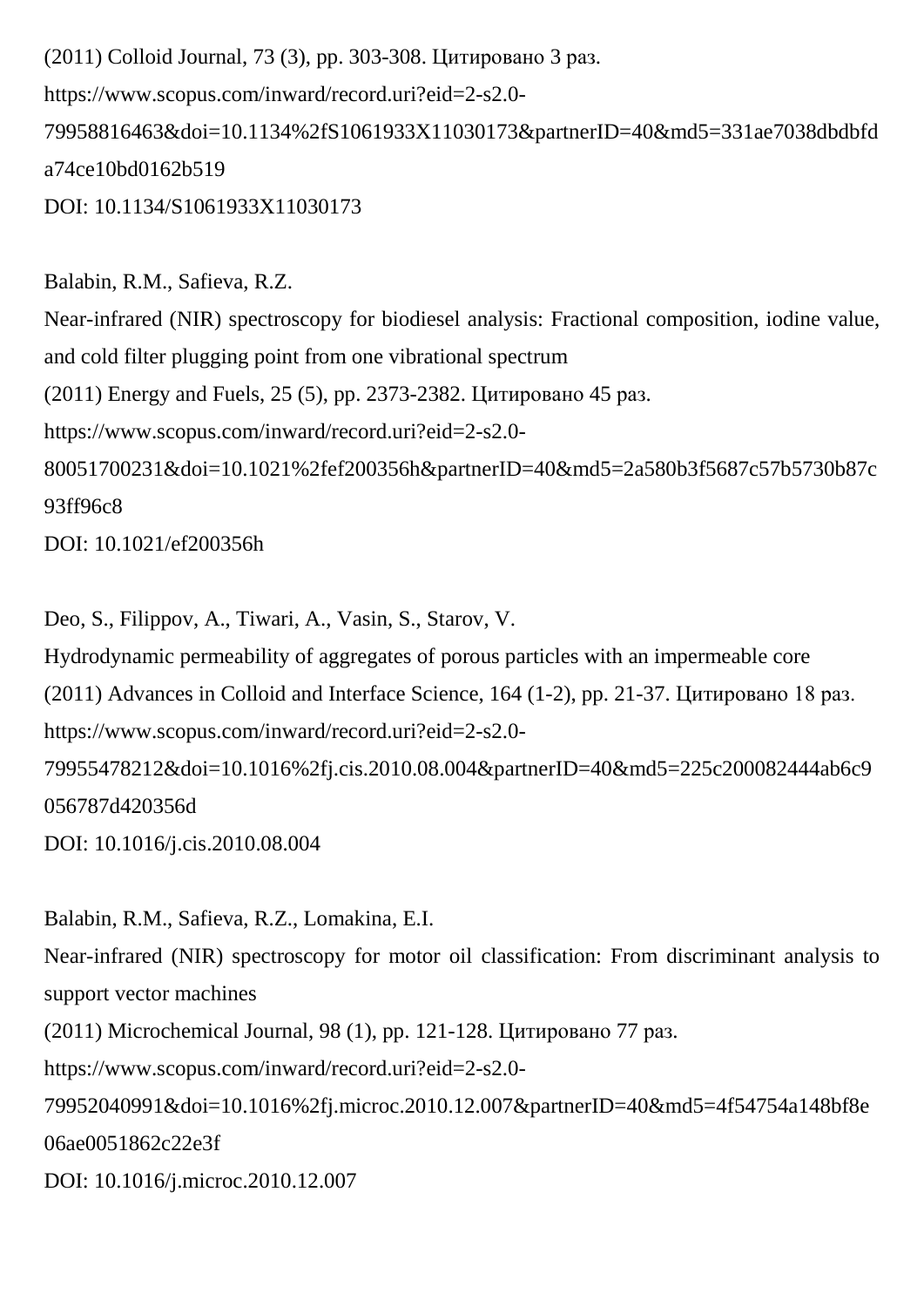(2011) Colloid Journal, 73 (3), pp. 303-308. Цитировано 3 раз. https://www.scopus.com/inward/record.uri?eid=2-s2.0- 79958816463&doi=10.1134%2fS1061933X11030173&partnerID=40&md5=331ae7038dbdbfd a74ce10bd0162b519 DOI: 10.1134/S1061933X11030173

Balabin, R.M., Safieva, R.Z. Near-infrared (NIR) spectroscopy for biodiesel analysis: Fractional composition, iodine value, and cold filter plugging point from one vibrational spectrum (2011) Energy and Fuels, 25 (5), pp. 2373-2382. Цитировано 45 раз. https://www.scopus.com/inward/record.uri?eid=2-s2.0- 80051700231&doi=10.1021%2fef200356h&partnerID=40&md5=2a580b3f5687c57b5730b87c 93ff96c8 DOI: 10.1021/ef200356h

Deo, S., Filippov, A., Tiwari, A., Vasin, S., Starov, V.

Hydrodynamic permeability of aggregates of porous particles with an impermeable core (2011) Advances in Colloid and Interface Science, 164 (1-2), pp. 21-37. Цитировано 18 раз. https://www.scopus.com/inward/record.uri?eid=2-s2.0- 79955478212&doi=10.1016%2fj.cis.2010.08.004&partnerID=40&md5=225c200082444ab6c9 056787d420356d DOI: 10.1016/j.cis.2010.08.004

Balabin, R.M., Safieva, R.Z., Lomakina, E.I. Near-infrared (NIR) spectroscopy for motor oil classification: From discriminant analysis to support vector machines (2011) Microchemical Journal, 98 (1), pp. 121-128. Цитировано 77 раз. https://www.scopus.com/inward/record.uri?eid=2-s2.0- 79952040991&doi=10.1016%2fj.microc.2010.12.007&partnerID=40&md5=4f54754a148bf8e 06ae0051862c22e3f

DOI: 10.1016/j.microc.2010.12.007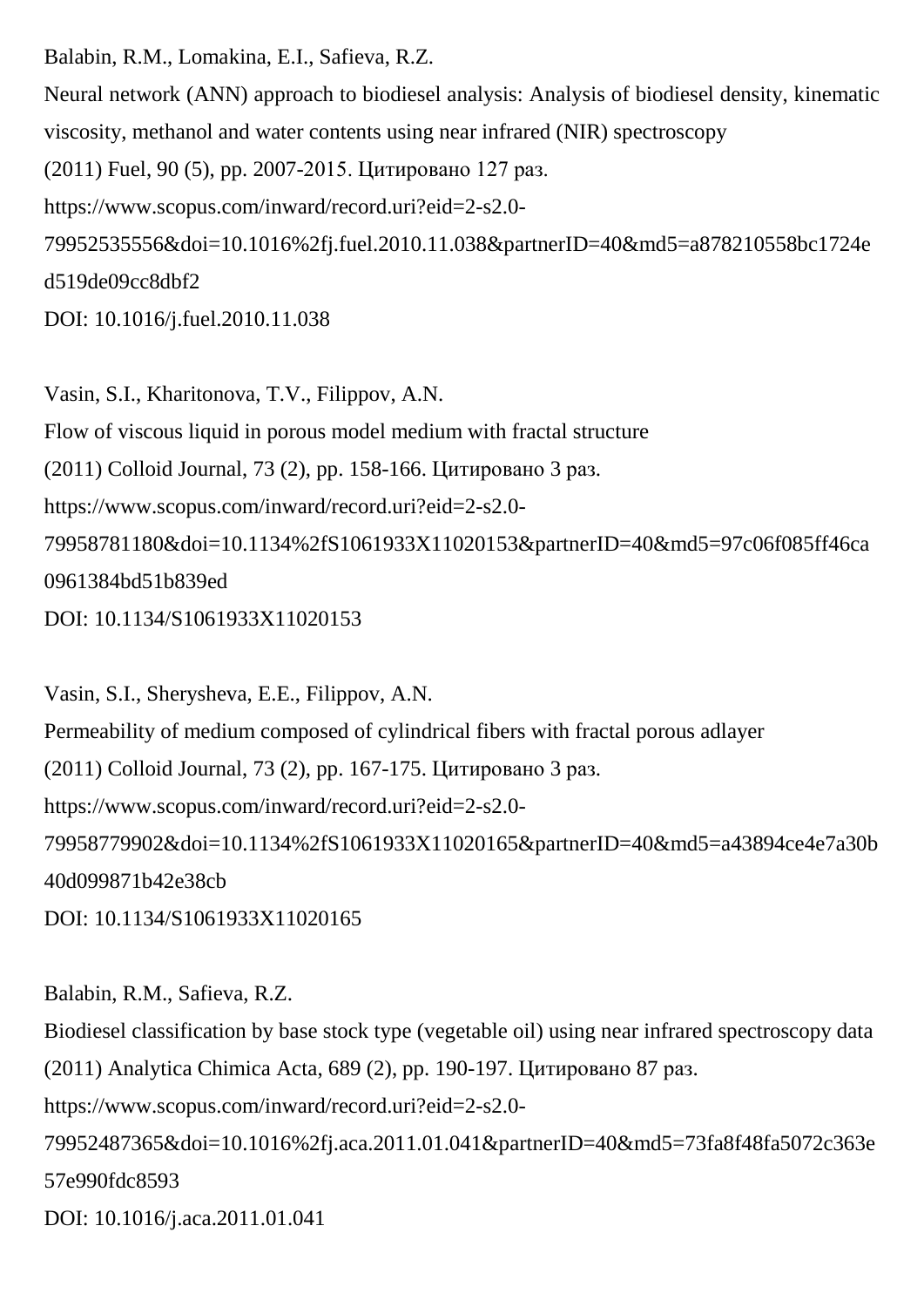Balabin, R.M., Lomakina, E.I., Safieva, R.Z. Neural network (ANN) approach to biodiesel analysis: Analysis of biodiesel density, kinematic viscosity, methanol and water contents using near infrared (NIR) spectroscopy (2011) Fuel, 90 (5), pp. 2007-2015. Цитировано 127 раз. https://www.scopus.com/inward/record.uri?eid=2-s2.0- 79952535556&doi=10.1016%2fj.fuel.2010.11.038&partnerID=40&md5=a878210558bc1724e d519de09cc8dbf2 DOI: 10.1016/j.fuel.2010.11.038

Vasin, S.I., Kharitonova, T.V., Filippov, A.N. Flow of viscous liquid in porous model medium with fractal structure (2011) Colloid Journal, 73 (2), pp. 158-166. Цитировано 3 раз. https://www.scopus.com/inward/record.uri?eid=2-s2.0- 79958781180&doi=10.1134%2fS1061933X11020153&partnerID=40&md5=97c06f085ff46ca 0961384bd51b839ed DOI: 10.1134/S1061933X11020153

Vasin, S.I., Sherysheva, E.E., Filippov, A.N. Permeability of medium composed of cylindrical fibers with fractal porous adlayer (2011) Colloid Journal, 73 (2), pp. 167-175. Цитировано 3 раз. https://www.scopus.com/inward/record.uri?eid=2-s2.0- 79958779902&doi=10.1134%2fS1061933X11020165&partnerID=40&md5=a43894ce4e7a30b 40d099871b42e38cb

DOI: 10.1134/S1061933X11020165

Balabin, R.M., Safieva, R.Z. Biodiesel classification by base stock type (vegetable oil) using near infrared spectroscopy data (2011) Analytica Chimica Acta, 689 (2), pp. 190-197. Цитировано 87 раз. https://www.scopus.com/inward/record.uri?eid=2-s2.0- 79952487365&doi=10.1016%2fj.aca.2011.01.041&partnerID=40&md5=73fa8f48fa5072c363e 57e990fdc8593 DOI: 10.1016/j.aca.2011.01.041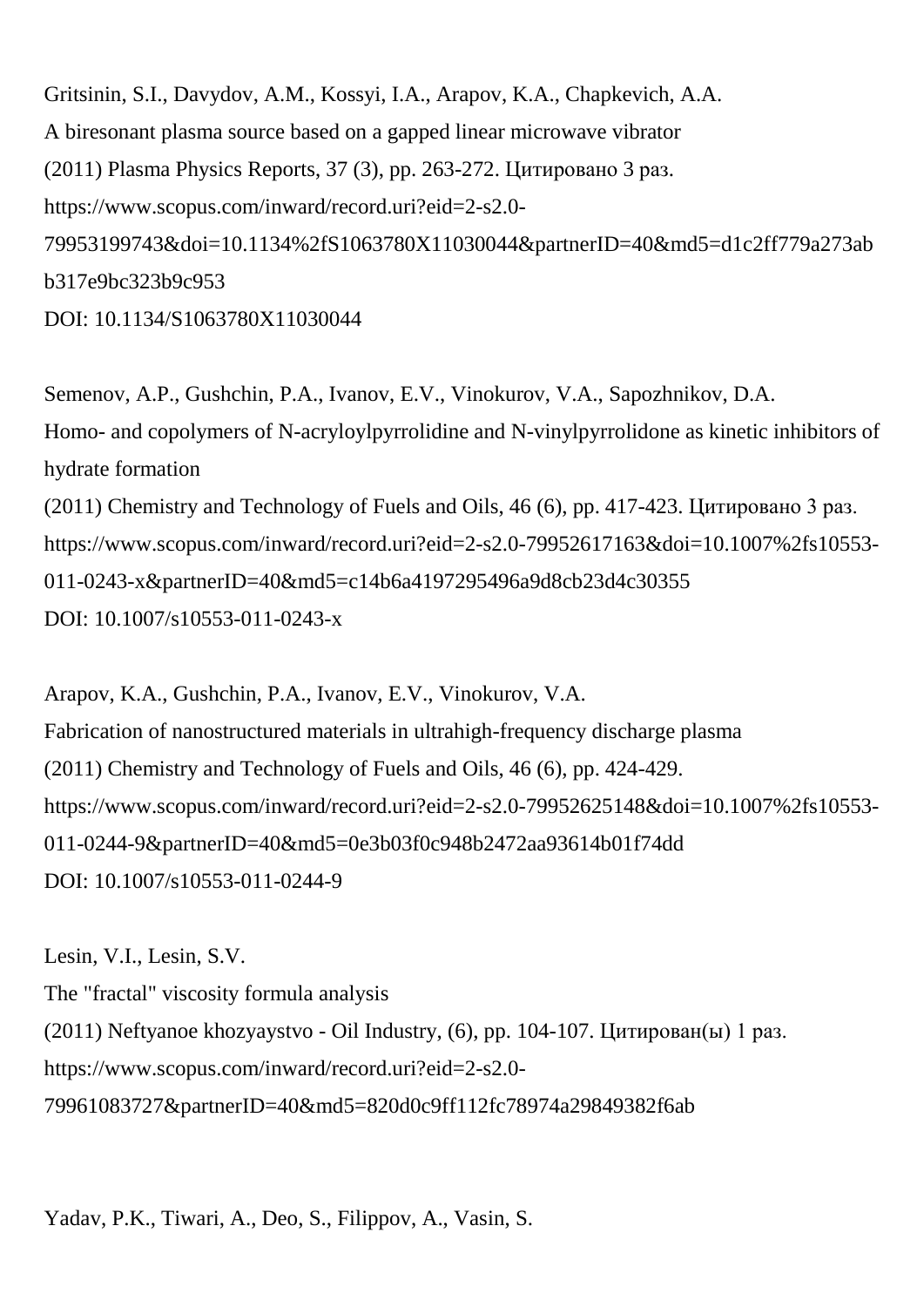Gritsinin, S.I., Davydov, A.M., Kossyi, I.A., Arapov, K.A., Chapkevich, A.A. A biresonant plasma source based on a gapped linear microwave vibrator (2011) Plasma Physics Reports, 37 (3), pp. 263-272. Цитировано 3 раз. https://www.scopus.com/inward/record.uri?eid=2-s2.0- 79953199743&doi=10.1134%2fS1063780X11030044&partnerID=40&md5=d1c2ff779a273ab b317e9bc323b9c953 DOI: 10.1134/S1063780X11030044

Semenov, A.P., Gushchin, P.A., Ivanov, E.V., Vinokurov, V.A., Sapozhnikov, D.A. Homo- and copolymers of N-acryloylpyrrolidine and N-vinylpyrrolidone as kinetic inhibitors of hydrate formation (2011) Chemistry and Technology of Fuels and Oils, 46 (6), pp. 417-423. Цитировано 3 раз. https://www.scopus.com/inward/record.uri?eid=2-s2.0-79952617163&doi=10.1007%2fs10553- 011-0243-x&partnerID=40&md5=c14b6a4197295496a9d8cb23d4c30355 DOI: 10.1007/s10553-011-0243-x

Arapov, K.A., Gushchin, P.A., Ivanov, E.V., Vinokurov, V.A. Fabrication of nanostructured materials in ultrahigh-frequency discharge plasma (2011) Chemistry and Technology of Fuels and Oils, 46 (6), pp. 424-429. https://www.scopus.com/inward/record.uri?eid=2-s2.0-79952625148&doi=10.1007%2fs10553- 011-0244-9&partnerID=40&md5=0e3b03f0c948b2472aa93614b01f74dd DOI: 10.1007/s10553-011-0244-9

Lesin, V.I., Lesin, S.V. The "fractal" viscosity formula analysis (2011) Neftyanoe khozyaystvo - Oil Industry, (6), pp. 104-107. Цитирован(ы) 1 раз. https://www.scopus.com/inward/record.uri?eid=2-s2.0- 79961083727&partnerID=40&md5=820d0c9ff112fc78974a29849382f6ab

Yadav, P.K., Tiwari, A., Deo, S., Filippov, A., Vasin, S.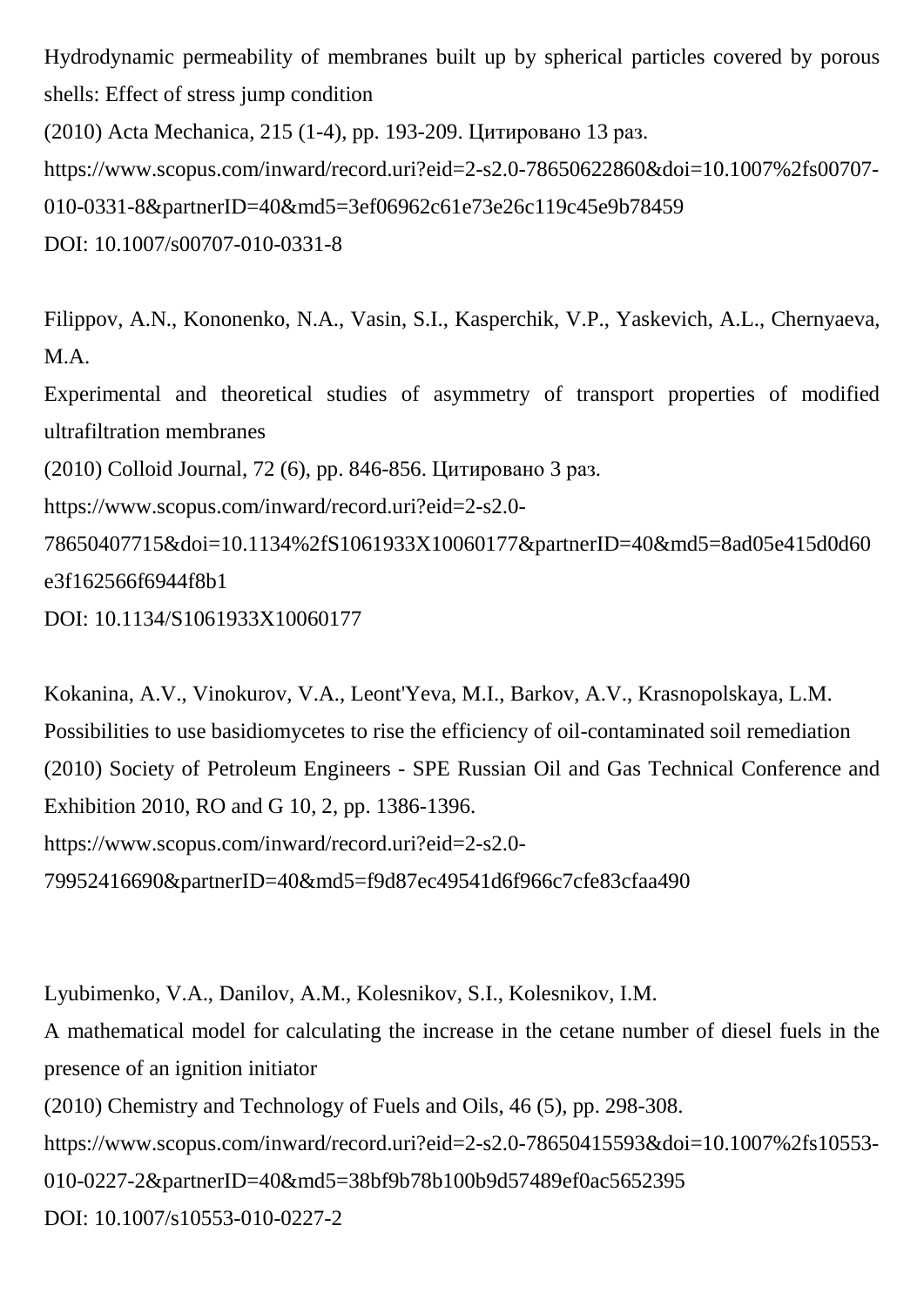Hydrodynamic permeability of membranes built up by spherical particles covered by porous shells: Effect of stress jump condition (2010) Acta Mechanica, 215 (1-4), pp. 193-209. Цитировано 13 раз. https://www.scopus.com/inward/record.uri?eid=2-s2.0-78650622860&doi=10.1007%2fs00707- 010-0331-8&partnerID=40&md5=3ef06962c61e73e26c119c45e9b78459

DOI: 10.1007/s00707-010-0331-8

Filippov, A.N., Kononenko, N.A., Vasin, S.I., Kasperchik, V.P., Yaskevich, A.L., Chernyaeva, M.A.

Experimental and theoretical studies of asymmetry of transport properties of modified ultrafiltration membranes

(2010) Colloid Journal, 72 (6), pp. 846-856. Цитировано 3 раз.

https://www.scopus.com/inward/record.uri?eid=2-s2.0-

78650407715&doi=10.1134%2fS1061933X10060177&partnerID=40&md5=8ad05e415d0d60 e3f162566f6944f8b1

DOI: 10.1134/S1061933X10060177

Kokanina, A.V., Vinokurov, V.A., Leont'Yeva, M.I., Barkov, A.V., Krasnopolskaya, L.M. Possibilities to use basidiomycetes to rise the efficiency of oil-contaminated soil remediation (2010) Society of Petroleum Engineers - SPE Russian Oil and Gas Technical Conference and Exhibition 2010, RO and G 10, 2, pp. 1386-1396. https://www.scopus.com/inward/record.uri?eid=2-s2.0- 79952416690&partnerID=40&md5=f9d87ec49541d6f966c7cfe83cfaa490

Lyubimenko, V.A., Danilov, A.M., Kolesnikov, S.I., Kolesnikov, I.M.

A mathematical model for calculating the increase in the cetane number of diesel fuels in the presence of an ignition initiator

(2010) Chemistry and Technology of Fuels and Oils, 46 (5), pp. 298-308.

https://www.scopus.com/inward/record.uri?eid=2-s2.0-78650415593&doi=10.1007%2fs10553-

010-0227-2&partnerID=40&md5=38bf9b78b100b9d57489ef0ac5652395

DOI: 10.1007/s10553-010-0227-2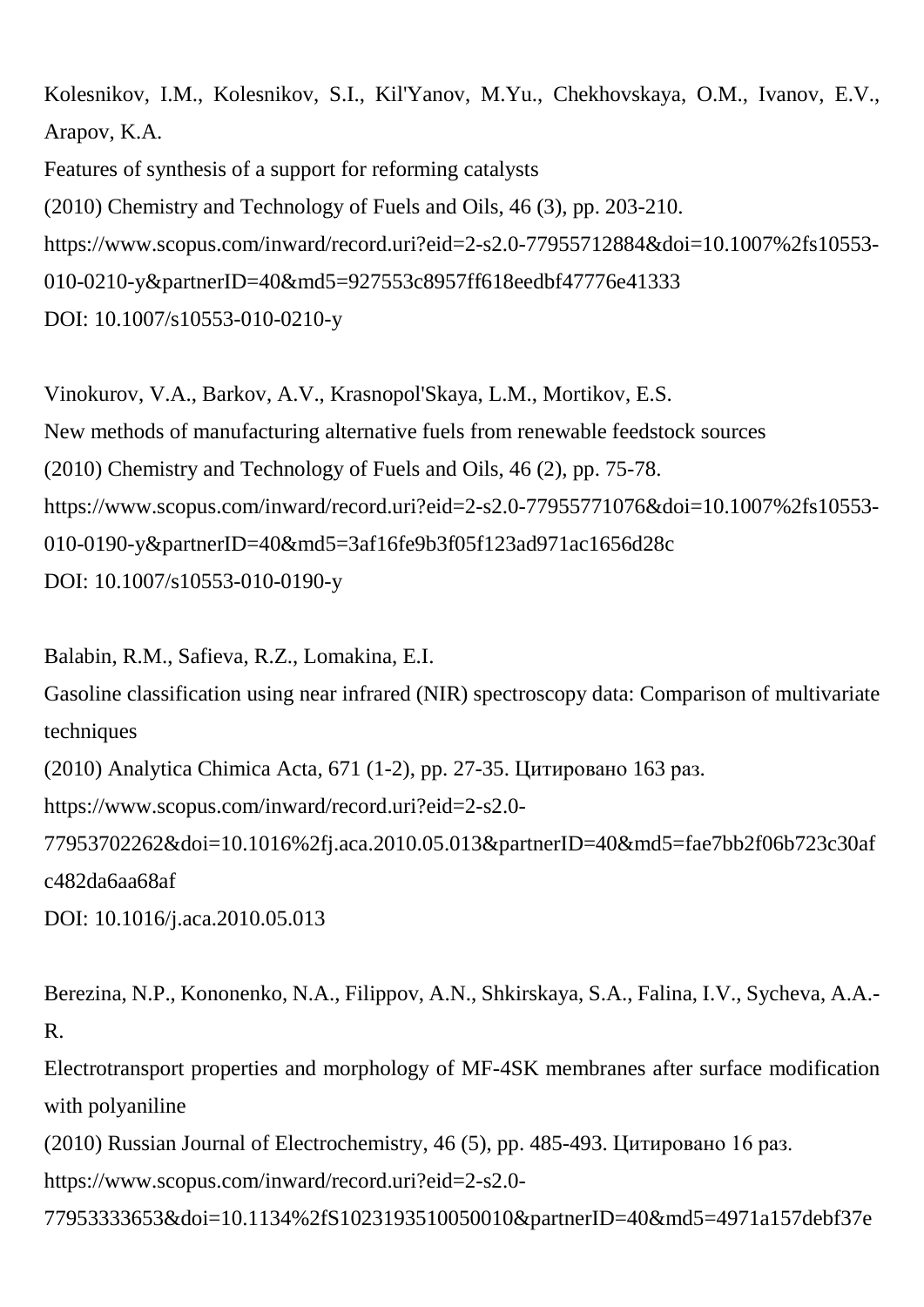Kolesnikov, I.M., Kolesnikov, S.I., Kil'Yanov, M.Yu., Chekhovskaya, O.M., Ivanov, E.V., Arapov, K.A. Features of synthesis of a support for reforming catalysts (2010) Chemistry and Technology of Fuels and Oils, 46 (3), pp. 203-210. https://www.scopus.com/inward/record.uri?eid=2-s2.0-77955712884&doi=10.1007%2fs10553- 010-0210-y&partnerID=40&md5=927553c8957ff618eedbf47776e41333 DOI: 10.1007/s10553-010-0210-y

Vinokurov, V.A., Barkov, A.V., Krasnopol'Skaya, L.M., Mortikov, E.S. New methods of manufacturing alternative fuels from renewable feedstock sources (2010) Chemistry and Technology of Fuels and Oils, 46 (2), pp. 75-78. https://www.scopus.com/inward/record.uri?eid=2-s2.0-77955771076&doi=10.1007%2fs10553- 010-0190-y&partnerID=40&md5=3af16fe9b3f05f123ad971ac1656d28c DOI: 10.1007/s10553-010-0190-y

Balabin, R.M., Safieva, R.Z., Lomakina, E.I.

Gasoline classification using near infrared (NIR) spectroscopy data: Comparison of multivariate techniques

(2010) Analytica Chimica Acta, 671 (1-2), pp. 27-35. Цитировано 163 раз.

https://www.scopus.com/inward/record.uri?eid=2-s2.0-

77953702262&doi=10.1016%2fj.aca.2010.05.013&partnerID=40&md5=fae7bb2f06b723c30af c482da6aa68af

DOI: 10.1016/j.aca.2010.05.013

Berezina, N.P., Kononenko, N.A., Filippov, A.N., Shkirskaya, S.A., Falina, I.V., Sycheva, A.A.- R.

Electrotransport properties and morphology of MF-4SK membranes after surface modification with polyaniline

(2010) Russian Journal of Electrochemistry, 46 (5), pp. 485-493. Цитировано 16 раз.

https://www.scopus.com/inward/record.uri?eid=2-s2.0-

77953333653&doi=10.1134%2fS1023193510050010&partnerID=40&md5=4971a157debf37e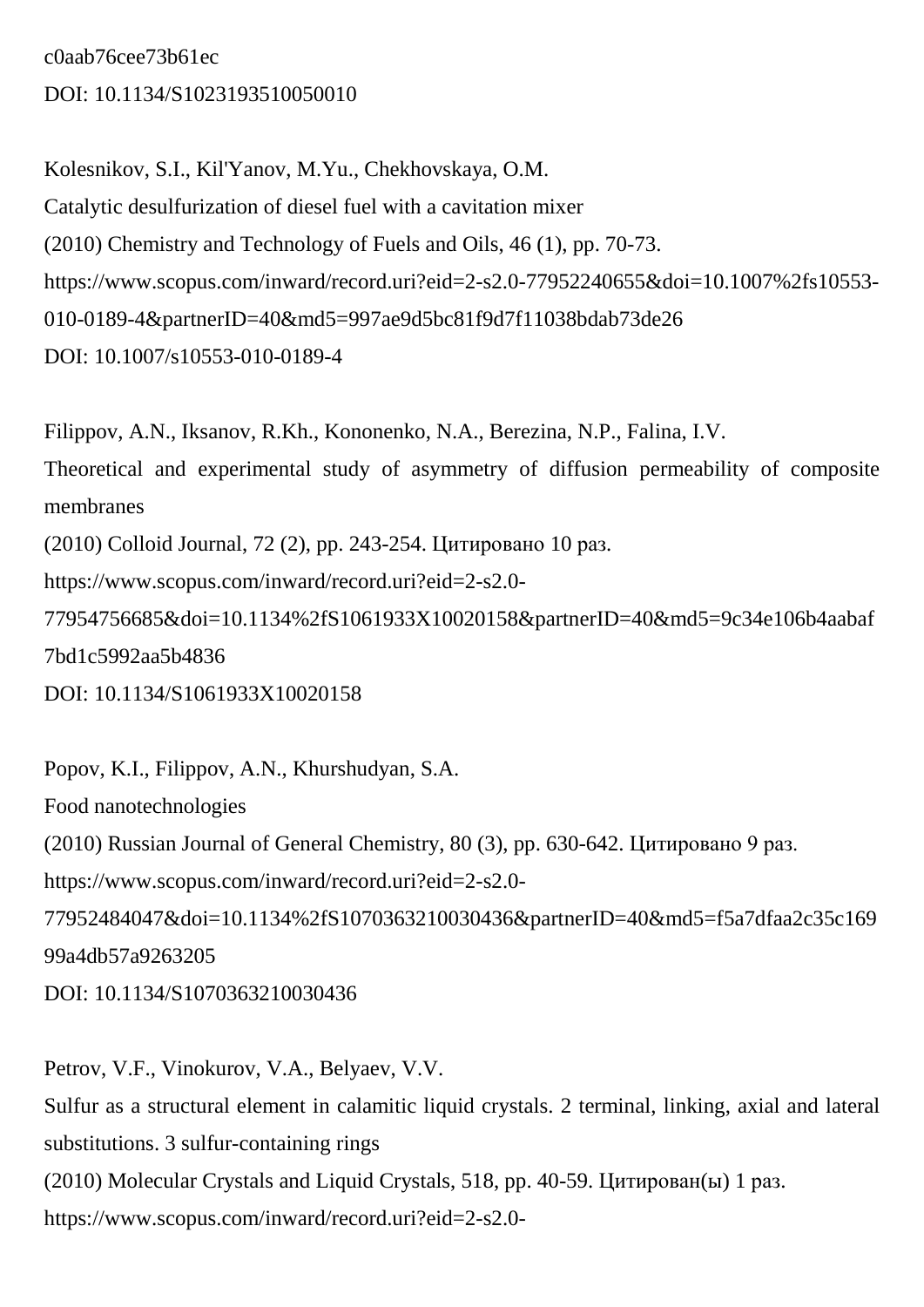c0aab76cee73b61ec DOI: 10.1134/S1023193510050010

Kolesnikov, S.I., Kil'Yanov, M.Yu., Chekhovskaya, O.M. Catalytic desulfurization of diesel fuel with a cavitation mixer (2010) Chemistry and Technology of Fuels and Oils, 46 (1), pp. 70-73. https://www.scopus.com/inward/record.uri?eid=2-s2.0-77952240655&doi=10.1007%2fs10553- 010-0189-4&partnerID=40&md5=997ae9d5bc81f9d7f11038bdab73de26 DOI: 10.1007/s10553-010-0189-4

Filippov, A.N., Iksanov, R.Kh., Kononenko, N.A., Berezina, N.P., Falina, I.V. Theoretical and experimental study of asymmetry of diffusion permeability of composite membranes (2010) Colloid Journal, 72 (2), pp. 243-254. Цитировано 10 раз. https://www.scopus.com/inward/record.uri?eid=2-s2.0- 77954756685&doi=10.1134%2fS1061933X10020158&partnerID=40&md5=9c34e106b4aabaf 7bd1c5992aa5b4836 DOI: 10.1134/S1061933X10020158

Popov, K.I., Filippov, A.N., Khurshudyan, S.A. Food nanotechnologies (2010) Russian Journal of General Chemistry, 80 (3), pp. 630-642. Цитировано 9 раз. https://www.scopus.com/inward/record.uri?eid=2-s2.0- 77952484047&doi=10.1134%2fS1070363210030436&partnerID=40&md5=f5a7dfaa2c35c169 99a4db57a9263205 DOI: 10.1134/S1070363210030436

Petrov, V.F., Vinokurov, V.A., Belyaev, V.V. Sulfur as a structural element in calamitic liquid crystals. 2 terminal, linking, axial and lateral substitutions. 3 sulfur-containing rings (2010) Molecular Crystals and Liquid Crystals, 518, pp. 40-59. Цитирован(ы) 1 раз. https://www.scopus.com/inward/record.uri?eid=2-s2.0-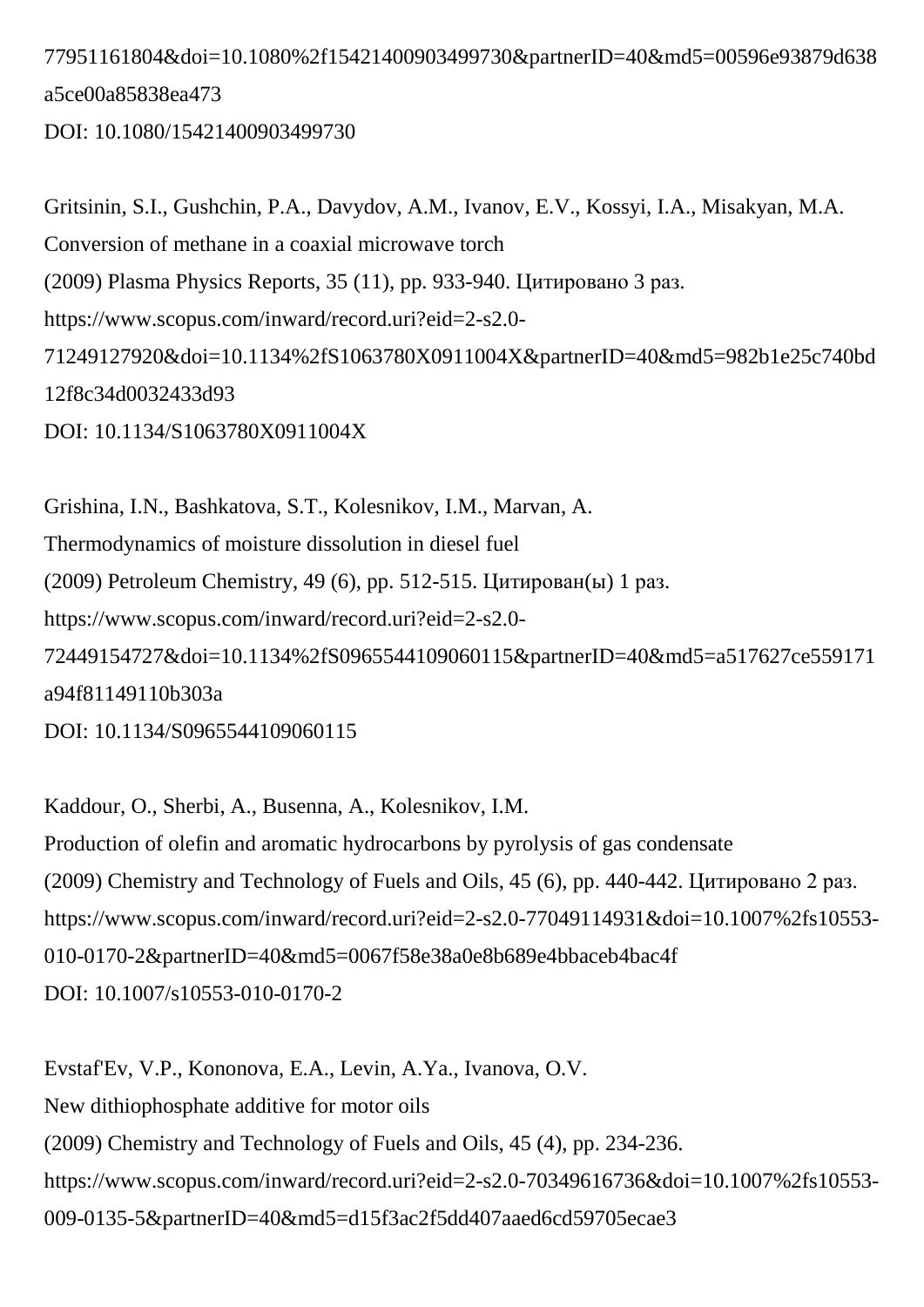# 77951161804&doi=10.1080%2f15421400903499730&partnerID=40&md5=00596e93879d638 a5ce00a85838ea473

DOI: 10.1080/15421400903499730

Gritsinin, S.I., Gushchin, P.A., Davydov, A.M., Ivanov, E.V., Kossyi, I.A., Misakyan, M.A. Conversion of methane in a coaxial microwave torch (2009) Plasma Physics Reports, 35 (11), pp. 933-940. Цитировано 3 раз. https://www.scopus.com/inward/record.uri?eid=2-s2.0- 71249127920&doi=10.1134%2fS1063780X0911004X&partnerID=40&md5=982b1e25c740bd 12f8c34d0032433d93 DOI: 10.1134/S1063780X0911004X

Grishina, I.N., Bashkatova, S.T., Kolesnikov, I.M., Marvan, A. Thermodynamics of moisture dissolution in diesel fuel (2009) Petroleum Chemistry, 49 (6), pp. 512-515. Цитирован(ы) 1 раз. https://www.scopus.com/inward/record.uri?eid=2-s2.0- 72449154727&doi=10.1134%2fS0965544109060115&partnerID=40&md5=a517627ce559171 a94f81149110b303a DOI: 10.1134/S0965544109060115

Kaddour, O., Sherbi, A., Busenna, A., Kolesnikov, I.M. Production of olefin and aromatic hydrocarbons by pyrolysis of gas condensate (2009) Chemistry and Technology of Fuels and Oils, 45 (6), pp. 440-442. Цитировано 2 раз. https://www.scopus.com/inward/record.uri?eid=2-s2.0-77049114931&doi=10.1007%2fs10553- 010-0170-2&partnerID=40&md5=0067f58e38a0e8b689e4bbaceb4bac4f DOI: 10.1007/s10553-010-0170-2

Evstaf'Ev, V.P., Kononova, E.A., Levin, A.Ya., Ivanova, O.V. New dithiophosphate additive for motor oils (2009) Chemistry and Technology of Fuels and Oils, 45 (4), pp. 234-236. https://www.scopus.com/inward/record.uri?eid=2-s2.0-70349616736&doi=10.1007%2fs10553- 009-0135-5&partnerID=40&md5=d15f3ac2f5dd407aaed6cd59705ecae3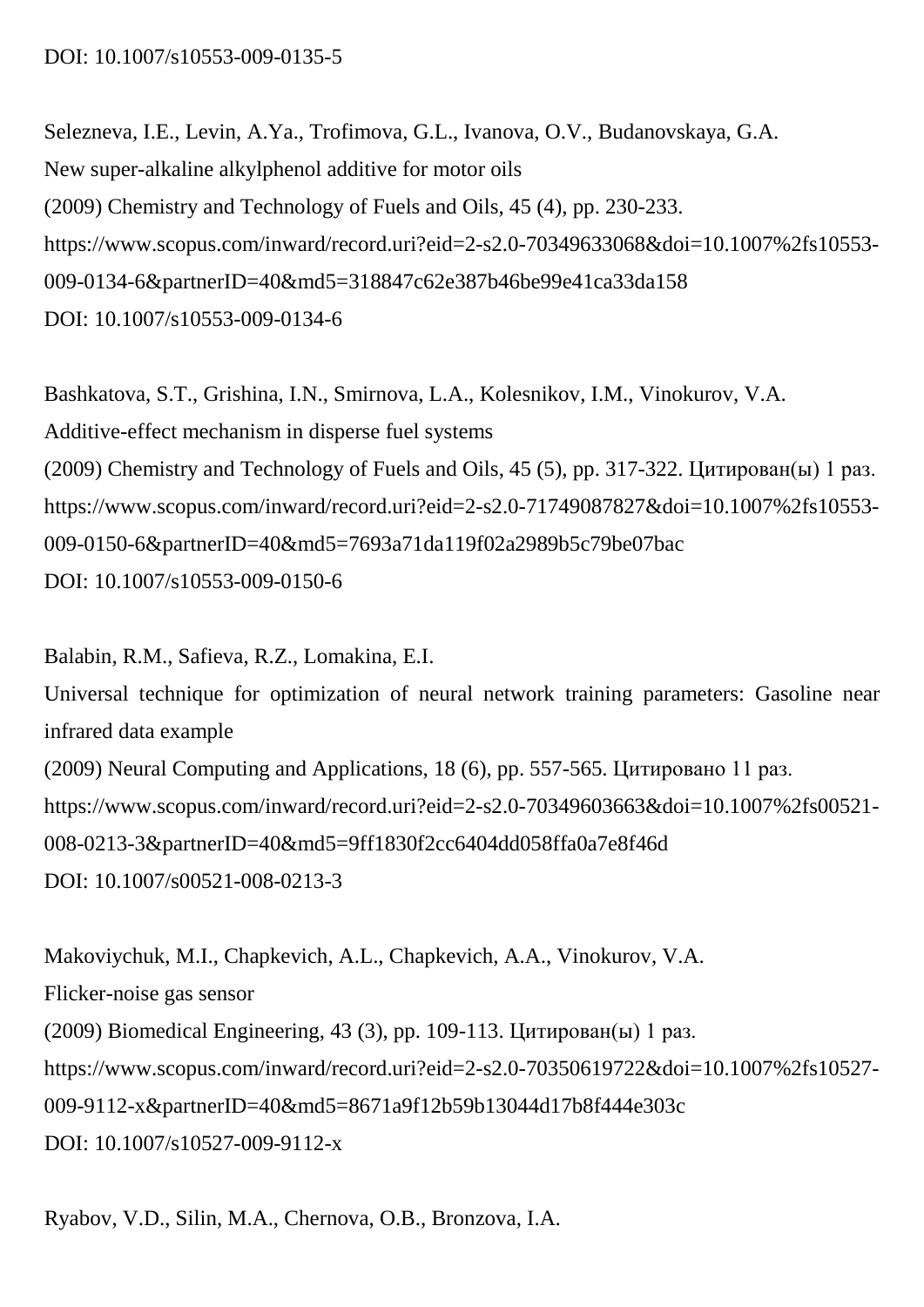#### DOI: 10.1007/s10553-009-0135-5

Selezneva, I.E., Levin, A.Ya., Trofimova, G.L., Ivanova, O.V., Budanovskaya, G.A. New super-alkaline alkylphenol additive for motor oils (2009) Chemistry and Technology of Fuels and Oils, 45 (4), pp. 230-233. https://www.scopus.com/inward/record.uri?eid=2-s2.0-70349633068&doi=10.1007%2fs10553- 009-0134-6&partnerID=40&md5=318847c62e387b46be99e41ca33da158 DOI: 10.1007/s10553-009-0134-6

Bashkatova, S.T., Grishina, I.N., Smirnova, L.A., Kolesnikov, I.M., Vinokurov, V.A. Additive-effect mechanism in disperse fuel systems (2009) Chemistry and Technology of Fuels and Oils, 45 (5), pp. 317-322. Цитирован(ы) 1 раз. https://www.scopus.com/inward/record.uri?eid=2-s2.0-71749087827&doi=10.1007%2fs10553- 009-0150-6&partnerID=40&md5=7693a71da119f02a2989b5c79be07bac DOI: 10.1007/s10553-009-0150-6

Balabin, R.M., Safieva, R.Z., Lomakina, E.I. Universal technique for optimization of neural network training parameters: Gasoline near infrared data example (2009) Neural Computing and Applications, 18 (6), pp. 557-565. Цитировано 11 раз. https://www.scopus.com/inward/record.uri?eid=2-s2.0-70349603663&doi=10.1007%2fs00521- 008-0213-3&partnerID=40&md5=9ff1830f2cc6404dd058ffa0a7e8f46d DOI: 10.1007/s00521-008-0213-3

Makoviychuk, M.I., Chapkevich, A.L., Chapkevich, A.A., Vinokurov, V.A. Flicker-noise gas sensor (2009) Biomedical Engineering, 43 (3), pp. 109-113. Цитирован(ы) 1 раз. https://www.scopus.com/inward/record.uri?eid=2-s2.0-70350619722&doi=10.1007%2fs10527- 009-9112-x&partnerID=40&md5=8671a9f12b59b13044d17b8f444e303c DOI: 10.1007/s10527-009-9112-x

Ryabov, V.D., Silin, M.A., Chernova, O.B., Bronzova, I.A.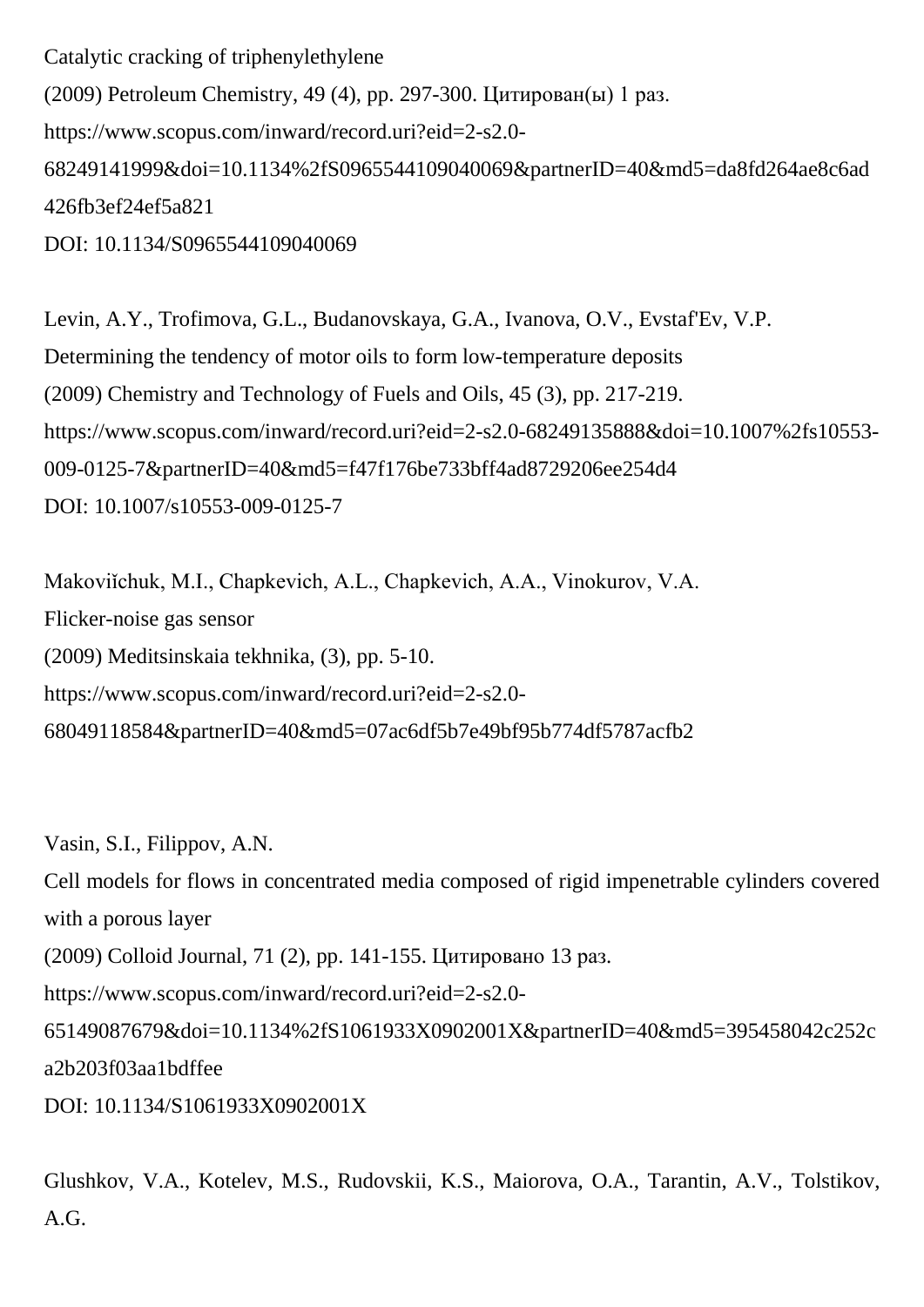Catalytic cracking of triphenylethylene (2009) Petroleum Chemistry, 49 (4), pp. 297-300. Цитирован(ы) 1 раз. https://www.scopus.com/inward/record.uri?eid=2-s2.0- 68249141999&doi=10.1134%2fS0965544109040069&partnerID=40&md5=da8fd264ae8c6ad 426fb3ef24ef5a821 DOI: 10.1134/S0965544109040069

Levin, A.Y., Trofimova, G.L., Budanovskaya, G.A., Ivanova, O.V., Evstaf'Ev, V.P. Determining the tendency of motor oils to form low-temperature deposits (2009) Chemistry and Technology of Fuels and Oils, 45 (3), pp. 217-219. https://www.scopus.com/inward/record.uri?eid=2-s2.0-68249135888&doi=10.1007%2fs10553- 009-0125-7&partnerID=40&md5=f47f176be733bff4ad8729206ee254d4 DOI: 10.1007/s10553-009-0125-7

Makoviichuk, M.I., Chapkevich, A.L., Chapkevich, A.A., Vinokurov, V.A. Flicker-noise gas sensor (2009) Meditsinskaia tekhnika, (3), pp. 5-10. https://www.scopus.com/inward/record.uri?eid=2-s2.0- 68049118584&partnerID=40&md5=07ac6df5b7e49bf95b774df5787acfb2

Vasin, S.I., Filippov, A.N.

Cell models for flows in concentrated media composed of rigid impenetrable cylinders covered with a porous layer

(2009) Colloid Journal, 71 (2), pp. 141-155. Цитировано 13 раз.

https://www.scopus.com/inward/record.uri?eid=2-s2.0-

65149087679&doi=10.1134%2fS1061933X0902001X&partnerID=40&md5=395458042c252c a2b203f03aa1bdffee

DOI: 10.1134/S1061933X0902001X

Glushkov, V.A., Kotelev, M.S., Rudovskii, K.S., Maiorova, O.A., Tarantin, A.V., Tolstikov, A.G.